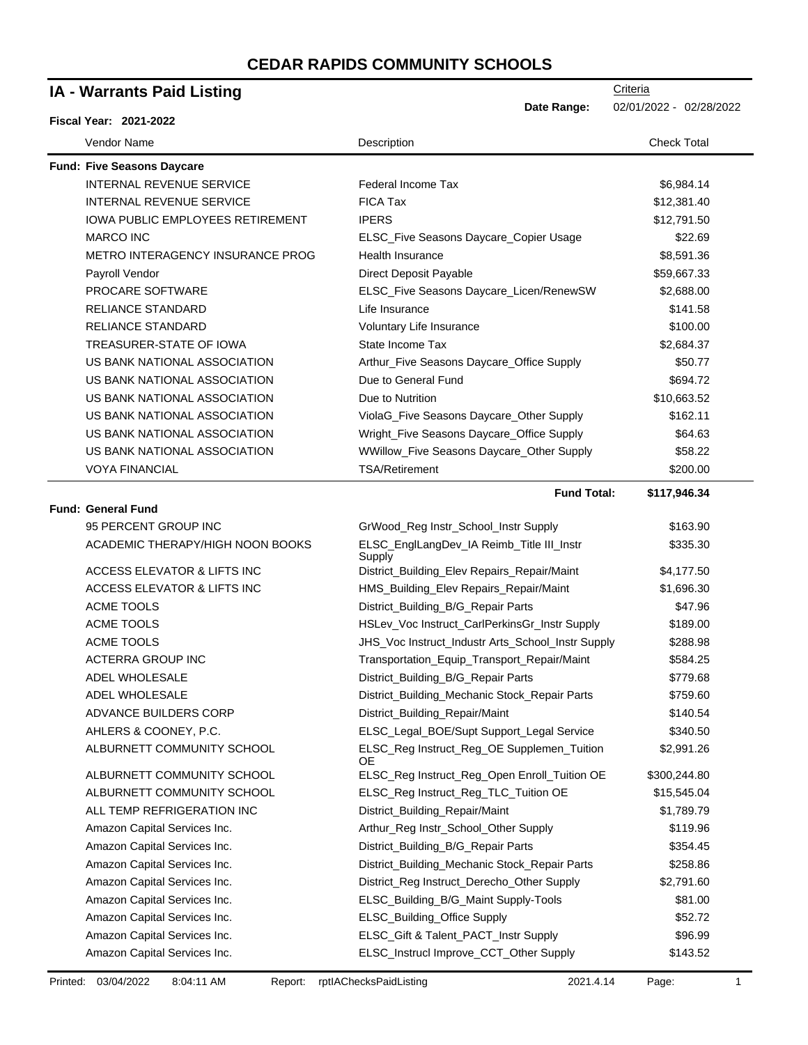| <b>IA - Warrants Paid Listing</b>       |                                                     | Criteria                |
|-----------------------------------------|-----------------------------------------------------|-------------------------|
|                                         | Date Range:                                         | 02/01/2022 - 02/28/2022 |
| <b>Fiscal Year: 2021-2022</b>           |                                                     |                         |
| Vendor Name                             | Description                                         | <b>Check Total</b>      |
| <b>Fund: Five Seasons Daycare</b>       |                                                     |                         |
| <b>INTERNAL REVENUE SERVICE</b>         | Federal Income Tax                                  | \$6,984.14              |
| <b>INTERNAL REVENUE SERVICE</b>         | <b>FICA Tax</b>                                     | \$12,381.40             |
| <b>IOWA PUBLIC EMPLOYEES RETIREMENT</b> | <b>IPERS</b>                                        | \$12,791.50             |
| <b>MARCO INC</b>                        | ELSC_Five Seasons Daycare_Copier Usage              | \$22.69                 |
| <b>METRO INTERAGENCY INSURANCE PROG</b> | <b>Health Insurance</b>                             | \$8,591.36              |
| Payroll Vendor                          | Direct Deposit Payable                              | \$59,667.33             |
| PROCARE SOFTWARE                        | ELSC_Five Seasons Daycare_Licen/RenewSW             | \$2,688.00              |
| <b>RELIANCE STANDARD</b>                | Life Insurance                                      | \$141.58                |
| <b>RELIANCE STANDARD</b>                | Voluntary Life Insurance                            | \$100.00                |
| TREASURER-STATE OF IOWA                 | State Income Tax                                    | \$2,684.37              |
| US BANK NATIONAL ASSOCIATION            | Arthur_Five Seasons Daycare_Office Supply           | \$50.77                 |
| US BANK NATIONAL ASSOCIATION            | Due to General Fund                                 | \$694.72                |
| US BANK NATIONAL ASSOCIATION            | Due to Nutrition                                    | \$10,663.52             |
| US BANK NATIONAL ASSOCIATION            | ViolaG_Five Seasons Daycare_Other Supply            | \$162.11                |
| US BANK NATIONAL ASSOCIATION            | Wright_Five Seasons Daycare_Office Supply           | \$64.63                 |
| US BANK NATIONAL ASSOCIATION            | WWillow_Five Seasons Daycare_Other Supply           | \$58.22                 |
| <b>VOYA FINANCIAL</b>                   | TSA/Retirement                                      | \$200.00                |
|                                         | <b>Fund Total:</b>                                  | \$117,946.34            |
| <b>Fund: General Fund</b>               |                                                     |                         |
| 95 PERCENT GROUP INC                    | GrWood_Reg Instr_School_Instr Supply                | \$163.90                |
| ACADEMIC THERAPY/HIGH NOON BOOKS        | ELSC_EnglLangDev_IA Reimb_Title III_Instr<br>Supply | \$335.30                |
| ACCESS ELEVATOR & LIFTS INC             | District_Building_Elev Repairs_Repair/Maint         | \$4,177.50              |
| ACCESS ELEVATOR & LIFTS INC             | HMS_Building_Elev Repairs_Repair/Maint              | \$1,696.30              |
| <b>ACME TOOLS</b>                       | District_Building_B/G_Repair Parts                  | \$47.96                 |
| <b>ACME TOOLS</b>                       | HSLev_Voc Instruct_CarlPerkinsGr_Instr Supply       | \$189.00                |
| <b>ACME TOOLS</b>                       | JHS_Voc Instruct_Industr Arts_School_Instr Supply   | \$288.98                |
| <b>ACTERRA GROUP INC</b>                | Transportation_Equip_Transport_Repair/Maint         | \$584.25                |
| ADEL WHOLESALE                          | District_Building_B/G_Repair Parts                  | \$779.68                |
| ADEL WHOLESALE                          | District_Building_Mechanic Stock_Repair Parts       | \$759.60                |
| ADVANCE BUILDERS CORP                   | District_Building_Repair/Maint                      | \$140.54                |
| AHLERS & COONEY, P.C.                   | ELSC_Legal_BOE/Supt Support_Legal Service           | \$340.50                |
| ALBURNETT COMMUNITY SCHOOL              | ELSC_Reg Instruct_Reg_OE Supplemen_Tuition<br>OE.   | \$2,991.26              |
| ALBURNETT COMMUNITY SCHOOL              | ELSC_Reg Instruct_Reg_Open Enroll_Tuition OE        | \$300,244.80            |
| ALBURNETT COMMUNITY SCHOOL              | ELSC_Reg Instruct_Reg_TLC_Tuition OE                | \$15,545.04             |
| ALL TEMP REFRIGERATION INC              | District_Building_Repair/Maint                      | \$1,789.79              |
| Amazon Capital Services Inc.            | Arthur_Reg Instr_School_Other Supply                | \$119.96                |
| Amazon Capital Services Inc.            | District_Building_B/G_Repair Parts                  | \$354.45                |
| Amazon Capital Services Inc.            | District_Building_Mechanic Stock_Repair Parts       | \$258.86                |
| Amazon Capital Services Inc.            | District_Reg Instruct_Derecho_Other Supply          | \$2,791.60              |
| Amazon Capital Services Inc.            | ELSC_Building_B/G_Maint Supply-Tools                | \$81.00                 |
| Amazon Capital Services Inc.            | ELSC_Building_Office Supply                         | \$52.72                 |
| Amazon Capital Services Inc.            | ELSC_Gift & Talent_PACT_Instr Supply                | \$96.99                 |
| Amazon Capital Services Inc.            | ELSC_Instrucl Improve_CCT_Other Supply              | \$143.52                |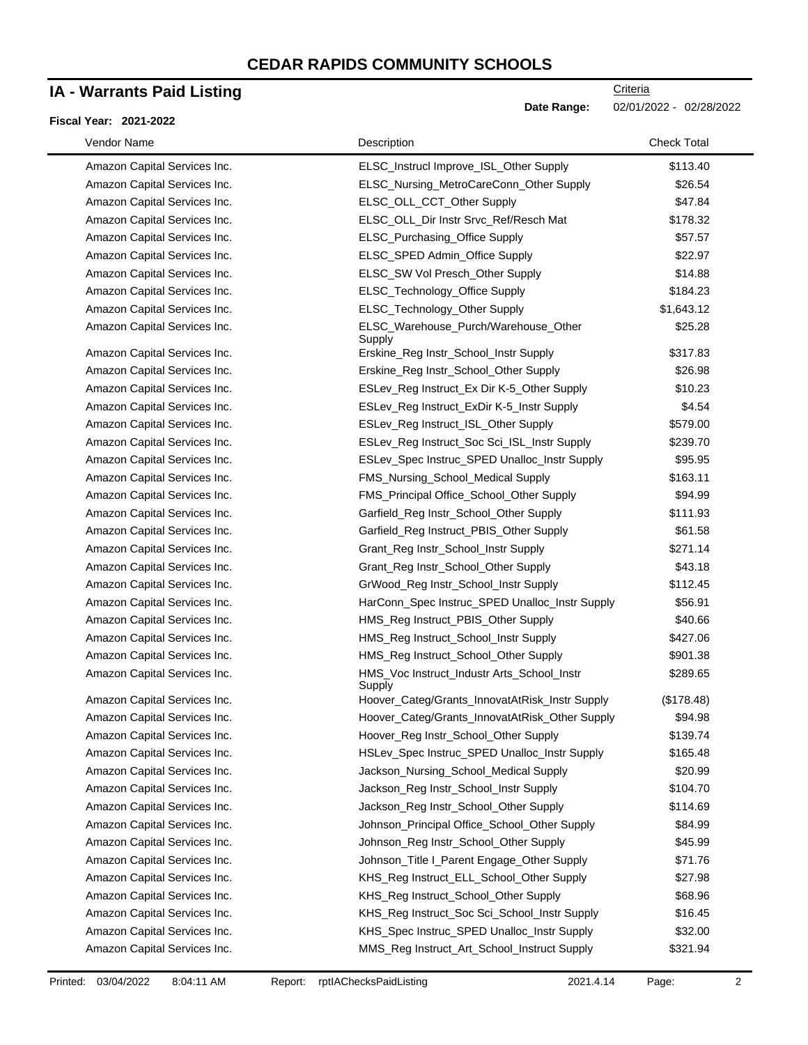### **IA - Warrants Paid Listing**

#### **Fiscal Year: 2021-2022**

| Vendor Name                  | Description                                          | <b>Check Total</b> |
|------------------------------|------------------------------------------------------|--------------------|
| Amazon Capital Services Inc. | ELSC_Instrucl Improve_ISL_Other Supply               | \$113.40           |
| Amazon Capital Services Inc. | ELSC_Nursing_MetroCareConn_Other Supply              | \$26.54            |
| Amazon Capital Services Inc. | ELSC_OLL_CCT_Other Supply                            | \$47.84            |
| Amazon Capital Services Inc. | ELSC_OLL_Dir Instr Srvc_Ref/Resch Mat                | \$178.32           |
| Amazon Capital Services Inc. | ELSC_Purchasing_Office Supply                        | \$57.57            |
| Amazon Capital Services Inc. | ELSC_SPED Admin_Office Supply                        | \$22.97            |
| Amazon Capital Services Inc. | ELSC_SW Vol Presch_Other Supply                      | \$14.88            |
| Amazon Capital Services Inc. | ELSC_Technology_Office Supply                        | \$184.23           |
| Amazon Capital Services Inc. | ELSC_Technology_Other Supply                         | \$1,643.12         |
| Amazon Capital Services Inc. | ELSC_Warehouse_Purch/Warehouse_Other<br>Supply       | \$25.28            |
| Amazon Capital Services Inc. | Erskine_Reg Instr_School_Instr Supply                | \$317.83           |
| Amazon Capital Services Inc. | Erskine_Reg Instr_School_Other Supply                | \$26.98            |
| Amazon Capital Services Inc. | ESLev_Reg Instruct_Ex Dir K-5_Other Supply           | \$10.23            |
| Amazon Capital Services Inc. | ESLev_Reg Instruct_ExDir K-5_Instr Supply            | \$4.54             |
| Amazon Capital Services Inc. | ESLev_Reg Instruct_ISL_Other Supply                  | \$579.00           |
| Amazon Capital Services Inc. | ESLev_Reg Instruct_Soc Sci_ISL_Instr Supply          | \$239.70           |
| Amazon Capital Services Inc. | ESLev_Spec Instruc_SPED Unalloc_Instr Supply         | \$95.95            |
| Amazon Capital Services Inc. | FMS_Nursing_School_Medical Supply                    | \$163.11           |
| Amazon Capital Services Inc. | FMS_Principal Office_School_Other Supply             | \$94.99            |
| Amazon Capital Services Inc. | Garfield_Reg Instr_School_Other Supply               | \$111.93           |
| Amazon Capital Services Inc. | Garfield_Reg Instruct_PBIS_Other Supply              | \$61.58            |
| Amazon Capital Services Inc. | Grant_Reg Instr_School_Instr Supply                  | \$271.14           |
| Amazon Capital Services Inc. | Grant_Reg Instr_School_Other Supply                  | \$43.18            |
| Amazon Capital Services Inc. | GrWood_Reg Instr_School_Instr Supply                 | \$112.45           |
| Amazon Capital Services Inc. | HarConn_Spec Instruc_SPED Unalloc_Instr Supply       | \$56.91            |
| Amazon Capital Services Inc. | HMS_Reg Instruct_PBIS_Other Supply                   | \$40.66            |
| Amazon Capital Services Inc. | HMS_Reg Instruct_School_Instr Supply                 | \$427.06           |
| Amazon Capital Services Inc. | HMS_Reg Instruct_School_Other Supply                 | \$901.38           |
| Amazon Capital Services Inc. | HMS_Voc Instruct_Industr Arts_School_Instr<br>Supply | \$289.65           |
| Amazon Capital Services Inc. | Hoover_Categ/Grants_InnovatAtRisk_Instr Supply       | (\$178.48)         |
| Amazon Capital Services Inc. | Hoover_Categ/Grants_InnovatAtRisk_Other Supply       | \$94.98            |
| Amazon Capital Services Inc. | Hoover_Reg Instr_School_Other Supply                 | \$139.74           |
| Amazon Capital Services Inc. | HSLev_Spec Instruc_SPED Unalloc_Instr Supply         | \$165.48           |
| Amazon Capital Services Inc. | Jackson_Nursing_School_Medical Supply                | \$20.99            |
| Amazon Capital Services Inc. | Jackson_Reg Instr_School_Instr Supply                | \$104.70           |
| Amazon Capital Services Inc. | Jackson_Reg Instr_School_Other Supply                | \$114.69           |
| Amazon Capital Services Inc. | Johnson_Principal Office_School_Other Supply         | \$84.99            |
| Amazon Capital Services Inc. | Johnson_Reg Instr_School_Other Supply                | \$45.99            |
| Amazon Capital Services Inc. | Johnson_Title I_Parent Engage_Other Supply           | \$71.76            |
| Amazon Capital Services Inc. | KHS_Reg Instruct_ELL_School_Other Supply             | \$27.98            |
| Amazon Capital Services Inc. | KHS_Reg Instruct_School_Other Supply                 | \$68.96            |
| Amazon Capital Services Inc. | KHS_Reg Instruct_Soc Sci_School_Instr Supply         | \$16.45            |
| Amazon Capital Services Inc. | KHS_Spec Instruc_SPED Unalloc_Instr Supply           | \$32.00            |
| Amazon Capital Services Inc. | MMS_Reg Instruct_Art_School_Instruct Supply          | \$321.94           |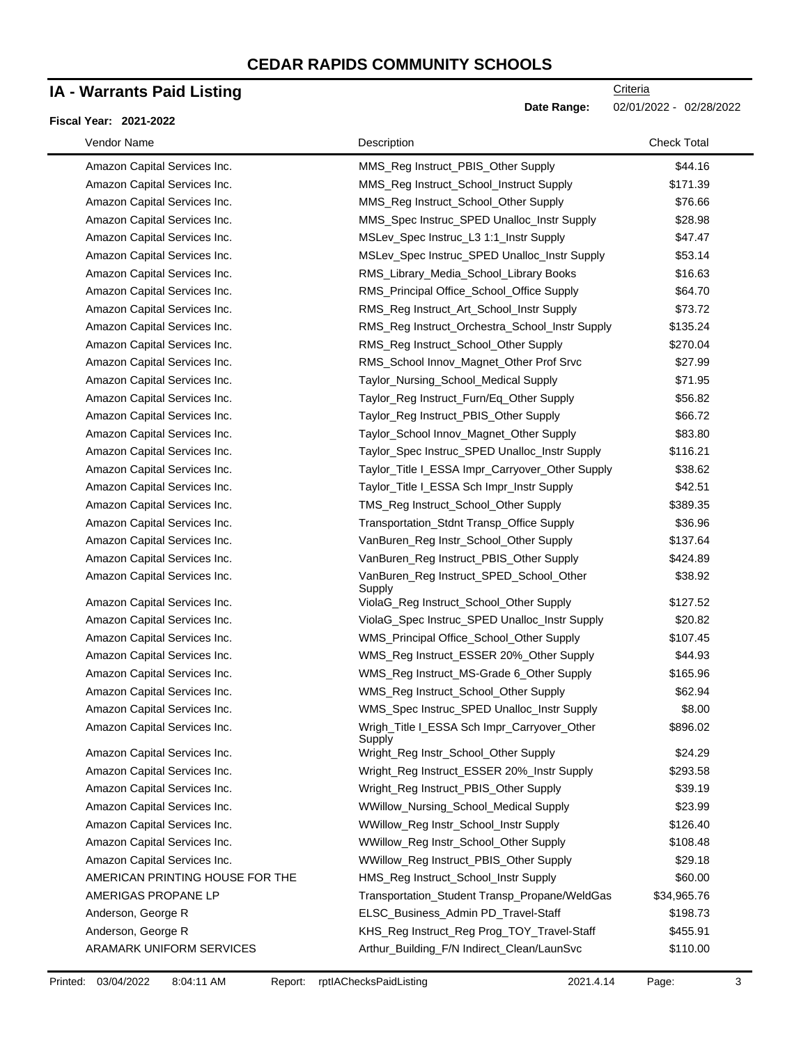## **IA - Warrants Paid Listing**

#### **Fiscal Year: 2021-2022**

| Vendor Name                     | Description                                           | <b>Check Total</b> |
|---------------------------------|-------------------------------------------------------|--------------------|
| Amazon Capital Services Inc.    | MMS_Reg Instruct_PBIS_Other Supply                    | \$44.16            |
| Amazon Capital Services Inc.    | MMS_Reg Instruct_School_Instruct Supply               | \$171.39           |
| Amazon Capital Services Inc.    | MMS_Reg Instruct_School_Other Supply                  | \$76.66            |
| Amazon Capital Services Inc.    | MMS_Spec Instruc_SPED Unalloc_Instr Supply            | \$28.98            |
| Amazon Capital Services Inc.    | MSLev_Spec Instruc_L3 1:1_Instr Supply                | \$47.47            |
| Amazon Capital Services Inc.    | MSLev_Spec Instruc_SPED Unalloc_Instr Supply          | \$53.14            |
| Amazon Capital Services Inc.    | RMS_Library_Media_School_Library Books                | \$16.63            |
| Amazon Capital Services Inc.    | RMS_Principal Office_School_Office Supply             | \$64.70            |
| Amazon Capital Services Inc.    | RMS_Reg Instruct_Art_School_Instr Supply              | \$73.72            |
| Amazon Capital Services Inc.    | RMS_Reg Instruct_Orchestra_School_Instr Supply        | \$135.24           |
| Amazon Capital Services Inc.    | RMS_Reg Instruct_School_Other Supply                  | \$270.04           |
| Amazon Capital Services Inc.    | RMS_School Innov_Magnet_Other Prof Srvc               | \$27.99            |
| Amazon Capital Services Inc.    | Taylor_Nursing_School_Medical Supply                  | \$71.95            |
| Amazon Capital Services Inc.    | Taylor_Reg Instruct_Furn/Eq_Other Supply              | \$56.82            |
| Amazon Capital Services Inc.    | Taylor_Reg Instruct_PBIS_Other Supply                 | \$66.72            |
| Amazon Capital Services Inc.    | Taylor_School Innov_Magnet_Other Supply               | \$83.80            |
| Amazon Capital Services Inc.    | Taylor_Spec Instruc_SPED Unalloc_Instr Supply         | \$116.21           |
| Amazon Capital Services Inc.    | Taylor_Title I_ESSA Impr_Carryover_Other Supply       | \$38.62            |
| Amazon Capital Services Inc.    | Taylor_Title I_ESSA Sch Impr_Instr Supply             | \$42.51            |
| Amazon Capital Services Inc.    | TMS_Reg Instruct_School_Other Supply                  | \$389.35           |
| Amazon Capital Services Inc.    | Transportation_Stdnt Transp_Office Supply             | \$36.96            |
| Amazon Capital Services Inc.    | VanBuren_Reg Instr_School_Other Supply                | \$137.64           |
| Amazon Capital Services Inc.    | VanBuren_Reg Instruct_PBIS_Other Supply               | \$424.89           |
| Amazon Capital Services Inc.    | VanBuren_Reg Instruct_SPED_School_Other<br>Supply     | \$38.92            |
| Amazon Capital Services Inc.    | ViolaG_Reg Instruct_School_Other Supply               | \$127.52           |
| Amazon Capital Services Inc.    | ViolaG_Spec Instruc_SPED Unalloc_Instr Supply         | \$20.82            |
| Amazon Capital Services Inc.    | WMS_Principal Office_School_Other Supply              | \$107.45           |
| Amazon Capital Services Inc.    | WMS_Reg Instruct_ESSER 20%_Other Supply               | \$44.93            |
| Amazon Capital Services Inc.    | WMS_Reg Instruct_MS-Grade 6_Other Supply              | \$165.96           |
| Amazon Capital Services Inc.    | WMS_Reg Instruct_School_Other Supply                  | \$62.94            |
| Amazon Capital Services Inc.    | WMS_Spec Instruc_SPED Unalloc_Instr Supply            | \$8.00             |
| Amazon Capital Services Inc.    | Wrigh_Title I_ESSA Sch Impr_Carryover_Other<br>Supply | \$896.02           |
| Amazon Capital Services Inc.    | Wright_Reg Instr_School_Other Supply                  | \$24.29            |
| Amazon Capital Services Inc.    | Wright_Reg Instruct_ESSER 20%_Instr Supply            | \$293.58           |
| Amazon Capital Services Inc.    | Wright_Reg Instruct_PBIS_Other Supply                 | \$39.19            |
| Amazon Capital Services Inc.    | WWillow_Nursing_School_Medical Supply                 | \$23.99            |
| Amazon Capital Services Inc.    | WWillow_Reg Instr_School_Instr Supply                 | \$126.40           |
| Amazon Capital Services Inc.    | WWillow_Reg Instr_School_Other Supply                 | \$108.48           |
| Amazon Capital Services Inc.    | WWillow_Reg Instruct_PBIS_Other Supply                | \$29.18            |
| AMERICAN PRINTING HOUSE FOR THE | HMS_Reg Instruct_School_Instr Supply                  | \$60.00            |
| AMERIGAS PROPANE LP             | Transportation_Student Transp_Propane/WeldGas         | \$34,965.76        |
| Anderson, George R              | ELSC_Business_Admin PD_Travel-Staff                   | \$198.73           |
| Anderson, George R              | KHS_Reg Instruct_Reg Prog_TOY_Travel-Staff            | \$455.91           |
| ARAMARK UNIFORM SERVICES        | Arthur_Building_F/N Indirect_Clean/LaunSvc            | \$110.00           |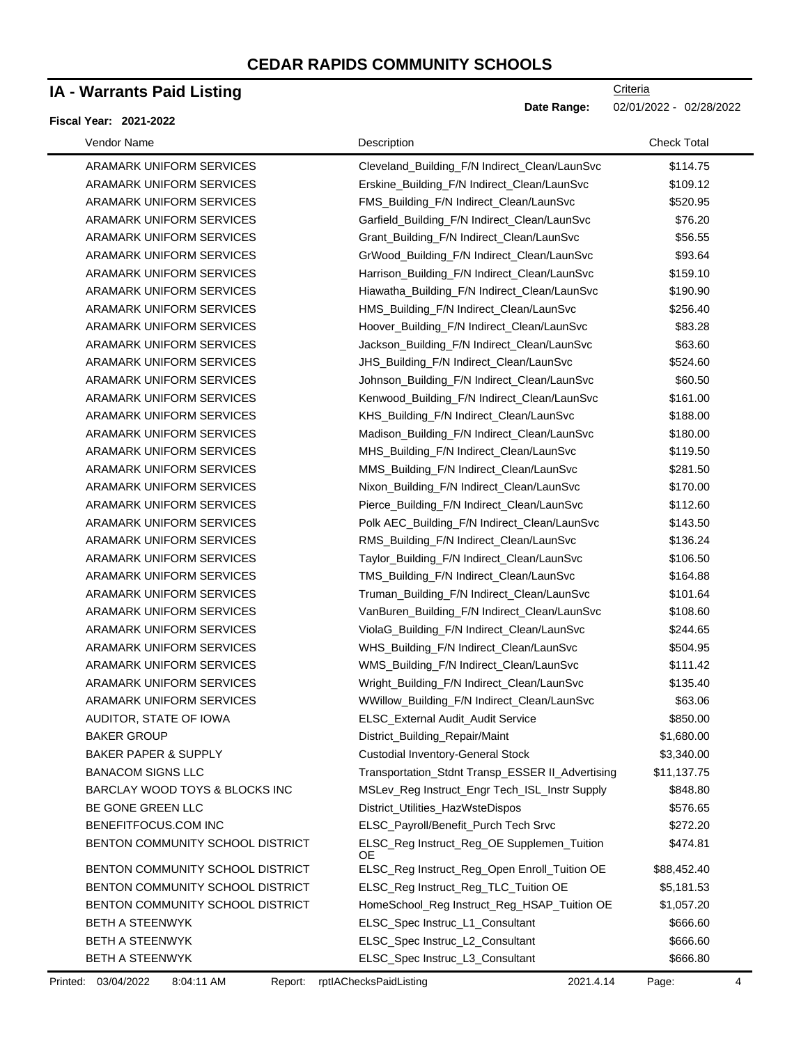## **IA - Warrants Paid Listing**

#### **Fiscal Year: 2021-2022**

| Vendor Name                      | Description                                      | <b>Check Total</b> |
|----------------------------------|--------------------------------------------------|--------------------|
| ARAMARK UNIFORM SERVICES         | Cleveland_Building_F/N Indirect_Clean/LaunSvc    | \$114.75           |
| ARAMARK UNIFORM SERVICES         | Erskine_Building_F/N Indirect_Clean/LaunSvc      | \$109.12           |
| ARAMARK UNIFORM SERVICES         | FMS_Building_F/N Indirect_Clean/LaunSvc          | \$520.95           |
| ARAMARK UNIFORM SERVICES         | Garfield_Building_F/N Indirect_Clean/LaunSvc     | \$76.20            |
| ARAMARK UNIFORM SERVICES         | Grant_Building_F/N Indirect_Clean/LaunSvc        | \$56.55            |
| ARAMARK UNIFORM SERVICES         | GrWood_Building_F/N Indirect_Clean/LaunSvc       | \$93.64            |
| ARAMARK UNIFORM SERVICES         | Harrison_Building_F/N Indirect_Clean/LaunSvc     | \$159.10           |
| ARAMARK UNIFORM SERVICES         | Hiawatha_Building_F/N Indirect_Clean/LaunSvc     | \$190.90           |
| ARAMARK UNIFORM SERVICES         | HMS_Building_F/N Indirect_Clean/LaunSvc          | \$256.40           |
| ARAMARK UNIFORM SERVICES         | Hoover_Building_F/N Indirect_Clean/LaunSvc       | \$83.28            |
| ARAMARK UNIFORM SERVICES         | Jackson_Building_F/N Indirect_Clean/LaunSvc      | \$63.60            |
| ARAMARK UNIFORM SERVICES         | JHS_Building_F/N Indirect_Clean/LaunSvc          | \$524.60           |
| ARAMARK UNIFORM SERVICES         | Johnson_Building_F/N Indirect_Clean/LaunSvc      | \$60.50            |
| ARAMARK UNIFORM SERVICES         | Kenwood_Building_F/N Indirect_Clean/LaunSvc      | \$161.00           |
| ARAMARK UNIFORM SERVICES         | KHS_Building_F/N Indirect_Clean/LaunSvc          | \$188.00           |
| ARAMARK UNIFORM SERVICES         | Madison_Building_F/N Indirect_Clean/LaunSvc      | \$180.00           |
| ARAMARK UNIFORM SERVICES         | MHS_Building_F/N Indirect_Clean/LaunSvc          | \$119.50           |
| ARAMARK UNIFORM SERVICES         | MMS_Building_F/N Indirect_Clean/LaunSvc          | \$281.50           |
| ARAMARK UNIFORM SERVICES         | Nixon_Building_F/N Indirect_Clean/LaunSvc        | \$170.00           |
| ARAMARK UNIFORM SERVICES         | Pierce_Building_F/N Indirect_Clean/LaunSvc       | \$112.60           |
| ARAMARK UNIFORM SERVICES         | Polk AEC_Building_F/N Indirect_Clean/LaunSvc     | \$143.50           |
| ARAMARK UNIFORM SERVICES         | RMS_Building_F/N Indirect_Clean/LaunSvc          | \$136.24           |
| ARAMARK UNIFORM SERVICES         | Taylor_Building_F/N Indirect_Clean/LaunSvc       | \$106.50           |
| ARAMARK UNIFORM SERVICES         | TMS_Building_F/N Indirect_Clean/LaunSvc          | \$164.88           |
| ARAMARK UNIFORM SERVICES         | Truman_Building_F/N Indirect_Clean/LaunSvc       | \$101.64           |
| ARAMARK UNIFORM SERVICES         | VanBuren_Building_F/N Indirect_Clean/LaunSvc     | \$108.60           |
| ARAMARK UNIFORM SERVICES         | ViolaG_Building_F/N Indirect_Clean/LaunSvc       | \$244.65           |
| ARAMARK UNIFORM SERVICES         | WHS_Building_F/N Indirect_Clean/LaunSvc          | \$504.95           |
| ARAMARK UNIFORM SERVICES         | WMS_Building_F/N Indirect_Clean/LaunSvc          | \$111.42           |
| ARAMARK UNIFORM SERVICES         | Wright_Building_F/N Indirect_Clean/LaunSvc       | \$135.40           |
| ARAMARK UNIFORM SERVICES         | WWillow_Building_F/N Indirect_Clean/LaunSvc      | \$63.06            |
| AUDITOR, STATE OF IOWA           | ELSC_External Audit_Audit Service                | \$850.00           |
| <b>BAKER GROUP</b>               | District_Building_Repair/Maint                   | \$1,680.00         |
| <b>BAKER PAPER &amp; SUPPLY</b>  | <b>Custodial Inventory-General Stock</b>         | \$3,340.00         |
| <b>BANACOM SIGNS LLC</b>         | Transportation_Stdnt Transp_ESSER II_Advertising | \$11,137.75        |
| BARCLAY WOOD TOYS & BLOCKS INC   | MSLev_Reg Instruct_Engr Tech_ISL_Instr Supply    | \$848.80           |
| BE GONE GREEN LLC                | District_Utilities_HazWsteDispos                 | \$576.65           |
| BENEFITFOCUS.COM INC             | ELSC_Payroll/Benefit_Purch Tech Srvc             | \$272.20           |
| BENTON COMMUNITY SCHOOL DISTRICT | ELSC_Reg Instruct_Reg_OE Supplemen_Tuition<br>ОE | \$474.81           |
| BENTON COMMUNITY SCHOOL DISTRICT | ELSC_Reg Instruct_Reg_Open Enroll_Tuition OE     | \$88,452.40        |
| BENTON COMMUNITY SCHOOL DISTRICT | ELSC_Reg Instruct_Reg_TLC_Tuition OE             | \$5,181.53         |
| BENTON COMMUNITY SCHOOL DISTRICT | HomeSchool_Reg Instruct_Reg_HSAP_Tuition OE      | \$1,057.20         |
| BETH A STEENWYK                  | ELSC_Spec Instruc_L1_Consultant                  | \$666.60           |
| BETH A STEENWYK                  | ELSC_Spec Instruc_L2_Consultant                  | \$666.60           |
| BETH A STEENWYK                  | ELSC_Spec Instruc_L3_Consultant                  | \$666.80           |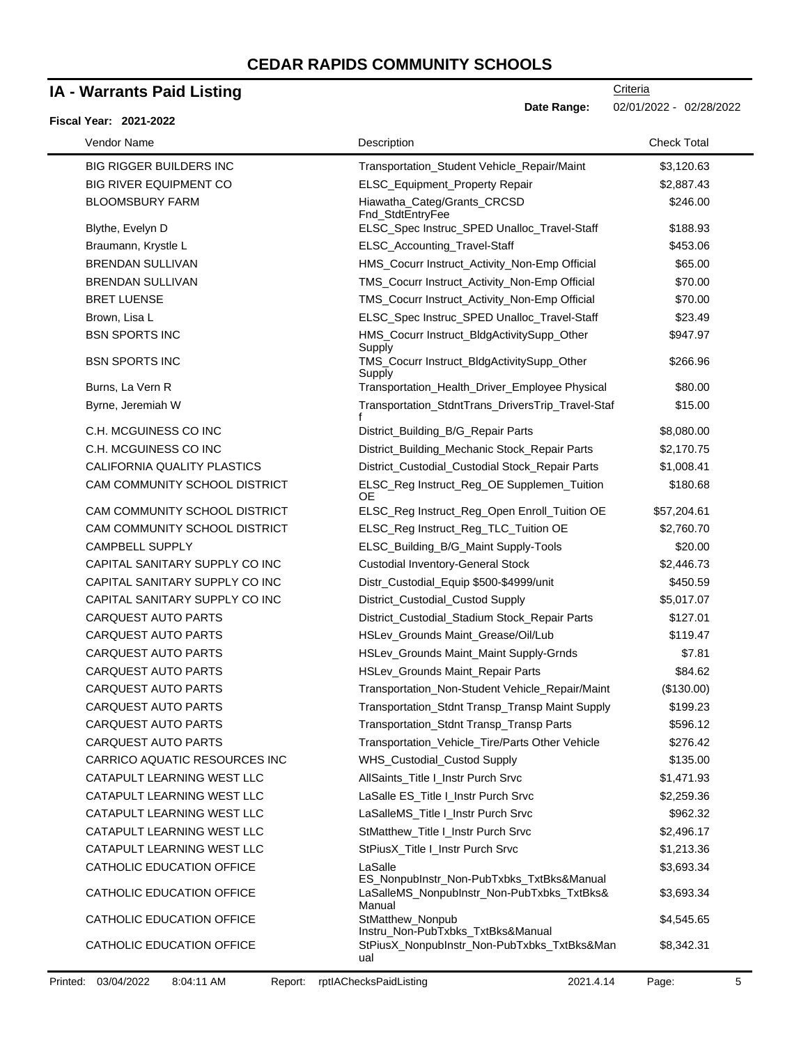### **IA - Warrants Paid Listing**

#### **Fiscal Year: 2021-2022**

**Criteria** 

**Date Range:** 02/01/2022 - 02/28/2022

| Vendor Name                    | Description                                           | <b>Check Total</b> |
|--------------------------------|-------------------------------------------------------|--------------------|
| <b>BIG RIGGER BUILDERS INC</b> | Transportation_Student Vehicle_Repair/Maint           | \$3,120.63         |
| <b>BIG RIVER EQUIPMENT CO</b>  | ELSC_Equipment_Property Repair                        | \$2,887.43         |
| <b>BLOOMSBURY FARM</b>         | Hiawatha_Categ/Grants_CRCSD<br>Fnd_StdtEntryFee       | \$246.00           |
| Blythe, Evelyn D               | ELSC_Spec Instruc_SPED Unalloc_Travel-Staff           | \$188.93           |
| Braumann, Krystle L            | ELSC_Accounting_Travel-Staff                          | \$453.06           |
| <b>BRENDAN SULLIVAN</b>        | HMS_Cocurr Instruct_Activity_Non-Emp Official         | \$65.00            |
| <b>BRENDAN SULLIVAN</b>        | TMS_Cocurr Instruct_Activity_Non-Emp Official         | \$70.00            |
| <b>BRET LUENSE</b>             | TMS_Cocurr Instruct_Activity_Non-Emp Official         | \$70.00            |
| Brown, Lisa L                  | ELSC_Spec Instruc_SPED Unalloc_Travel-Staff           | \$23.49            |
| <b>BSN SPORTS INC</b>          | HMS_Cocurr Instruct_BldgActivitySupp_Other<br>Supply  | \$947.97           |
| <b>BSN SPORTS INC</b>          | TMS_Cocurr Instruct_BldgActivitySupp_Other<br>Supply  | \$266.96           |
| Burns, La Vern R               | Transportation_Health_Driver_Employee Physical        | \$80.00            |
| Byrne, Jeremiah W              | Transportation_StdntTrans_DriversTrip_Travel-Staf     | \$15.00            |
| C.H. MCGUINESS CO INC          | District_Building_B/G_Repair Parts                    | \$8,080.00         |
| C.H. MCGUINESS CO INC          | District_Building_Mechanic Stock_Repair Parts         | \$2,170.75         |
| CALIFORNIA QUALITY PLASTICS    | District_Custodial_Custodial Stock_Repair Parts       | \$1,008.41         |
| CAM COMMUNITY SCHOOL DISTRICT  | ELSC_Reg Instruct_Reg_OE Supplemen_Tuition<br>ОE      | \$180.68           |
| CAM COMMUNITY SCHOOL DISTRICT  | ELSC_Reg Instruct_Reg_Open Enroll_Tuition OE          | \$57,204.61        |
| CAM COMMUNITY SCHOOL DISTRICT  | ELSC_Reg Instruct_Reg_TLC_Tuition OE                  | \$2,760.70         |
| <b>CAMPBELL SUPPLY</b>         | ELSC_Building_B/G_Maint Supply-Tools                  | \$20.00            |
| CAPITAL SANITARY SUPPLY CO INC | <b>Custodial Inventory-General Stock</b>              | \$2,446.73         |
| CAPITAL SANITARY SUPPLY CO INC | Distr_Custodial_Equip \$500-\$4999/unit               | \$450.59           |
| CAPITAL SANITARY SUPPLY CO INC | District_Custodial_Custod Supply                      | \$5,017.07         |
| <b>CARQUEST AUTO PARTS</b>     | District_Custodial_Stadium Stock_Repair Parts         | \$127.01           |
| <b>CARQUEST AUTO PARTS</b>     | HSLev_Grounds Maint_Grease/Oil/Lub                    | \$119.47           |
| <b>CARQUEST AUTO PARTS</b>     | HSLev_Grounds Maint_Maint Supply-Grnds                | \$7.81             |
| <b>CARQUEST AUTO PARTS</b>     | HSLev_Grounds Maint_Repair Parts                      | \$84.62            |
| <b>CARQUEST AUTO PARTS</b>     | Transportation_Non-Student Vehicle_Repair/Maint       | (\$130.00)         |
| <b>CARQUEST AUTO PARTS</b>     | Transportation_Stdnt Transp_Transp Maint Supply       | \$199.23           |
| <b>CARQUEST AUTO PARTS</b>     | Transportation_Stdnt Transp_Transp Parts              | \$596.12           |
| <b>CARQUEST AUTO PARTS</b>     | Transportation_Vehicle_Tire/Parts Other Vehicle       | \$276.42           |
| CARRICO AQUATIC RESOURCES INC  | WHS_Custodial_Custod Supply                           | \$135.00           |
| CATAPULT LEARNING WEST LLC     | AllSaints_Title I_Instr Purch Srvc                    | \$1,471.93         |
| CATAPULT LEARNING WEST LLC     | LaSalle ES_Title I_Instr Purch Srvc                   | \$2,259.36         |
| CATAPULT LEARNING WEST LLC     | LaSalleMS_Title I_Instr Purch Srvc                    | \$962.32           |
| CATAPULT LEARNING WEST LLC     | StMatthew_Title I_Instr Purch Srvc                    | \$2,496.17         |
| CATAPULT LEARNING WEST LLC     | StPiusX_Title I_Instr Purch Srvc                      | \$1,213.36         |
| CATHOLIC EDUCATION OFFICE      | LaSalle<br>ES_NonpubInstr_Non-PubTxbks_TxtBks&Manual  | \$3,693.34         |
| CATHOLIC EDUCATION OFFICE      | LaSalleMS_NonpubInstr_Non-PubTxbks_TxtBks&<br>Manual  | \$3,693.34         |
| CATHOLIC EDUCATION OFFICE      | StMatthew_Nonpub<br>Instru_Non-PubTxbks_TxtBks&Manual | \$4,545.65         |
| CATHOLIC EDUCATION OFFICE      | StPiusX_NonpubInstr_Non-PubTxbks_TxtBks&Man<br>ual    | \$8,342.31         |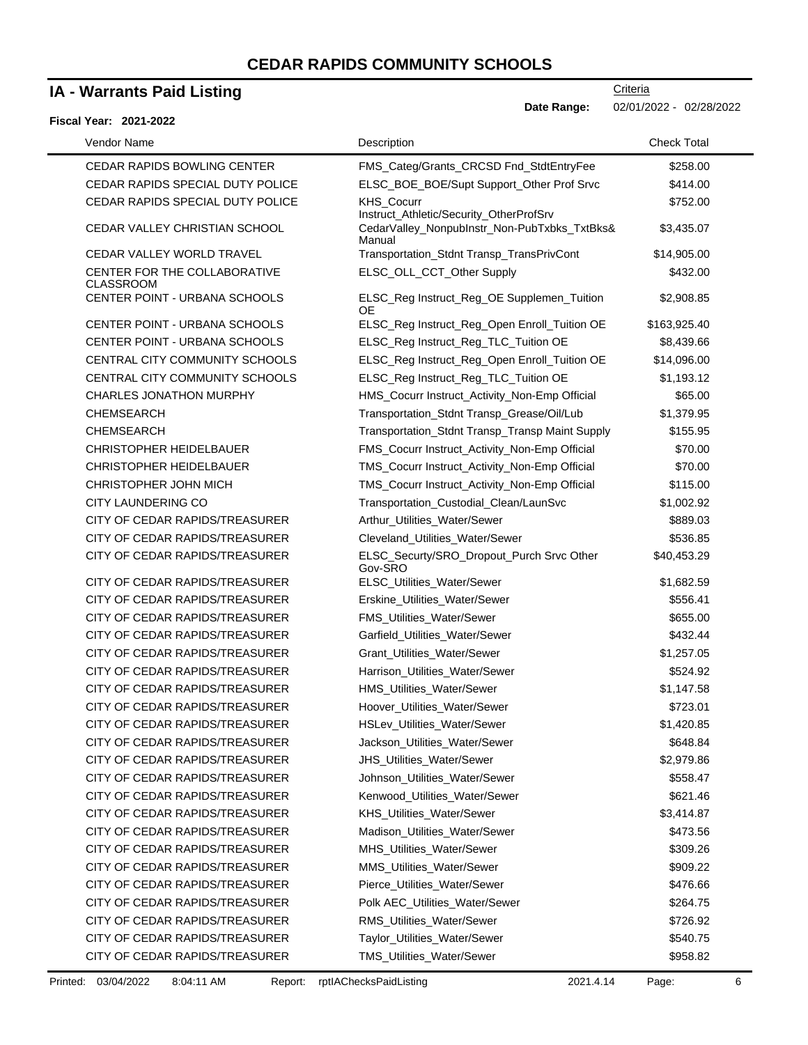### **IA - Warrants Paid Listing**

### **Fiscal Year: 2021-2022**

-

**Date Range:** 02/01/2022 - 02/28/2022

| Vendor Name                                      | Description                                                                                       | <b>Check Total</b> |
|--------------------------------------------------|---------------------------------------------------------------------------------------------------|--------------------|
| <b>CEDAR RAPIDS BOWLING CENTER</b>               | FMS_Categ/Grants_CRCSD Fnd_StdtEntryFee                                                           | \$258.00           |
| CEDAR RAPIDS SPECIAL DUTY POLICE                 | ELSC_BOE_BOE/Supt Support_Other Prof Srvc                                                         | \$414.00           |
| CEDAR RAPIDS SPECIAL DUTY POLICE                 | <b>KHS Cocurr</b>                                                                                 | \$752.00           |
| CEDAR VALLEY CHRISTIAN SCHOOL                    | Instruct_Athletic/Security_OtherProfSrv<br>CedarValley_NonpubInstr_Non-PubTxbks_TxtBks&<br>Manual | \$3,435.07         |
| CEDAR VALLEY WORLD TRAVEL                        | Transportation_Stdnt Transp_TransPrivCont                                                         | \$14,905.00        |
| CENTER FOR THE COLLABORATIVE<br><b>CLASSROOM</b> | ELSC_OLL_CCT_Other Supply                                                                         | \$432.00           |
| CENTER POINT - URBANA SCHOOLS                    | ELSC_Reg Instruct_Reg_OE Supplemen_Tuition<br>OE                                                  | \$2,908.85         |
| CENTER POINT - URBANA SCHOOLS                    | ELSC_Reg Instruct_Reg_Open Enroll_Tuition OE                                                      | \$163,925.40       |
| CENTER POINT - URBANA SCHOOLS                    | ELSC_Reg Instruct_Reg_TLC_Tuition OE                                                              | \$8,439.66         |
| CENTRAL CITY COMMUNITY SCHOOLS                   | ELSC_Reg Instruct_Reg_Open Enroll_Tuition OE                                                      | \$14,096.00        |
| CENTRAL CITY COMMUNITY SCHOOLS                   | ELSC_Reg Instruct_Reg_TLC_Tuition OE                                                              | \$1,193.12         |
| <b>CHARLES JONATHON MURPHY</b>                   | HMS_Cocurr Instruct_Activity_Non-Emp Official                                                     | \$65.00            |
| <b>CHEMSEARCH</b>                                | Transportation_Stdnt Transp_Grease/Oil/Lub                                                        | \$1,379.95         |
| <b>CHEMSEARCH</b>                                | Transportation_Stdnt Transp_Transp Maint Supply                                                   | \$155.95           |
| <b>CHRISTOPHER HEIDELBAUER</b>                   | FMS_Cocurr Instruct_Activity_Non-Emp Official                                                     | \$70.00            |
| CHRISTOPHER HEIDELBAUER                          | TMS_Cocurr Instruct_Activity_Non-Emp Official                                                     | \$70.00            |
| CHRISTOPHER JOHN MICH                            | TMS_Cocurr Instruct_Activity_Non-Emp Official                                                     | \$115.00           |
| <b>CITY LAUNDERING CO</b>                        | Transportation_Custodial_Clean/LaunSvc                                                            | \$1,002.92         |
| CITY OF CEDAR RAPIDS/TREASURER                   | Arthur_Utilities_Water/Sewer                                                                      | \$889.03           |
| CITY OF CEDAR RAPIDS/TREASURER                   | Cleveland_Utilities_Water/Sewer                                                                   | \$536.85           |
| CITY OF CEDAR RAPIDS/TREASURER                   | ELSC_Securty/SRO_Dropout_Purch Srvc Other<br>Gov-SRO                                              | \$40,453.29        |
| CITY OF CEDAR RAPIDS/TREASURER                   | ELSC_Utilities_Water/Sewer                                                                        | \$1,682.59         |
| CITY OF CEDAR RAPIDS/TREASURER                   | Erskine_Utilities_Water/Sewer                                                                     | \$556.41           |
| CITY OF CEDAR RAPIDS/TREASURER                   | FMS_Utilities_Water/Sewer                                                                         | \$655.00           |
| CITY OF CEDAR RAPIDS/TREASURER                   | Garfield_Utilities_Water/Sewer                                                                    | \$432.44           |
| CITY OF CEDAR RAPIDS/TREASURER                   | Grant_Utilities_Water/Sewer                                                                       | \$1,257.05         |
| CITY OF CEDAR RAPIDS/TREASURER                   | Harrison_Utilities_Water/Sewer                                                                    | \$524.92           |
| CITY OF CEDAR RAPIDS/TREASURER                   | HMS_Utilities_Water/Sewer                                                                         | \$1,147.58         |
| CITY OF CEDAR RAPIDS/TREASURER                   | Hoover_Utilities_Water/Sewer                                                                      | \$723.01           |
| CITY OF CEDAR RAPIDS/TREASURER                   | HSLev_Utilities_Water/Sewer                                                                       | \$1,420.85         |
| CITY OF CEDAR RAPIDS/TREASURER                   | Jackson_Utilities_Water/Sewer                                                                     | \$648.84           |
| CITY OF CEDAR RAPIDS/TREASURER                   | <b>JHS_Utilities_Water/Sewer</b>                                                                  | \$2,979.86         |
| CITY OF CEDAR RAPIDS/TREASURER                   | Johnson_Utilities_Water/Sewer                                                                     | \$558.47           |
| CITY OF CEDAR RAPIDS/TREASURER                   | Kenwood_Utilities_Water/Sewer                                                                     | \$621.46           |
| CITY OF CEDAR RAPIDS/TREASURER                   | KHS_Utilities_Water/Sewer                                                                         | \$3,414.87         |
| CITY OF CEDAR RAPIDS/TREASURER                   | Madison_Utilities_Water/Sewer                                                                     | \$473.56           |
| CITY OF CEDAR RAPIDS/TREASURER                   | MHS_Utilities_Water/Sewer                                                                         | \$309.26           |
| CITY OF CEDAR RAPIDS/TREASURER                   | MMS Utilities Water/Sewer                                                                         | \$909.22           |
| CITY OF CEDAR RAPIDS/TREASURER                   | Pierce_Utilities_Water/Sewer                                                                      | \$476.66           |
| CITY OF CEDAR RAPIDS/TREASURER                   | Polk AEC_Utilities_Water/Sewer                                                                    | \$264.75           |
| CITY OF CEDAR RAPIDS/TREASURER                   | RMS_Utilities_Water/Sewer                                                                         | \$726.92           |
| CITY OF CEDAR RAPIDS/TREASURER                   | Taylor_Utilities_Water/Sewer                                                                      | \$540.75           |
| CITY OF CEDAR RAPIDS/TREASURER                   | TMS_Utilities_Water/Sewer                                                                         | \$958.82           |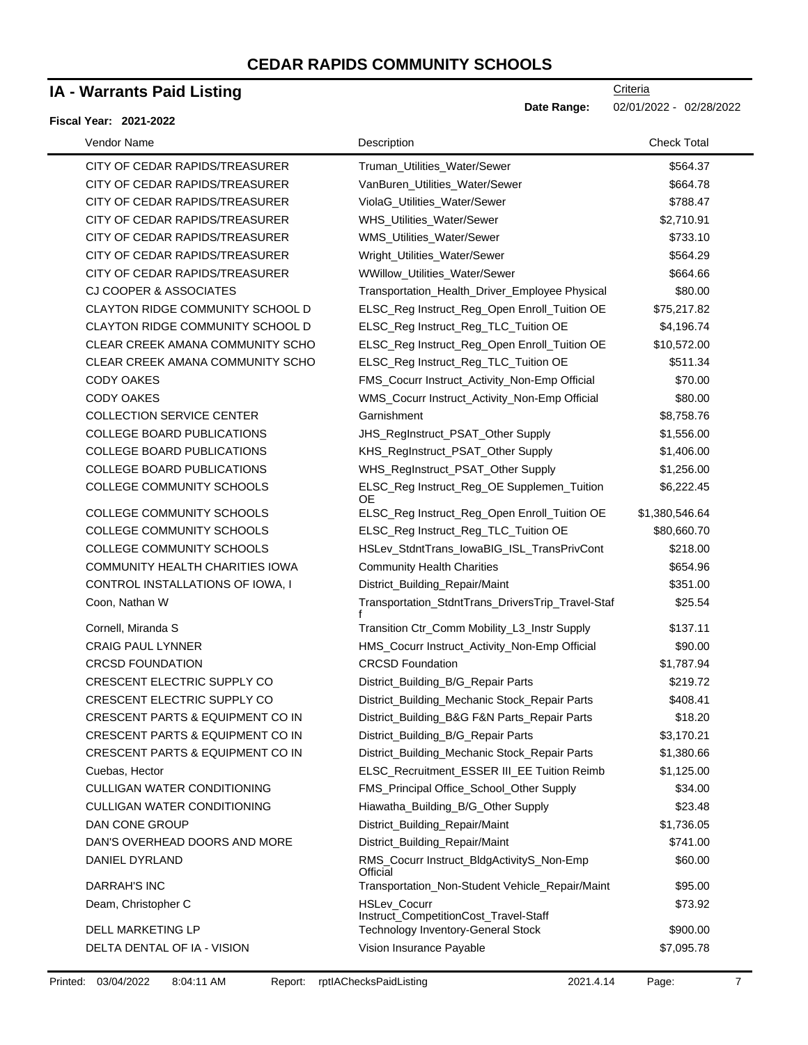### **IA - Warrants Paid Listing**

#### **Fiscal Year: 2021-2022**

**Criteria** 

**Date Range:** 02/01/2022 - 02/28/2022

| Vendor Name                                 | Description                                                  | <b>Check Total</b> |
|---------------------------------------------|--------------------------------------------------------------|--------------------|
| CITY OF CEDAR RAPIDS/TREASURER              | Truman_Utilities_Water/Sewer                                 | \$564.37           |
| CITY OF CEDAR RAPIDS/TREASURER              | VanBuren_Utilities_Water/Sewer                               | \$664.78           |
| CITY OF CEDAR RAPIDS/TREASURER              | ViolaG_Utilities_Water/Sewer                                 | \$788.47           |
| CITY OF CEDAR RAPIDS/TREASURER              | WHS_Utilities_Water/Sewer                                    | \$2,710.91         |
| CITY OF CEDAR RAPIDS/TREASURER              | WMS_Utilities_Water/Sewer                                    | \$733.10           |
| CITY OF CEDAR RAPIDS/TREASURER              | Wright_Utilities_Water/Sewer                                 | \$564.29           |
| CITY OF CEDAR RAPIDS/TREASURER              | WWillow_Utilities_Water/Sewer                                | \$664.66           |
| CJ COOPER & ASSOCIATES                      | Transportation_Health_Driver_Employee Physical               | \$80.00            |
| CLAYTON RIDGE COMMUNITY SCHOOL D            | ELSC_Reg Instruct_Reg_Open Enroll_Tuition OE                 | \$75,217.82        |
| CLAYTON RIDGE COMMUNITY SCHOOL D            | ELSC_Reg Instruct_Reg_TLC_Tuition OE                         | \$4,196.74         |
| CLEAR CREEK AMANA COMMUNITY SCHO            | ELSC_Reg Instruct_Reg_Open Enroll_Tuition OE                 | \$10,572.00        |
| CLEAR CREEK AMANA COMMUNITY SCHO            | ELSC_Reg Instruct_Reg_TLC_Tuition OE                         | \$511.34           |
| <b>CODY OAKES</b>                           | FMS_Cocurr Instruct_Activity_Non-Emp Official                | \$70.00            |
| <b>CODY OAKES</b>                           | WMS_Cocurr Instruct_Activity_Non-Emp Official                | \$80.00            |
| <b>COLLECTION SERVICE CENTER</b>            | Garnishment                                                  | \$8,758.76         |
| <b>COLLEGE BOARD PUBLICATIONS</b>           | JHS_RegInstruct_PSAT_Other Supply                            | \$1,556.00         |
| <b>COLLEGE BOARD PUBLICATIONS</b>           | KHS_RegInstruct_PSAT_Other Supply                            | \$1,406.00         |
| <b>COLLEGE BOARD PUBLICATIONS</b>           | WHS_RegInstruct_PSAT_Other Supply                            | \$1,256.00         |
| <b>COLLEGE COMMUNITY SCHOOLS</b>            | ELSC_Reg Instruct_Reg_OE Supplemen_Tuition<br>ОE             | \$6,222.45         |
| COLLEGE COMMUNITY SCHOOLS                   | ELSC_Reg Instruct_Reg_Open Enroll_Tuition OE                 | \$1,380,546.64     |
| COLLEGE COMMUNITY SCHOOLS                   | ELSC_Reg Instruct_Reg_TLC_Tuition OE                         | \$80,660.70        |
| <b>COLLEGE COMMUNITY SCHOOLS</b>            | HSLev_StdntTrans_lowaBIG_ISL_TransPrivCont                   | \$218.00           |
| COMMUNITY HEALTH CHARITIES IOWA             | <b>Community Health Charities</b>                            | \$654.96           |
| CONTROL INSTALLATIONS OF IOWA, I            | District_Building_Repair/Maint                               | \$351.00           |
| Coon, Nathan W                              | Transportation_StdntTrans_DriversTrip_Travel-Staf            | \$25.54            |
| Cornell, Miranda S                          | Transition Ctr_Comm Mobility_L3_Instr Supply                 | \$137.11           |
| <b>CRAIG PAUL LYNNER</b>                    | HMS_Cocurr Instruct_Activity_Non-Emp Official                | \$90.00            |
| <b>CRCSD FOUNDATION</b>                     | <b>CRCSD Foundation</b>                                      | \$1,787.94         |
| CRESCENT ELECTRIC SUPPLY CO                 | District_Building_B/G_Repair Parts                           | \$219.72           |
| CRESCENT ELECTRIC SUPPLY CO                 | District_Building_Mechanic Stock_Repair Parts                | \$408.41           |
| CRESCENT PARTS & EQUIPMENT CO IN            | District_Building_B&G F&N Parts_Repair Parts                 | \$18.20            |
| CRESCENT PARTS & EQUIPMENT CO IN            | District_Building_B/G_Repair Parts                           | \$3,170.21         |
| <b>CRESCENT PARTS &amp; EQUIPMENT CO IN</b> | District_Building_Mechanic Stock_Repair Parts                | \$1,380.66         |
| Cuebas, Hector                              | ELSC_Recruitment_ESSER III_EE Tuition Reimb                  | \$1,125.00         |
| <b>CULLIGAN WATER CONDITIONING</b>          | FMS_Principal Office_School_Other Supply                     | \$34.00            |
| <b>CULLIGAN WATER CONDITIONING</b>          | Hiawatha_Building_B/G_Other Supply                           | \$23.48            |
| DAN CONE GROUP                              | District_Building_Repair/Maint                               | \$1,736.05         |
| DAN'S OVERHEAD DOORS AND MORE               | District_Building_Repair/Maint                               | \$741.00           |
| DANIEL DYRLAND                              | RMS_Cocurr Instruct_BldgActivityS_Non-Emp<br>Official        | \$60.00            |
| DARRAH'S INC                                | Transportation_Non-Student Vehicle_Repair/Maint              | \$95.00            |
| Deam, Christopher C                         | <b>HSLev Cocurr</b><br>Instruct_CompetitionCost_Travel-Staff | \$73.92            |
| <b>DELL MARKETING LP</b>                    | Technology Inventory-General Stock                           | \$900.00           |
| DELTA DENTAL OF IA - VISION                 | Vision Insurance Payable                                     | \$7,095.78         |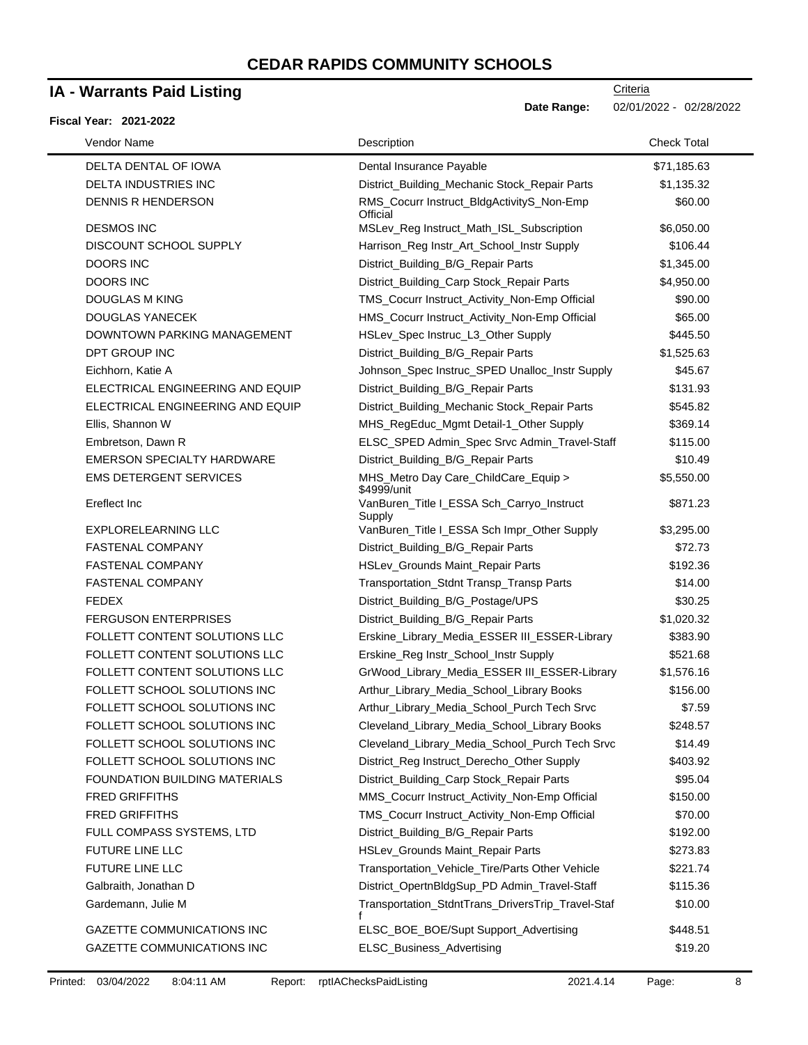## **IA - Warrants Paid Listing**

### **Fiscal Year: 2021-2022**

**Criteria** 

**Date Range:** 02/01/2022 - 02/28/2022

| Vendor Name                          | Description                                           | <b>Check Total</b> |
|--------------------------------------|-------------------------------------------------------|--------------------|
| <b>DELTA DENTAL OF IOWA</b>          | Dental Insurance Payable                              | \$71,185.63        |
| <b>DELTA INDUSTRIES INC</b>          | District_Building_Mechanic Stock_Repair Parts         | \$1,135.32         |
| DENNIS R HENDERSON                   | RMS_Cocurr Instruct_BldgActivityS_Non-Emp<br>Official | \$60.00            |
| <b>DESMOS INC</b>                    | MSLev_Reg Instruct_Math_ISL_Subscription              | \$6,050.00         |
| DISCOUNT SCHOOL SUPPLY               | Harrison_Reg Instr_Art_School_Instr Supply            | \$106.44           |
| <b>DOORS INC</b>                     | District_Building_B/G_Repair Parts                    | \$1,345.00         |
| <b>DOORS INC</b>                     | District_Building_Carp Stock_Repair Parts             | \$4,950.00         |
| <b>DOUGLAS M KING</b>                | TMS_Cocurr Instruct_Activity_Non-Emp Official         | \$90.00            |
| DOUGLAS YANECEK                      | HMS_Cocurr Instruct_Activity_Non-Emp Official         | \$65.00            |
| DOWNTOWN PARKING MANAGEMENT          | HSLev_Spec Instruc_L3_Other Supply                    | \$445.50           |
| DPT GROUP INC                        | District_Building_B/G_Repair Parts                    | \$1,525.63         |
| Eichhorn, Katie A                    | Johnson_Spec Instruc_SPED Unalloc_Instr Supply        | \$45.67            |
| ELECTRICAL ENGINEERING AND EQUIP     | District_Building_B/G_Repair Parts                    | \$131.93           |
| ELECTRICAL ENGINEERING AND EQUIP     | District_Building_Mechanic Stock_Repair Parts         | \$545.82           |
| Ellis, Shannon W                     | MHS_RegEduc_Mgmt Detail-1_Other Supply                | \$369.14           |
| Embretson, Dawn R                    | ELSC_SPED Admin_Spec Srvc Admin_Travel-Staff          | \$115.00           |
| <b>EMERSON SPECIALTY HARDWARE</b>    | District_Building_B/G_Repair Parts                    | \$10.49            |
| <b>EMS DETERGENT SERVICES</b>        | MHS_Metro Day Care_ChildCare_Equip ><br>\$4999/unit   | \$5,550.00         |
| Ereflect Inc                         | VanBuren_Title I_ESSA Sch_Carryo_Instruct<br>Supply   | \$871.23           |
| EXPLORELEARNING LLC                  | VanBuren_Title I_ESSA Sch Impr_Other Supply           | \$3,295.00         |
| <b>FASTENAL COMPANY</b>              | District_Building_B/G_Repair Parts                    | \$72.73            |
| <b>FASTENAL COMPANY</b>              | HSLev_Grounds Maint_Repair Parts                      | \$192.36           |
| <b>FASTENAL COMPANY</b>              | Transportation_Stdnt Transp_Transp Parts              | \$14.00            |
| <b>FEDEX</b>                         | District_Building_B/G_Postage/UPS                     | \$30.25            |
| <b>FERGUSON ENTERPRISES</b>          | District_Building_B/G_Repair Parts                    | \$1,020.32         |
| FOLLETT CONTENT SOLUTIONS LLC        | Erskine_Library_Media_ESSER III_ESSER-Library         | \$383.90           |
| FOLLETT CONTENT SOLUTIONS LLC        | Erskine_Reg Instr_School_Instr Supply                 | \$521.68           |
| FOLLETT CONTENT SOLUTIONS LLC        | GrWood_Library_Media_ESSER III_ESSER-Library          | \$1,576.16         |
| FOLLETT SCHOOL SOLUTIONS INC         | Arthur_Library_Media_School_Library Books             | \$156.00           |
| FOLLETT SCHOOL SOLUTIONS INC         | Arthur_Library_Media_School_Purch Tech Srvc           | \$7.59             |
| FOLLETT SCHOOL SOLUTIONS INC         | Cleveland_Library_Media_School_Library Books          | \$248.57           |
| FOLLETT SCHOOL SOLUTIONS INC         | Cleveland_Library_Media_School_Purch Tech Srvc        | \$14.49            |
| FOLLETT SCHOOL SOLUTIONS INC         | District_Reg Instruct_Derecho_Other Supply            | \$403.92           |
| <b>FOUNDATION BUILDING MATERIALS</b> | District_Building_Carp Stock_Repair Parts             | \$95.04            |
| <b>FRED GRIFFITHS</b>                | MMS_Cocurr Instruct_Activity_Non-Emp Official         | \$150.00           |
| <b>FRED GRIFFITHS</b>                | TMS_Cocurr Instruct_Activity_Non-Emp Official         | \$70.00            |
| FULL COMPASS SYSTEMS, LTD            | District_Building_B/G_Repair Parts                    | \$192.00           |
| <b>FUTURE LINE LLC</b>               | HSLev_Grounds Maint_Repair Parts                      | \$273.83           |
| <b>FUTURE LINE LLC</b>               | Transportation_Vehicle_Tire/Parts Other Vehicle       | \$221.74           |
| Galbraith, Jonathan D                | District_OpertnBldgSup_PD Admin_Travel-Staff          | \$115.36           |
| Gardemann, Julie M                   | Transportation_StdntTrans_DriversTrip_Travel-Staf     | \$10.00            |
| GAZETTE COMMUNICATIONS INC           | ELSC_BOE_BOE/Supt Support_Advertising                 | \$448.51           |
| GAZETTE COMMUNICATIONS INC           | ELSC_Business_Advertising                             | \$19.20            |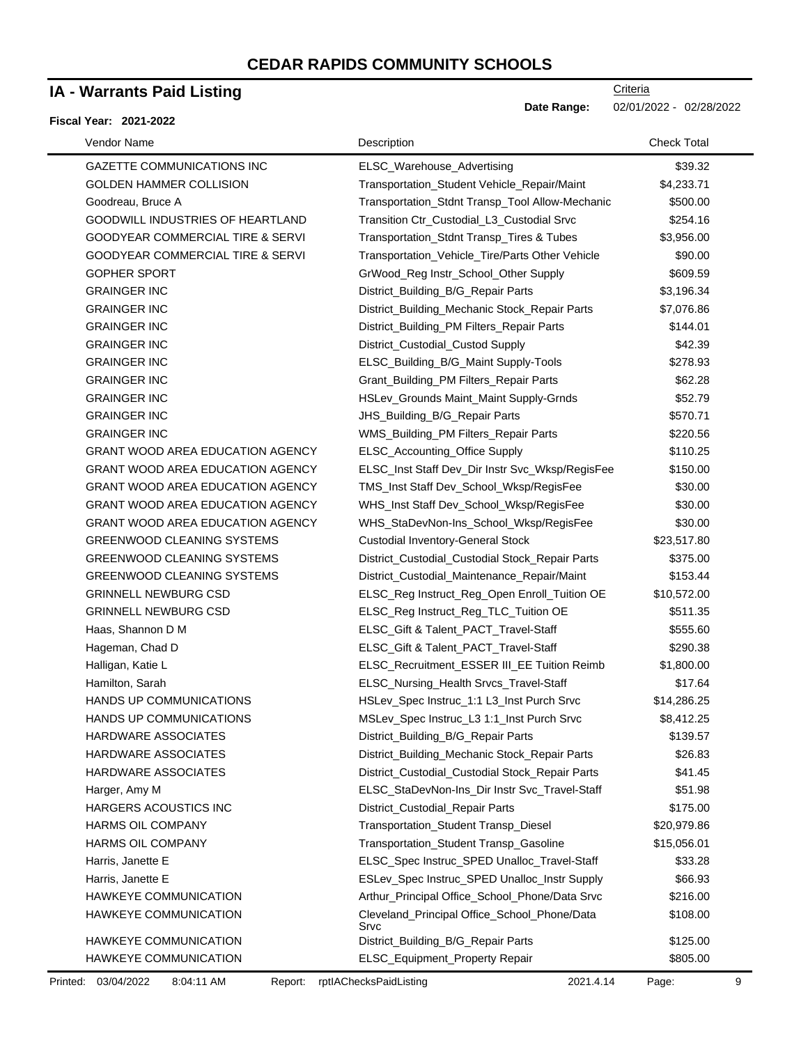## **IA - Warrants Paid Listing**

#### **Fiscal Year: 2021-2022**

| Vendor Name                                 | Description                                          | <b>Check Total</b> |
|---------------------------------------------|------------------------------------------------------|--------------------|
| <b>GAZETTE COMMUNICATIONS INC</b>           | ELSC_Warehouse_Advertising                           | \$39.32            |
| <b>GOLDEN HAMMER COLLISION</b>              | Transportation_Student Vehicle_Repair/Maint          | \$4,233.71         |
| Goodreau, Bruce A                           | Transportation_Stdnt Transp_Tool Allow-Mechanic      | \$500.00           |
| GOODWILL INDUSTRIES OF HEARTLAND            | Transition Ctr_Custodial_L3_Custodial Srvc           | \$254.16           |
| <b>GOODYEAR COMMERCIAL TIRE &amp; SERVI</b> | Transportation_Stdnt Transp_Tires & Tubes            | \$3,956.00         |
| GOODYEAR COMMERCIAL TIRE & SERVI            | Transportation_Vehicle_Tire/Parts Other Vehicle      | \$90.00            |
| <b>GOPHER SPORT</b>                         | GrWood_Reg Instr_School_Other Supply                 | \$609.59           |
| <b>GRAINGER INC</b>                         | District_Building_B/G_Repair Parts                   | \$3,196.34         |
| <b>GRAINGER INC</b>                         | District_Building_Mechanic Stock_Repair Parts        | \$7,076.86         |
| <b>GRAINGER INC</b>                         | District_Building_PM Filters_Repair Parts            | \$144.01           |
| <b>GRAINGER INC</b>                         | District_Custodial_Custod Supply                     | \$42.39            |
| <b>GRAINGER INC</b>                         | ELSC_Building_B/G_Maint Supply-Tools                 | \$278.93           |
| <b>GRAINGER INC</b>                         | Grant_Building_PM Filters_Repair Parts               | \$62.28            |
| <b>GRAINGER INC</b>                         | HSLev_Grounds Maint_Maint Supply-Grnds               | \$52.79            |
| <b>GRAINGER INC</b>                         | JHS_Building_B/G_Repair Parts                        | \$570.71           |
| <b>GRAINGER INC</b>                         | WMS_Building_PM Filters_Repair Parts                 | \$220.56           |
| <b>GRANT WOOD AREA EDUCATION AGENCY</b>     | ELSC_Accounting_Office Supply                        | \$110.25           |
| <b>GRANT WOOD AREA EDUCATION AGENCY</b>     | ELSC_Inst Staff Dev_Dir Instr Svc_Wksp/RegisFee      | \$150.00           |
| <b>GRANT WOOD AREA EDUCATION AGENCY</b>     | TMS_Inst Staff Dev_School_Wksp/RegisFee              | \$30.00            |
| <b>GRANT WOOD AREA EDUCATION AGENCY</b>     | WHS_Inst Staff Dev_School_Wksp/RegisFee              | \$30.00            |
| <b>GRANT WOOD AREA EDUCATION AGENCY</b>     | WHS_StaDevNon-Ins_School_Wksp/RegisFee               | \$30.00            |
| <b>GREENWOOD CLEANING SYSTEMS</b>           | <b>Custodial Inventory-General Stock</b>             | \$23,517.80        |
| <b>GREENWOOD CLEANING SYSTEMS</b>           | District_Custodial_Custodial Stock_Repair Parts      | \$375.00           |
| <b>GREENWOOD CLEANING SYSTEMS</b>           | District_Custodial_Maintenance_Repair/Maint          | \$153.44           |
| <b>GRINNELL NEWBURG CSD</b>                 | ELSC_Reg Instruct_Reg_Open Enroll_Tuition OE         | \$10,572.00        |
| <b>GRINNELL NEWBURG CSD</b>                 | ELSC_Reg Instruct_Reg_TLC_Tuition OE                 | \$511.35           |
| Haas, Shannon D M                           | ELSC_Gift & Talent_PACT_Travel-Staff                 | \$555.60           |
| Hageman, Chad D                             | ELSC_Gift & Talent_PACT_Travel-Staff                 | \$290.38           |
| Halligan, Katie L                           | ELSC_Recruitment_ESSER III_EE Tuition Reimb          | \$1,800.00         |
| Hamilton, Sarah                             | ELSC_Nursing_Health Srvcs_Travel-Staff               | \$17.64            |
| HANDS UP COMMUNICATIONS                     | HSLev_Spec Instruc_1:1 L3_Inst Purch Srvc            | \$14,286.25        |
| HANDS UP COMMUNICATIONS                     | MSLev_Spec Instruc_L3 1:1_Inst Purch Srvc            | \$8,412.25         |
| <b>HARDWARE ASSOCIATES</b>                  | District_Building_B/G_Repair Parts                   | \$139.57           |
| HARDWARE ASSOCIATES                         | District_Building_Mechanic Stock_Repair Parts        | \$26.83            |
| <b>HARDWARE ASSOCIATES</b>                  | District_Custodial_Custodial Stock_Repair Parts      | \$41.45            |
| Harger, Amy M                               | ELSC_StaDevNon-Ins_Dir Instr Svc_Travel-Staff        | \$51.98            |
| HARGERS ACOUSTICS INC                       | District_Custodial_Repair Parts                      | \$175.00           |
| <b>HARMS OIL COMPANY</b>                    | Transportation_Student Transp_Diesel                 | \$20,979.86        |
| HARMS OIL COMPANY                           | Transportation_Student Transp_Gasoline               | \$15,056.01        |
| Harris, Janette E                           | ELSC_Spec Instruc_SPED Unalloc_Travel-Staff          | \$33.28            |
| Harris, Janette E                           | ESLev_Spec Instruc_SPED Unalloc_Instr Supply         | \$66.93            |
| <b>HAWKEYE COMMUNICATION</b>                | Arthur_Principal Office_School_Phone/Data Srvc       | \$216.00           |
| HAWKEYE COMMUNICATION                       | Cleveland_Principal Office_School_Phone/Data<br>Srvc | \$108.00           |
| HAWKEYE COMMUNICATION                       | District_Building_B/G_Repair Parts                   | \$125.00           |
| HAWKEYE COMMUNICATION                       | ELSC_Equipment_Property Repair                       | \$805.00           |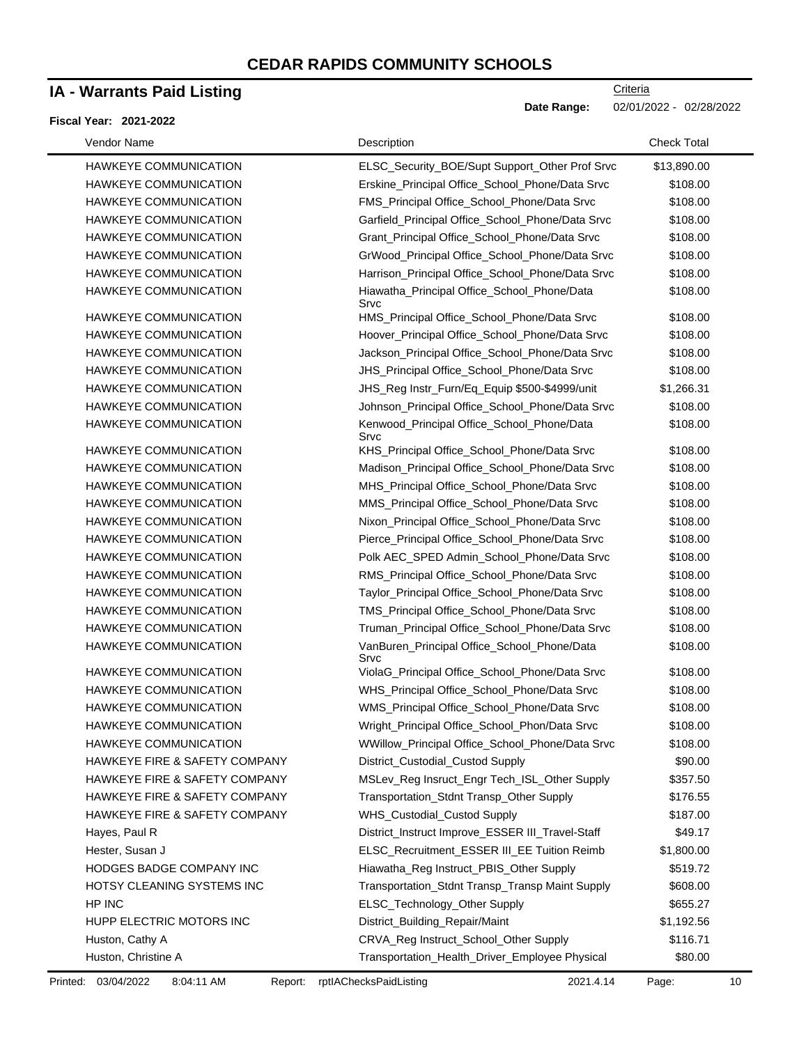## **IA - Warrants Paid Listing**

#### **Fiscal Year: 2021-2022**

**Criteria Date Range:** 02/01/2022 - 02/28/2022

| Vendor Name                              | Description                                         | <b>Check Total</b> |
|------------------------------------------|-----------------------------------------------------|--------------------|
| HAWKEYE COMMUNICATION                    | ELSC_Security_BOE/Supt Support_Other Prof Srvc      | \$13,890.00        |
| HAWKEYE COMMUNICATION                    | Erskine_Principal Office_School_Phone/Data Srvc     | \$108.00           |
| <b>HAWKEYE COMMUNICATION</b>             | FMS_Principal Office_School_Phone/Data Srvc         | \$108.00           |
| HAWKEYE COMMUNICATION                    | Garfield_Principal Office_School_Phone/Data Srvc    | \$108.00           |
| HAWKEYE COMMUNICATION                    | Grant_Principal Office_School_Phone/Data Srvc       | \$108.00           |
| HAWKEYE COMMUNICATION                    | GrWood_Principal Office_School_Phone/Data Srvc      | \$108.00           |
| HAWKEYE COMMUNICATION                    | Harrison_Principal Office_School_Phone/Data Srvc    | \$108.00           |
| <b>HAWKEYE COMMUNICATION</b>             | Hiawatha_Principal Office_School_Phone/Data<br>Srvc | \$108.00           |
| <b>HAWKEYE COMMUNICATION</b>             | HMS_Principal Office_School_Phone/Data Srvc         | \$108.00           |
| HAWKEYE COMMUNICATION                    | Hoover_Principal Office_School_Phone/Data Srvc      | \$108.00           |
| HAWKEYE COMMUNICATION                    | Jackson_Principal Office_School_Phone/Data Srvc     | \$108.00           |
| HAWKEYE COMMUNICATION                    | JHS_Principal Office_School_Phone/Data Srvc         | \$108.00           |
| HAWKEYE COMMUNICATION                    | JHS_Reg Instr_Furn/Eq_Equip \$500-\$4999/unit       | \$1,266.31         |
| HAWKEYE COMMUNICATION                    | Johnson_Principal Office_School_Phone/Data Srvc     | \$108.00           |
| HAWKEYE COMMUNICATION                    | Kenwood_Principal Office_School_Phone/Data<br>Srvc  | \$108.00           |
| HAWKEYE COMMUNICATION                    | KHS_Principal Office_School_Phone/Data Srvc         | \$108.00           |
| HAWKEYE COMMUNICATION                    | Madison_Principal Office_School_Phone/Data Srvc     | \$108.00           |
| HAWKEYE COMMUNICATION                    | MHS_Principal Office_School_Phone/Data Srvc         | \$108.00           |
| HAWKEYE COMMUNICATION                    | MMS_Principal Office_School_Phone/Data Srvc         | \$108.00           |
| HAWKEYE COMMUNICATION                    | Nixon_Principal Office_School_Phone/Data Srvc       | \$108.00           |
| HAWKEYE COMMUNICATION                    | Pierce_Principal Office_School_Phone/Data Srvc      | \$108.00           |
| HAWKEYE COMMUNICATION                    | Polk AEC_SPED Admin_School_Phone/Data Srvc          | \$108.00           |
| HAWKEYE COMMUNICATION                    | RMS_Principal Office_School_Phone/Data Srvc         | \$108.00           |
| HAWKEYE COMMUNICATION                    | Taylor_Principal Office_School_Phone/Data Srvc      | \$108.00           |
| HAWKEYE COMMUNICATION                    | TMS_Principal Office_School_Phone/Data Srvc         | \$108.00           |
| HAWKEYE COMMUNICATION                    | Truman_Principal Office_School_Phone/Data Srvc      | \$108.00           |
| HAWKEYE COMMUNICATION                    | VanBuren_Principal Office_School_Phone/Data<br>Srvc | \$108.00           |
| HAWKEYE COMMUNICATION                    | ViolaG_Principal Office_School_Phone/Data Srvc      | \$108.00           |
| HAWKEYE COMMUNICATION                    | WHS_Principal Office_School_Phone/Data Srvc         | \$108.00           |
| HAWKEYE COMMUNICATION                    | WMS_Principal Office_School_Phone/Data Srvc         | \$108.00           |
| HAWKEYE COMMUNICATION                    | Wright_Principal Office_School_Phon/Data Srvc       | \$108.00           |
| HAWKEYE COMMUNICATION                    | WWillow_Principal Office_School_Phone/Data Srvc     | \$108.00           |
| HAWKEYE FIRE & SAFETY COMPANY            | District_Custodial_Custod Supply                    | \$90.00            |
| HAWKEYE FIRE & SAFETY COMPANY            | MSLev_Reg Insruct_Engr Tech_ISL_Other Supply        | \$357.50           |
| HAWKEYE FIRE & SAFETY COMPANY            | Transportation_Stdnt Transp_Other Supply            | \$176.55           |
| <b>HAWKEYE FIRE &amp; SAFETY COMPANY</b> | WHS_Custodial_Custod Supply                         | \$187.00           |
| Hayes, Paul R                            | District_Instruct Improve_ESSER III_Travel-Staff    | \$49.17            |
| Hester, Susan J                          | ELSC_Recruitment_ESSER III_EE Tuition Reimb         | \$1,800.00         |
| HODGES BADGE COMPANY INC                 | Hiawatha_Reg Instruct_PBIS_Other Supply             | \$519.72           |
| HOTSY CLEANING SYSTEMS INC               | Transportation_Stdnt Transp_Transp Maint Supply     | \$608.00           |
| HP INC                                   | ELSC_Technology_Other Supply                        | \$655.27           |
| HUPP ELECTRIC MOTORS INC                 | District_Building_Repair/Maint                      | \$1,192.56         |
| Huston, Cathy A                          | CRVA_Reg Instruct_School_Other Supply               | \$116.71           |
| Huston, Christine A                      | Transportation_Health_Driver_Employee Physical      | \$80.00            |

Printed: 03/04/2022 8:04:11 AM Report: rptIAChecksPaidListing 2021.4.14 Page: 10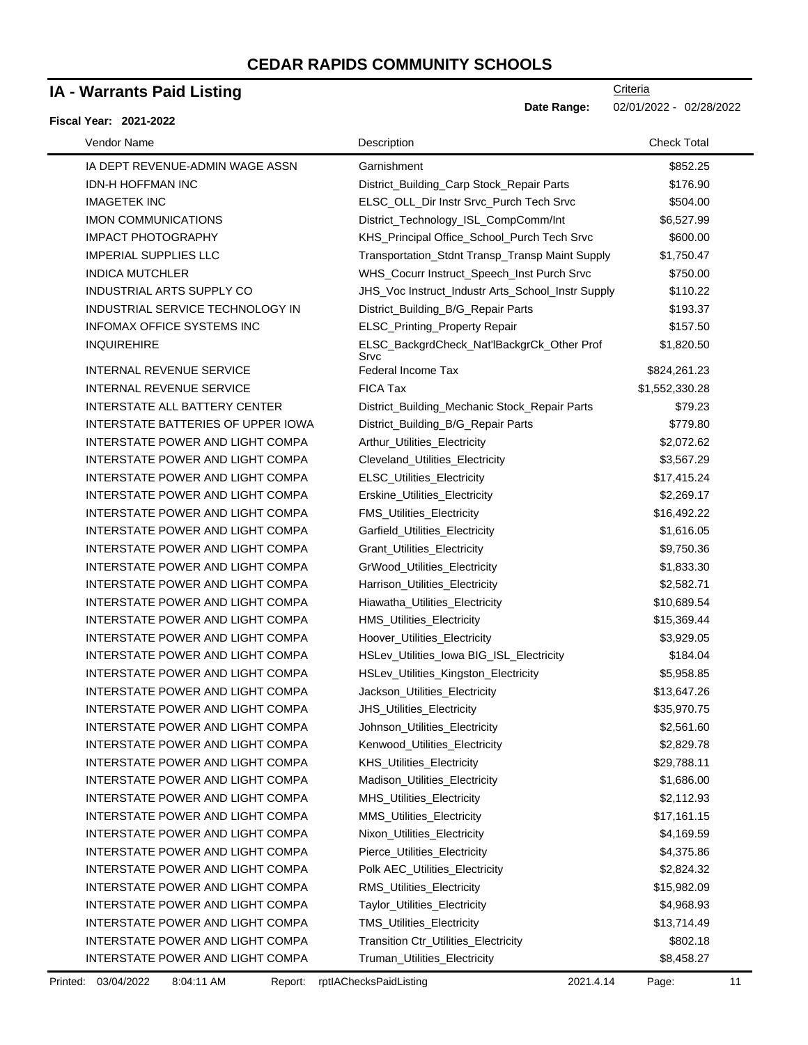## **IA - Warrants Paid Listing**

#### **Fiscal Year: 2021-2022**

| Vendor Name                        | Description                                        | <b>Check Total</b> |
|------------------------------------|----------------------------------------------------|--------------------|
| IA DEPT REVENUE-ADMIN WAGE ASSN    | Garnishment                                        | \$852.25           |
| <b>IDN-H HOFFMAN INC</b>           | District_Building_Carp Stock_Repair Parts          | \$176.90           |
| <b>IMAGETEK INC</b>                | ELSC_OLL_Dir Instr Srvc_Purch Tech Srvc            | \$504.00           |
| <b>IMON COMMUNICATIONS</b>         | District_Technology_ISL_CompComm/Int               | \$6,527.99         |
| <b>IMPACT PHOTOGRAPHY</b>          | KHS_Principal Office_School_Purch Tech Srvc        | \$600.00           |
| <b>IMPERIAL SUPPLIES LLC</b>       | Transportation_Stdnt Transp_Transp Maint Supply    | \$1,750.47         |
| <b>INDICA MUTCHLER</b>             | WHS_Cocurr Instruct_Speech_Inst Purch Srvc         | \$750.00           |
| <b>INDUSTRIAL ARTS SUPPLY CO</b>   | JHS_Voc Instruct_Industr Arts_School_Instr Supply  | \$110.22           |
| INDUSTRIAL SERVICE TECHNOLOGY IN   | District_Building_B/G_Repair Parts                 | \$193.37           |
| <b>INFOMAX OFFICE SYSTEMS INC</b>  | ELSC_Printing_Property Repair                      | \$157.50           |
| <b>INQUIREHIRE</b>                 | ELSC_BackgrdCheck_Nat'lBackgrCk_Other Prof<br>Srvc | \$1,820.50         |
| <b>INTERNAL REVENUE SERVICE</b>    | Federal Income Tax                                 | \$824,261.23       |
| <b>INTERNAL REVENUE SERVICE</b>    | FICA Tax                                           | \$1,552,330.28     |
| INTERSTATE ALL BATTERY CENTER      | District_Building_Mechanic Stock_Repair Parts      | \$79.23            |
| INTERSTATE BATTERIES OF UPPER IOWA | District_Building_B/G_Repair Parts                 | \$779.80           |
| INTERSTATE POWER AND LIGHT COMPA   | Arthur_Utilities_Electricity                       | \$2,072.62         |
| INTERSTATE POWER AND LIGHT COMPA   | Cleveland_Utilities_Electricity                    | \$3,567.29         |
| INTERSTATE POWER AND LIGHT COMPA   | ELSC_Utilities_Electricity                         | \$17,415.24        |
| INTERSTATE POWER AND LIGHT COMPA   | Erskine_Utilities_Electricity                      | \$2,269.17         |
| INTERSTATE POWER AND LIGHT COMPA   | FMS_Utilities_Electricity                          | \$16,492.22        |
| INTERSTATE POWER AND LIGHT COMPA   | Garfield_Utilities_Electricity                     | \$1,616.05         |
| INTERSTATE POWER AND LIGHT COMPA   | Grant_Utilities_Electricity                        | \$9,750.36         |
| INTERSTATE POWER AND LIGHT COMPA   | GrWood_Utilities_Electricity                       | \$1,833.30         |
| INTERSTATE POWER AND LIGHT COMPA   | Harrison_Utilities_Electricity                     | \$2,582.71         |
| INTERSTATE POWER AND LIGHT COMPA   | Hiawatha_Utilities_Electricity                     | \$10,689.54        |
| INTERSTATE POWER AND LIGHT COMPA   | HMS_Utilities_Electricity                          | \$15,369.44        |
| INTERSTATE POWER AND LIGHT COMPA   | Hoover_Utilities_Electricity                       | \$3,929.05         |
| INTERSTATE POWER AND LIGHT COMPA   | HSLev_Utilities_lowa BIG_ISL_Electricity           | \$184.04           |
| INTERSTATE POWER AND LIGHT COMPA   | HSLev_Utilities_Kingston_Electricity               | \$5,958.85         |
| INTERSTATE POWER AND LIGHT COMPA   | Jackson_Utilities_Electricity                      | \$13,647.26        |
| INTERSTATE POWER AND LIGHT COMPA   | JHS_Utilities_Electricity                          | \$35,970.75        |
| INTERSTATE POWER AND LIGHT COMPA   | Johnson_Utilities_Electricity                      | \$2,561.60         |
| INTERSTATE POWER AND LIGHT COMPA   | Kenwood_Utilities_Electricity                      | \$2,829.78         |
| INTERSTATE POWER AND LIGHT COMPA   | <b>KHS Utilities Electricity</b>                   | \$29,788.11        |
| INTERSTATE POWER AND LIGHT COMPA   | Madison_Utilities_Electricity                      | \$1,686.00         |
| INTERSTATE POWER AND LIGHT COMPA   | MHS_Utilities_Electricity                          | \$2,112.93         |
| INTERSTATE POWER AND LIGHT COMPA   | MMS_Utilities_Electricity                          | \$17,161.15        |
| INTERSTATE POWER AND LIGHT COMPA   | Nixon_Utilities_Electricity                        | \$4,169.59         |
| INTERSTATE POWER AND LIGHT COMPA   | Pierce_Utilities_Electricity                       | \$4,375.86         |
| INTERSTATE POWER AND LIGHT COMPA   | Polk AEC_Utilities_Electricity                     | \$2,824.32         |
| INTERSTATE POWER AND LIGHT COMPA   | <b>RMS_Utilities_Electricity</b>                   | \$15,982.09        |
| INTERSTATE POWER AND LIGHT COMPA   | Taylor_Utilities_Electricity                       | \$4,968.93         |
| INTERSTATE POWER AND LIGHT COMPA   | TMS_Utilities_Electricity                          | \$13,714.49        |
| INTERSTATE POWER AND LIGHT COMPA   | Transition Ctr_Utilities_Electricity               | \$802.18           |
| INTERSTATE POWER AND LIGHT COMPA   | Truman_Utilities_Electricity                       | \$8,458.27         |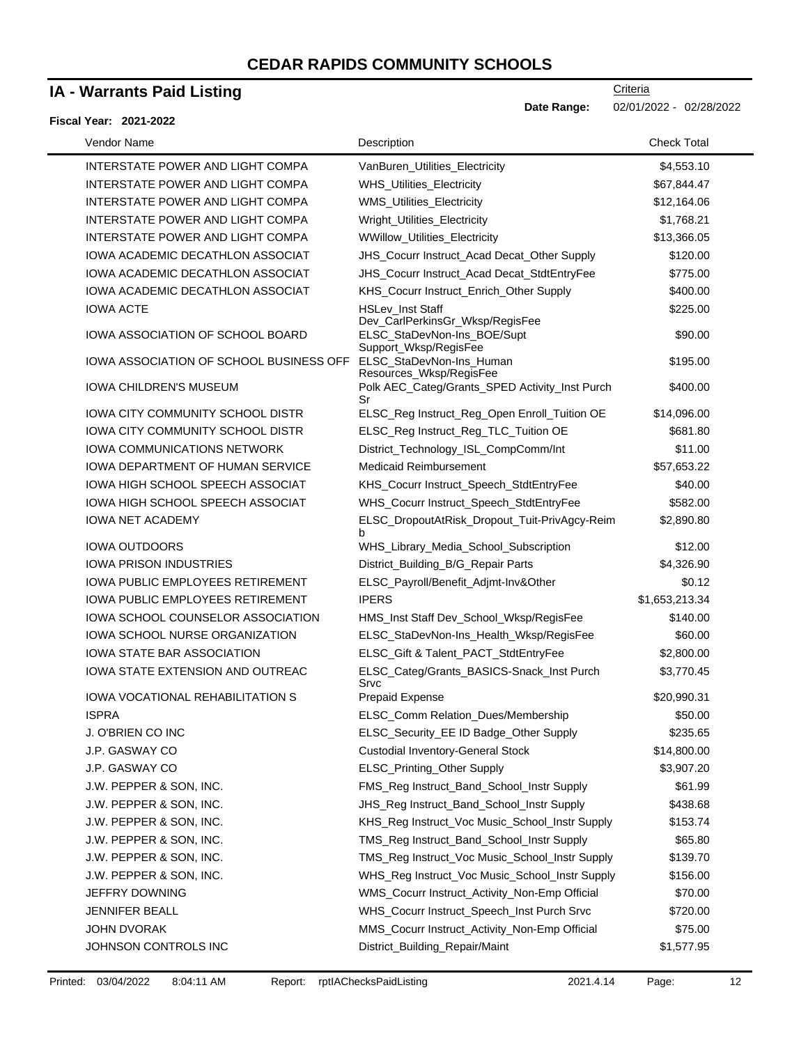# **IA - Warrants Paid Listing**

|  | Fiscal Year: 2021-2022 |
|--|------------------------|

| Vendor Name                             | Description                                                | <b>Check Total</b> |
|-----------------------------------------|------------------------------------------------------------|--------------------|
| INTERSTATE POWER AND LIGHT COMPA        | VanBuren_Utilities_Electricity                             | \$4,553.10         |
| INTERSTATE POWER AND LIGHT COMPA        | <b>WHS_Utilities_Electricity</b>                           | \$67,844.47        |
| INTERSTATE POWER AND LIGHT COMPA        | WMS_Utilities_Electricity                                  | \$12,164.06        |
| INTERSTATE POWER AND LIGHT COMPA        | Wright_Utilities_Electricity                               | \$1,768.21         |
| INTERSTATE POWER AND LIGHT COMPA        | WWillow_Utilities_Electricity                              | \$13,366.05        |
| IOWA ACADEMIC DECATHLON ASSOCIAT        | JHS_Cocurr Instruct_Acad Decat_Other Supply                | \$120.00           |
| IOWA ACADEMIC DECATHLON ASSOCIAT        | JHS_Cocurr Instruct_Acad Decat_StdtEntryFee                | \$775.00           |
| <b>IOWA ACADEMIC DECATHLON ASSOCIAT</b> | KHS_Cocurr Instruct_Enrich_Other Supply                    | \$400.00           |
| <b>IOWA ACTE</b>                        | <b>HSLev Inst Staff</b><br>Dev_CarlPerkinsGr_Wksp/RegisFee | \$225.00           |
| IOWA ASSOCIATION OF SCHOOL BOARD        | ELSC_StaDevNon-Ins_BOE/Supt<br>Support_Wksp/RegisFee       | \$90.00            |
| IOWA ASSOCIATION OF SCHOOL BUSINESS OFF | ELSC_StaDevNon-Ins_Human<br>Resources_Wksp/RegisFee        | \$195.00           |
| <b>IOWA CHILDREN'S MUSEUM</b>           | Polk AEC_Categ/Grants_SPED Activity_Inst Purch<br>Sr       | \$400.00           |
| IOWA CITY COMMUNITY SCHOOL DISTR        | ELSC_Reg Instruct_Reg_Open Enroll_Tuition OE               | \$14,096.00        |
| <b>IOWA CITY COMMUNITY SCHOOL DISTR</b> | ELSC_Reg Instruct_Reg_TLC_Tuition OE                       | \$681.80           |
| <b>IOWA COMMUNICATIONS NETWORK</b>      | District_Technology_ISL_CompComm/Int                       | \$11.00            |
| <b>IOWA DEPARTMENT OF HUMAN SERVICE</b> | Medicaid Reimbursement                                     | \$57,653.22        |
| <b>IOWA HIGH SCHOOL SPEECH ASSOCIAT</b> | KHS_Cocurr Instruct_Speech_StdtEntryFee                    | \$40.00            |
| <b>IOWA HIGH SCHOOL SPEECH ASSOCIAT</b> | WHS_Cocurr Instruct_Speech_StdtEntryFee                    | \$582.00           |
| <b>IOWA NET ACADEMY</b>                 | ELSC_DropoutAtRisk_Dropout_Tuit-PrivAgcy-Reim<br>b.        | \$2,890.80         |
| <b>IOWA OUTDOORS</b>                    | WHS_Library_Media_School_Subscription                      | \$12.00            |
| <b>IOWA PRISON INDUSTRIES</b>           | District_Building_B/G_Repair Parts                         | \$4,326.90         |
| <b>IOWA PUBLIC EMPLOYEES RETIREMENT</b> | ELSC_Payroll/Benefit_Adjmt-Inv&Other                       | \$0.12             |
| <b>IOWA PUBLIC EMPLOYEES RETIREMENT</b> | <b>IPERS</b>                                               | \$1,653,213.34     |
| IOWA SCHOOL COUNSELOR ASSOCIATION       | HMS_Inst Staff Dev_School_Wksp/RegisFee                    | \$140.00           |
| IOWA SCHOOL NURSE ORGANIZATION          | ELSC_StaDevNon-Ins_Health_Wksp/RegisFee                    | \$60.00            |
| <b>IOWA STATE BAR ASSOCIATION</b>       | ELSC_Gift & Talent_PACT_StdtEntryFee                       | \$2,800.00         |
| IOWA STATE EXTENSION AND OUTREAC        | ELSC_Categ/Grants_BASICS-Snack_Inst Purch<br>Srvc          | \$3,770.45         |
| <b>IOWA VOCATIONAL REHABILITATION S</b> | <b>Prepaid Expense</b>                                     | \$20,990.31        |
| <b>ISPRA</b>                            | ELSC_Comm Relation_Dues/Membership                         | \$50.00            |
| J. O'BRIEN CO INC                       | ELSC_Security_EE ID Badge_Other Supply                     | \$235.65           |
| J.P. GASWAY CO                          | <b>Custodial Inventory-General Stock</b>                   | \$14,800.00        |
| J.P. GASWAY CO                          | ELSC_Printing_Other Supply                                 | \$3,907.20         |
| J.W. PEPPER & SON, INC.                 | FMS_Reg Instruct_Band_School_Instr Supply                  | \$61.99            |
| J.W. PEPPER & SON, INC.                 | JHS_Reg Instruct_Band_School_Instr Supply                  | \$438.68           |
| J.W. PEPPER & SON, INC.                 | KHS_Reg Instruct_Voc Music_School_Instr Supply             | \$153.74           |
| J.W. PEPPER & SON, INC.                 | TMS_Reg Instruct_Band_School_Instr Supply                  | \$65.80            |
| J.W. PEPPER & SON, INC.                 | TMS_Reg Instruct_Voc Music_School_Instr Supply             | \$139.70           |
| J.W. PEPPER & SON, INC.                 | WHS_Reg Instruct_Voc Music_School_Instr Supply             | \$156.00           |
| JEFFRY DOWNING                          | WMS_Cocurr Instruct_Activity_Non-Emp Official              | \$70.00            |
| <b>JENNIFER BEALL</b>                   | WHS_Cocurr Instruct_Speech_Inst Purch Srvc                 | \$720.00           |
| JOHN DVORAK                             | MMS_Cocurr Instruct_Activity_Non-Emp Official              | \$75.00            |
| JOHNSON CONTROLS INC                    | District_Building_Repair/Maint                             | \$1,577.95         |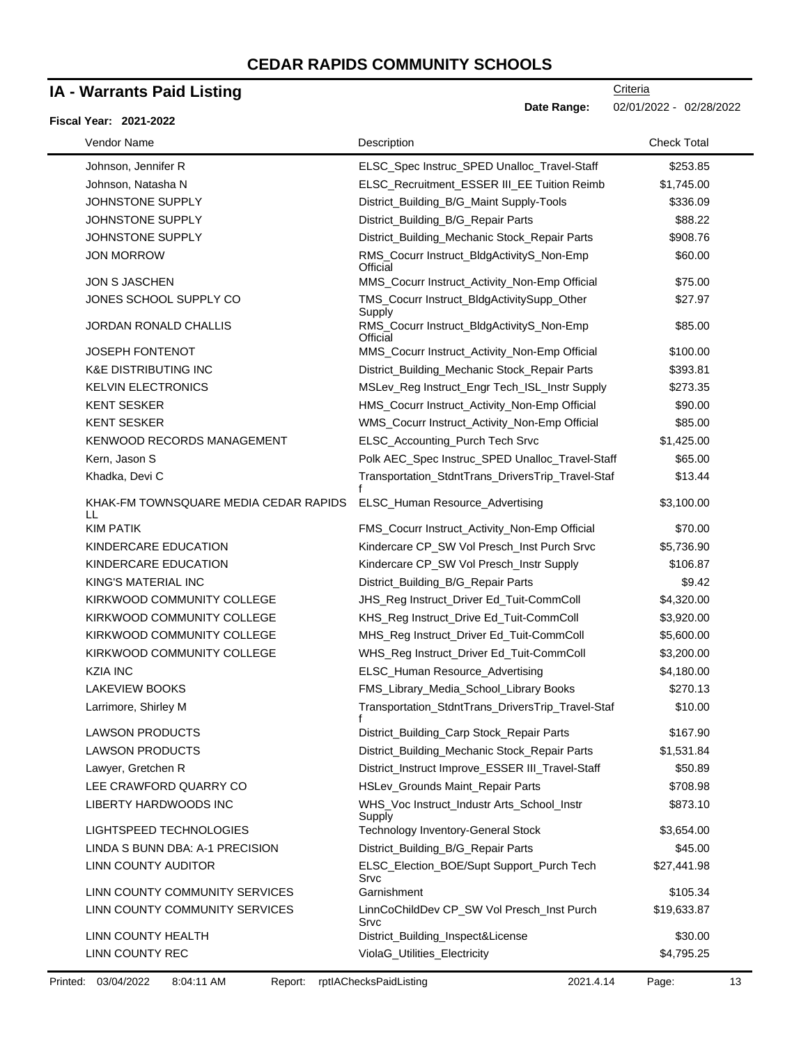## **IA - Warrants Paid Listing**

#### **Fiscal Year: 2021-2022**

**Date Range:** 02/01/2022 - 02/28/2022

| Vendor Name                                | Description                                           | <b>Check Total</b> |
|--------------------------------------------|-------------------------------------------------------|--------------------|
| Johnson, Jennifer R                        | ELSC_Spec Instruc_SPED Unalloc_Travel-Staff           | \$253.85           |
| Johnson, Natasha N                         | ELSC_Recruitment_ESSER III_EE Tuition Reimb           | \$1,745.00         |
| JOHNSTONE SUPPLY                           | District_Building_B/G_Maint Supply-Tools              | \$336.09           |
| JOHNSTONE SUPPLY                           | District_Building_B/G_Repair Parts                    | \$88.22            |
| JOHNSTONE SUPPLY                           | District_Building_Mechanic Stock_Repair Parts         | \$908.76           |
| <b>JON MORROW</b>                          | RMS_Cocurr Instruct_BldgActivityS_Non-Emp<br>Official | \$60.00            |
| <b>JON S JASCHEN</b>                       | MMS_Cocurr Instruct_Activity_Non-Emp Official         | \$75.00            |
| JONES SCHOOL SUPPLY CO                     | TMS_Cocurr Instruct_BldgActivitySupp_Other<br>Supply  | \$27.97            |
| <b>JORDAN RONALD CHALLIS</b>               | RMS_Cocurr Instruct_BldgActivityS_Non-Emp<br>Official | \$85.00            |
| <b>JOSEPH FONTENOT</b>                     | MMS_Cocurr Instruct_Activity_Non-Emp Official         | \$100.00           |
| <b>K&amp;E DISTRIBUTING INC</b>            | District_Building_Mechanic Stock_Repair Parts         | \$393.81           |
| <b>KELVIN ELECTRONICS</b>                  | MSLev_Reg Instruct_Engr Tech_ISL_Instr Supply         | \$273.35           |
| <b>KENT SESKER</b>                         | HMS_Cocurr Instruct_Activity_Non-Emp Official         | \$90.00            |
| <b>KENT SESKER</b>                         | WMS_Cocurr Instruct_Activity_Non-Emp Official         | \$85.00            |
| <b>KENWOOD RECORDS MANAGEMENT</b>          | ELSC_Accounting_Purch Tech Srvc                       | \$1,425.00         |
| Kern, Jason S                              | Polk AEC_Spec Instruc_SPED Unalloc_Travel-Staff       | \$65.00            |
| Khadka, Devi C                             | Transportation_StdntTrans_DriversTrip_Travel-Staf     | \$13.44            |
| KHAK-FM TOWNSQUARE MEDIA CEDAR RAPIDS<br>H | <b>ELSC Human Resource Advertising</b>                | \$3,100.00         |
| <b>KIM PATIK</b>                           | FMS_Cocurr Instruct_Activity_Non-Emp Official         | \$70.00            |
| KINDERCARE EDUCATION                       | Kindercare CP_SW Vol Presch_Inst Purch Srvc           | \$5,736.90         |
| KINDERCARE EDUCATION                       | Kindercare CP_SW Vol Presch_Instr Supply              | \$106.87           |
| KING'S MATERIAL INC                        | District_Building_B/G_Repair Parts                    | \$9.42             |
| KIRKWOOD COMMUNITY COLLEGE                 | JHS_Reg Instruct_Driver Ed_Tuit-CommColl              | \$4,320.00         |
| KIRKWOOD COMMUNITY COLLEGE                 | KHS_Reg Instruct_Drive Ed_Tuit-CommColl               | \$3,920.00         |
| KIRKWOOD COMMUNITY COLLEGE                 | MHS_Reg Instruct_Driver Ed_Tuit-CommColl              | \$5,600.00         |
| KIRKWOOD COMMUNITY COLLEGE                 | WHS_Reg Instruct_Driver Ed_Tuit-CommColl              | \$3,200.00         |
| <b>KZIA INC</b>                            | ELSC_Human Resource_Advertising                       | \$4,180.00         |
| <b>LAKEVIEW BOOKS</b>                      | FMS_Library_Media_School_Library Books                | \$270.13           |
| Larrimore, Shirley M                       | Transportation_StdntTrans_DriversTrip_Travel-Staf     | \$10.00            |
| <b>LAWSON PRODUCTS</b>                     | District_Building_Carp Stock_Repair Parts             | \$167.90           |
| <b>LAWSON PRODUCTS</b>                     | District_Building_Mechanic Stock_Repair Parts         | \$1,531.84         |
| Lawyer, Gretchen R                         | District_Instruct Improve_ESSER III_Travel-Staff      | \$50.89            |
| LEE CRAWFORD QUARRY CO                     | HSLev_Grounds Maint_Repair Parts                      | \$708.98           |
| LIBERTY HARDWOODS INC                      | WHS_Voc Instruct_Industr Arts_School_Instr<br>Supply  | \$873.10           |
| LIGHTSPEED TECHNOLOGIES                    | <b>Technology Inventory-General Stock</b>             | \$3,654.00         |
| LINDA S BUNN DBA: A-1 PRECISION            | District_Building_B/G_Repair Parts                    | \$45.00            |
| LINN COUNTY AUDITOR                        | ELSC_Election_BOE/Supt Support_Purch Tech<br>Srvc     | \$27,441.98        |
| LINN COUNTY COMMUNITY SERVICES             | Garnishment                                           | \$105.34           |
| LINN COUNTY COMMUNITY SERVICES             | LinnCoChildDev CP_SW Vol Presch_Inst Purch<br>Srvc    | \$19,633.87        |
| LINN COUNTY HEALTH                         | District_Building_Inspect&License                     | \$30.00            |
| LINN COUNTY REC                            | ViolaG_Utilities_Electricity                          | \$4,795.25         |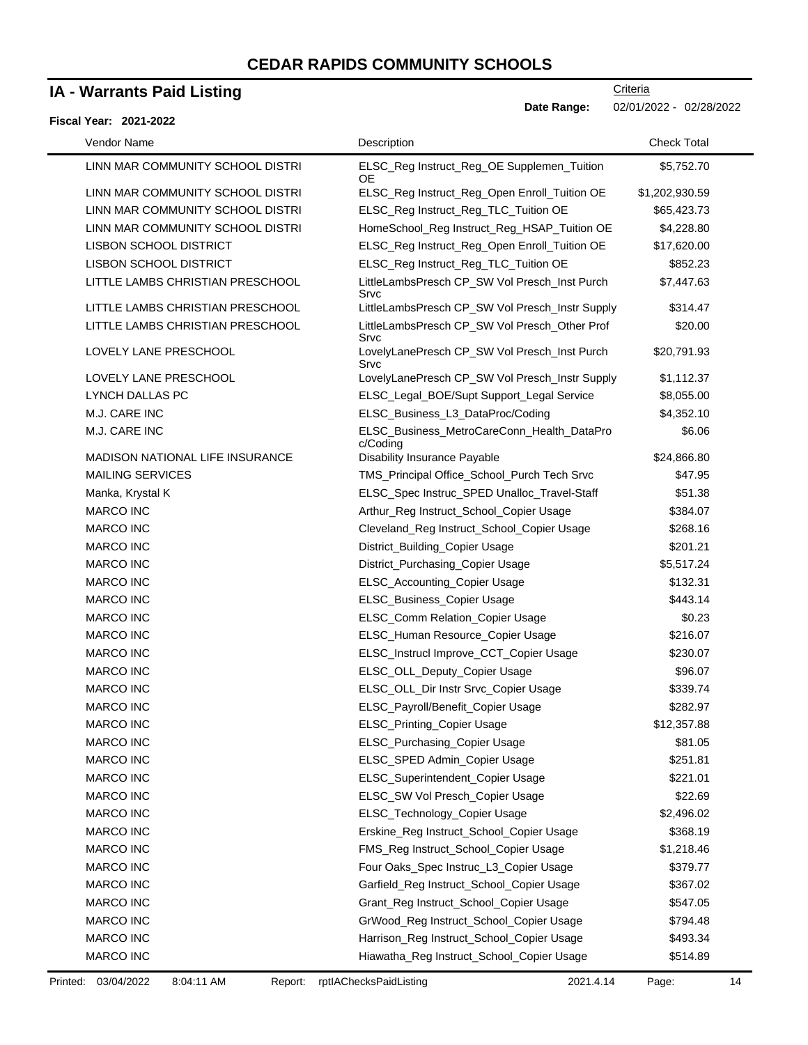## **IA - Warrants Paid Listing**

#### **Fiscal Year: 2021-2022**

**Date Range:** 02/01/2022 - 02/28/2022

| Vendor Name                            | Description                                            | <b>Check Total</b> |
|----------------------------------------|--------------------------------------------------------|--------------------|
| LINN MAR COMMUNITY SCHOOL DISTRI       | ELSC_Reg Instruct_Reg_OE Supplemen_Tuition<br>OE       | \$5,752.70         |
| LINN MAR COMMUNITY SCHOOL DISTRI       | ELSC_Reg Instruct_Reg_Open Enroll_Tuition OE           | \$1,202,930.59     |
| LINN MAR COMMUNITY SCHOOL DISTRI       | ELSC_Reg Instruct_Reg_TLC_Tuition OE                   | \$65,423.73        |
| LINN MAR COMMUNITY SCHOOL DISTRI       | HomeSchool_Reg Instruct_Reg_HSAP_Tuition OE            | \$4,228.80         |
| <b>LISBON SCHOOL DISTRICT</b>          | ELSC_Reg Instruct_Reg_Open Enroll_Tuition OE           | \$17,620.00        |
| <b>LISBON SCHOOL DISTRICT</b>          | ELSC_Reg Instruct_Reg_TLC_Tuition OE                   | \$852.23           |
| LITTLE LAMBS CHRISTIAN PRESCHOOL       | LittleLambsPresch CP_SW Vol Presch_Inst Purch<br>Srvc  | \$7,447.63         |
| LITTLE LAMBS CHRISTIAN PRESCHOOL       | LittleLambsPresch CP_SW Vol Presch_Instr Supply        | \$314.47           |
| LITTLE LAMBS CHRISTIAN PRESCHOOL       | LittleLambsPresch CP_SW Vol Presch_Other Prof<br>Srvc  | \$20.00            |
| LOVELY LANE PRESCHOOL                  | LovelyLanePresch CP_SW Vol Presch_Inst Purch<br>Srvc   | \$20,791.93        |
| LOVELY LANE PRESCHOOL                  | LovelyLanePresch CP_SW Vol Presch_Instr Supply         | \$1,112.37         |
| <b>LYNCH DALLAS PC</b>                 | ELSC_Legal_BOE/Supt Support_Legal Service              | \$8,055.00         |
| M.J. CARE INC                          | ELSC_Business_L3_DataProc/Coding                       | \$4,352.10         |
| M.J. CARE INC                          | ELSC_Business_MetroCareConn_Health_DataPro<br>c/Coding | \$6.06             |
| <b>MADISON NATIONAL LIFE INSURANCE</b> | Disability Insurance Payable                           | \$24,866.80        |
| <b>MAILING SERVICES</b>                | TMS_Principal Office_School_Purch Tech Srvc            | \$47.95            |
| Manka, Krystal K                       | ELSC_Spec Instruc_SPED Unalloc_Travel-Staff            | \$51.38            |
| <b>MARCO INC</b>                       | Arthur_Reg Instruct_School_Copier Usage                | \$384.07           |
| <b>MARCO INC</b>                       | Cleveland_Reg Instruct_School_Copier Usage             | \$268.16           |
| <b>MARCO INC</b>                       | District_Building_Copier Usage                         | \$201.21           |
| <b>MARCO INC</b>                       | District_Purchasing_Copier Usage                       | \$5,517.24         |
| <b>MARCO INC</b>                       | ELSC_Accounting_Copier Usage                           | \$132.31           |
| <b>MARCO INC</b>                       | ELSC_Business_Copier Usage                             | \$443.14           |
| <b>MARCO INC</b>                       | ELSC_Comm Relation_Copier Usage                        | \$0.23             |
| <b>MARCO INC</b>                       | ELSC_Human Resource_Copier Usage                       | \$216.07           |
| <b>MARCO INC</b>                       | ELSC_Instrucl Improve_CCT_Copier Usage                 | \$230.07           |
| <b>MARCO INC</b>                       | ELSC_OLL_Deputy_Copier Usage                           | \$96.07            |
| <b>MARCO INC</b>                       | ELSC_OLL_Dir Instr Srvc_Copier Usage                   | \$339.74           |
| <b>MARCO INC</b>                       | ELSC_Payroll/Benefit_Copier Usage                      | \$282.97           |
| <b>MARCO INC</b>                       | ELSC_Printing_Copier Usage                             | \$12,357.88        |
| <b>MARCO INC</b>                       | ELSC_Purchasing_Copier Usage                           | \$81.05            |
| <b>MARCO INC</b>                       | ELSC_SPED Admin_Copier Usage                           | \$251.81           |
| <b>MARCO INC</b>                       | ELSC_Superintendent_Copier Usage                       | \$221.01           |
| <b>MARCO INC</b>                       | ELSC_SW Vol Presch_Copier Usage                        | \$22.69            |
| <b>MARCO INC</b>                       | ELSC_Technology_Copier Usage                           | \$2,496.02         |
| MARCO INC                              | Erskine_Reg Instruct_School_Copier Usage               | \$368.19           |
| <b>MARCO INC</b>                       | FMS_Reg Instruct_School_Copier Usage                   | \$1,218.46         |
| MARCO INC                              | Four Oaks_Spec Instruc_L3_Copier Usage                 | \$379.77           |
| <b>MARCO INC</b>                       | Garfield_Reg Instruct_School_Copier Usage              | \$367.02           |
| MARCO INC                              | Grant_Reg Instruct_School_Copier Usage                 | \$547.05           |
| MARCO INC                              | GrWood_Reg Instruct_School_Copier Usage                | \$794.48           |
| <b>MARCO INC</b>                       | Harrison_Reg Instruct_School_Copier Usage              | \$493.34           |
| <b>MARCO INC</b>                       | Hiawatha_Reg Instruct_School_Copier Usage              | \$514.89           |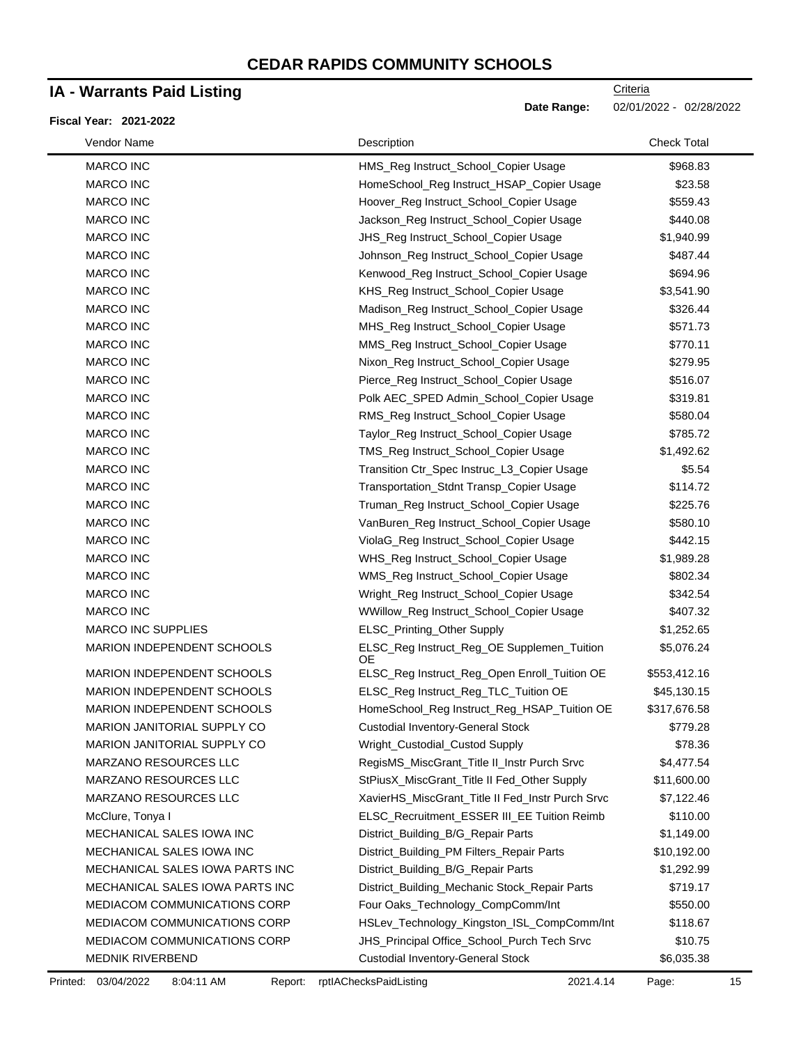## **IA - Warrants Paid Listing**

#### **Fiscal Year: 2021-2022**

| Vendor Name                     | Description                                             | <b>Check Total</b> |
|---------------------------------|---------------------------------------------------------|--------------------|
| <b>MARCO INC</b>                | HMS_Reg Instruct_School_Copier Usage                    | \$968.83           |
| <b>MARCO INC</b>                | HomeSchool_Reg Instruct_HSAP_Copier Usage               | \$23.58            |
| <b>MARCO INC</b>                | Hoover_Reg Instruct_School_Copier Usage                 | \$559.43           |
| <b>MARCO INC</b>                | Jackson_Reg Instruct_School_Copier Usage                | \$440.08           |
| <b>MARCO INC</b>                | JHS_Reg Instruct_School_Copier Usage                    | \$1,940.99         |
| <b>MARCO INC</b>                | Johnson_Reg Instruct_School_Copier Usage                | \$487.44           |
| <b>MARCO INC</b>                | Kenwood_Reg Instruct_School_Copier Usage                | \$694.96           |
| <b>MARCO INC</b>                | KHS_Reg Instruct_School_Copier Usage                    | \$3,541.90         |
| <b>MARCO INC</b>                | Madison_Reg Instruct_School_Copier Usage                | \$326.44           |
| <b>MARCO INC</b>                | MHS_Reg Instruct_School_Copier Usage                    | \$571.73           |
| <b>MARCO INC</b>                | MMS_Reg Instruct_School_Copier Usage                    | \$770.11           |
| <b>MARCO INC</b>                | Nixon_Reg Instruct_School_Copier Usage                  | \$279.95           |
| <b>MARCO INC</b>                | Pierce_Reg Instruct_School_Copier Usage                 | \$516.07           |
| <b>MARCO INC</b>                | Polk AEC_SPED Admin_School_Copier Usage                 | \$319.81           |
| <b>MARCO INC</b>                | RMS_Reg Instruct_School_Copier Usage                    | \$580.04           |
| <b>MARCO INC</b>                | Taylor_Reg Instruct_School_Copier Usage                 | \$785.72           |
| <b>MARCO INC</b>                | TMS_Reg Instruct_School_Copier Usage                    | \$1,492.62         |
| <b>MARCO INC</b>                | Transition Ctr_Spec Instruc_L3_Copier Usage             | \$5.54             |
| <b>MARCO INC</b>                | Transportation_Stdnt Transp_Copier Usage                | \$114.72           |
| <b>MARCO INC</b>                | Truman_Reg Instruct_School_Copier Usage                 | \$225.76           |
| <b>MARCO INC</b>                | VanBuren_Reg Instruct_School_Copier Usage               | \$580.10           |
| <b>MARCO INC</b>                | ViolaG_Reg Instruct_School_Copier Usage                 | \$442.15           |
| <b>MARCO INC</b>                | WHS_Reg Instruct_School_Copier Usage                    | \$1,989.28         |
| <b>MARCO INC</b>                | WMS_Reg Instruct_School_Copier Usage                    | \$802.34           |
| <b>MARCO INC</b>                | Wright_Reg Instruct_School_Copier Usage                 | \$342.54           |
| <b>MARCO INC</b>                | WWillow_Reg Instruct_School_Copier Usage                | \$407.32           |
| <b>MARCO INC SUPPLIES</b>       | ELSC_Printing_Other Supply                              | \$1,252.65         |
| MARION INDEPENDENT SCHOOLS      | ELSC_Reg Instruct_Reg_OE Supplemen_Tuition<br><b>OE</b> | \$5,076.24         |
| MARION INDEPENDENT SCHOOLS      | ELSC_Reg Instruct_Reg_Open Enroll_Tuition OE            | \$553,412.16       |
| MARION INDEPENDENT SCHOOLS      | ELSC_Reg Instruct_Reg_TLC_Tuition OE                    | \$45,130.15        |
| MARION INDEPENDENT SCHOOLS      | HomeSchool_Reg Instruct_Reg_HSAP_Tuition OE             | \$317,676.58       |
| MARION JANITORIAL SUPPLY CO     | <b>Custodial Inventory-General Stock</b>                | \$779.28           |
| MARION JANITORIAL SUPPLY CO     | Wright_Custodial_Custod Supply                          | \$78.36            |
| MARZANO RESOURCES LLC           | RegisMS_MiscGrant_Title II_Instr Purch Srvc             | \$4,477.54         |
| MARZANO RESOURCES LLC           | StPiusX_MiscGrant_Title II Fed_Other Supply             | \$11,600.00        |
| MARZANO RESOURCES LLC           | XavierHS_MiscGrant_Title II Fed_Instr Purch Srvc        | \$7,122.46         |
| McClure, Tonya I                | ELSC_Recruitment_ESSER III_EE Tuition Reimb             | \$110.00           |
| MECHANICAL SALES IOWA INC       | District_Building_B/G_Repair Parts                      | \$1,149.00         |
| MECHANICAL SALES IOWA INC       | District_Building_PM Filters_Repair Parts               | \$10,192.00        |
| MECHANICAL SALES IOWA PARTS INC | District_Building_B/G_Repair Parts                      | \$1,292.99         |
| MECHANICAL SALES IOWA PARTS INC | District_Building_Mechanic Stock_Repair Parts           | \$719.17           |
| MEDIACOM COMMUNICATIONS CORP    | Four Oaks_Technology_CompComm/Int                       | \$550.00           |
| MEDIACOM COMMUNICATIONS CORP    | HSLev_Technology_Kingston_ISL_CompComm/Int              | \$118.67           |
| MEDIACOM COMMUNICATIONS CORP    | JHS_Principal Office_School_Purch Tech Srvc             | \$10.75            |
| MEDNIK RIVERBEND                | <b>Custodial Inventory-General Stock</b>                | \$6,035.38         |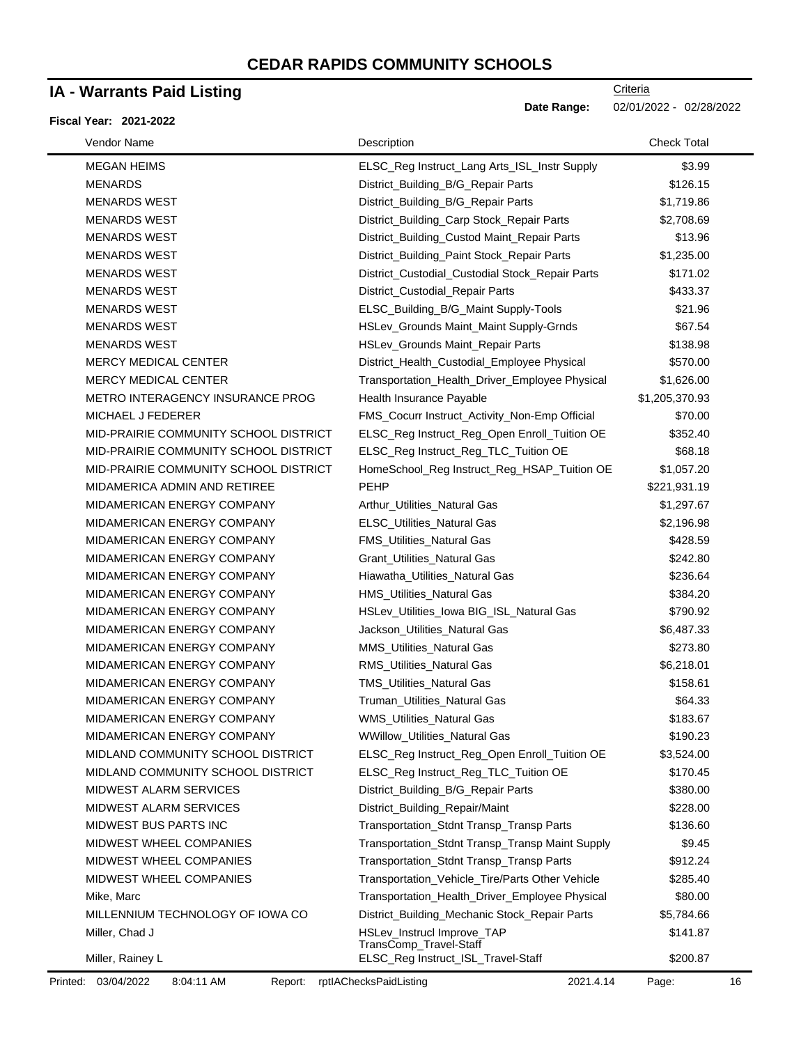### **IA - Warrants Paid Listing**

#### **Fiscal Year: 2021-2022**

**Criteria** 

**Date Range:** 02/01/2022 - 02/28/2022

| Vendor Name                             | Description                                          | <b>Check Total</b> |
|-----------------------------------------|------------------------------------------------------|--------------------|
| <b>MEGAN HEIMS</b>                      | ELSC_Reg Instruct_Lang Arts_ISL_Instr Supply         | \$3.99             |
| <b>MENARDS</b>                          | District_Building_B/G_Repair Parts                   | \$126.15           |
| <b>MENARDS WEST</b>                     | District_Building_B/G_Repair Parts                   | \$1,719.86         |
| <b>MENARDS WEST</b>                     | District_Building_Carp Stock_Repair Parts            | \$2,708.69         |
| <b>MENARDS WEST</b>                     | District_Building_Custod Maint_Repair Parts          | \$13.96            |
| <b>MENARDS WEST</b>                     | District_Building_Paint Stock_Repair Parts           | \$1,235.00         |
| <b>MENARDS WEST</b>                     | District_Custodial_Custodial Stock_Repair Parts      | \$171.02           |
| <b>MENARDS WEST</b>                     | District_Custodial_Repair Parts                      | \$433.37           |
| <b>MENARDS WEST</b>                     | ELSC_Building_B/G_Maint Supply-Tools                 | \$21.96            |
| <b>MENARDS WEST</b>                     | HSLev_Grounds Maint_Maint Supply-Grnds               | \$67.54            |
| <b>MENARDS WEST</b>                     | HSLev_Grounds Maint_Repair Parts                     | \$138.98           |
| <b>MERCY MEDICAL CENTER</b>             | District_Health_Custodial_Employee Physical          | \$570.00           |
| <b>MERCY MEDICAL CENTER</b>             | Transportation_Health_Driver_Employee Physical       | \$1,626.00         |
| <b>METRO INTERAGENCY INSURANCE PROG</b> | Health Insurance Payable                             | \$1,205,370.93     |
| MICHAEL J FEDERER                       | FMS_Cocurr Instruct_Activity_Non-Emp Official        | \$70.00            |
| MID-PRAIRIE COMMUNITY SCHOOL DISTRICT   | ELSC_Reg Instruct_Reg_Open Enroll_Tuition OE         | \$352.40           |
| MID-PRAIRIE COMMUNITY SCHOOL DISTRICT   | ELSC_Reg Instruct_Reg_TLC_Tuition OE                 | \$68.18            |
| MID-PRAIRIE COMMUNITY SCHOOL DISTRICT   | HomeSchool_Reg Instruct_Reg_HSAP_Tuition OE          | \$1,057.20         |
| MIDAMERICA ADMIN AND RETIREE            | PEHP                                                 | \$221,931.19       |
| MIDAMERICAN ENERGY COMPANY              | Arthur Utilities Natural Gas                         | \$1,297.67         |
| MIDAMERICAN ENERGY COMPANY              | ELSC_Utilities_Natural Gas                           | \$2,196.98         |
| MIDAMERICAN ENERGY COMPANY              | FMS_Utilities_Natural Gas                            | \$428.59           |
| MIDAMERICAN ENERGY COMPANY              | Grant_Utilities_Natural Gas                          | \$242.80           |
| MIDAMERICAN ENERGY COMPANY              | Hiawatha_Utilities_Natural Gas                       | \$236.64           |
| MIDAMERICAN ENERGY COMPANY              | HMS_Utilities_Natural Gas                            | \$384.20           |
| MIDAMERICAN ENERGY COMPANY              | HSLev_Utilities_lowa BIG_ISL_Natural Gas             | \$790.92           |
| MIDAMERICAN ENERGY COMPANY              | Jackson_Utilities_Natural Gas                        | \$6,487.33         |
| MIDAMERICAN ENERGY COMPANY              | MMS_Utilities_Natural Gas                            | \$273.80           |
| MIDAMERICAN ENERGY COMPANY              | RMS_Utilities_Natural Gas                            | \$6,218.01         |
| MIDAMERICAN ENERGY COMPANY              | TMS_Utilities_Natural Gas                            | \$158.61           |
| MIDAMERICAN ENERGY COMPANY              | Truman_Utilities_Natural Gas                         | \$64.33            |
| MIDAMERICAN ENERGY COMPANY              | WMS_Utilities_Natural Gas                            | \$183.67           |
| <b>MIDAMERICAN ENERGY COMPANY</b>       | <b>WWillow_Utilities_Natural Gas</b>                 | \$190.23           |
| MIDLAND COMMUNITY SCHOOL DISTRICT       | ELSC_Reg Instruct_Reg_Open Enroll_Tuition OE         | \$3,524.00         |
| MIDLAND COMMUNITY SCHOOL DISTRICT       | ELSC_Reg Instruct_Reg_TLC_Tuition OE                 | \$170.45           |
| <b>MIDWEST ALARM SERVICES</b>           | District_Building_B/G_Repair Parts                   | \$380.00           |
| <b>MIDWEST ALARM SERVICES</b>           | District_Building_Repair/Maint                       | \$228.00           |
| MIDWEST BUS PARTS INC                   | Transportation_Stdnt Transp_Transp Parts             | \$136.60           |
| <b>MIDWEST WHEEL COMPANIES</b>          | Transportation_Stdnt Transp_Transp Maint Supply      | \$9.45             |
| <b>MIDWEST WHEEL COMPANIES</b>          | Transportation_Stdnt Transp_Transp Parts             | \$912.24           |
| <b>MIDWEST WHEEL COMPANIES</b>          | Transportation_Vehicle_Tire/Parts Other Vehicle      | \$285.40           |
| Mike, Marc                              | Transportation_Health_Driver_Employee Physical       | \$80.00            |
| MILLENNIUM TECHNOLOGY OF IOWA CO        | District_Building_Mechanic Stock_Repair Parts        | \$5,784.66         |
| Miller, Chad J                          | HSLev_Instrucl Improve_TAP<br>TransComp_Travel-Staff | \$141.87           |
| Miller, Rainey L                        | ELSC_Reg Instruct_ISL_Travel-Staff                   | \$200.87           |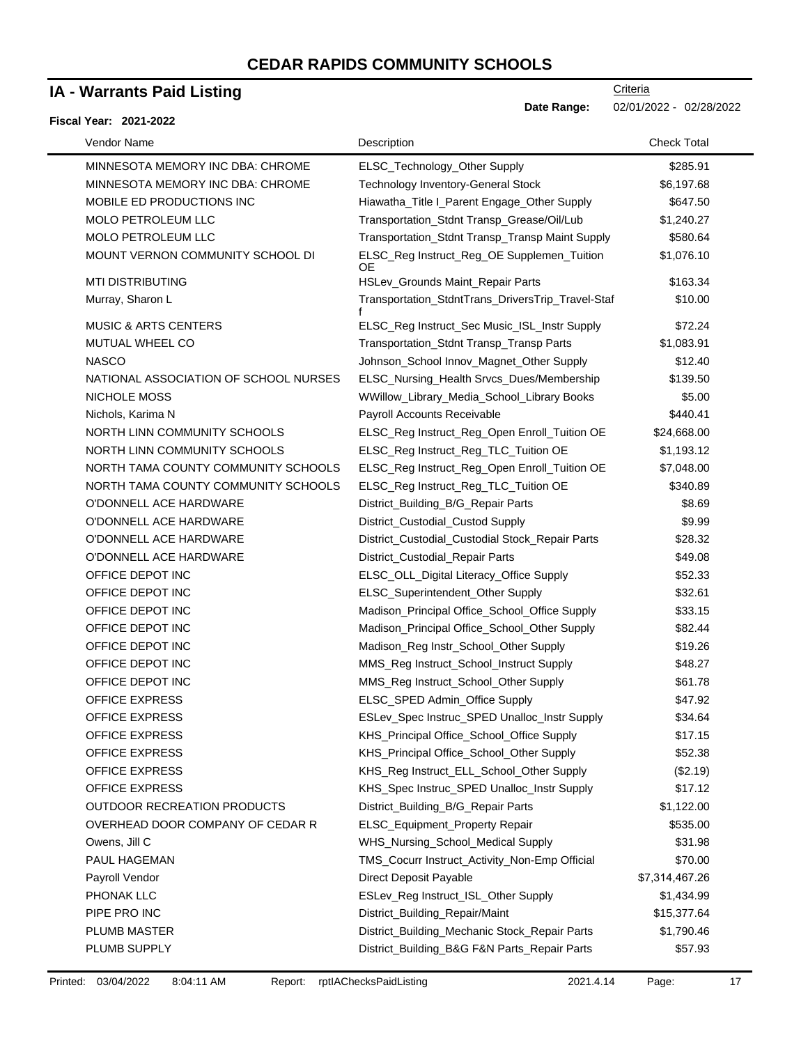## **IA - Warrants Paid Listing**

#### **Fiscal Year: 2021-2022**

| Vendor Name                           | Description                                       | <b>Check Total</b> |
|---------------------------------------|---------------------------------------------------|--------------------|
| MINNESOTA MEMORY INC DBA: CHROME      | ELSC_Technology_Other Supply                      | \$285.91           |
| MINNESOTA MEMORY INC DBA: CHROME      | <b>Technology Inventory-General Stock</b>         | \$6,197.68         |
| MOBILE ED PRODUCTIONS INC             | Hiawatha_Title I_Parent Engage_Other Supply       | \$647.50           |
| MOLO PETROLEUM LLC                    | Transportation_Stdnt Transp_Grease/Oil/Lub        | \$1,240.27         |
| MOLO PETROLEUM LLC                    | Transportation_Stdnt Transp_Transp Maint Supply   | \$580.64           |
| MOUNT VERNON COMMUNITY SCHOOL DI      | ELSC_Reg Instruct_Reg_OE Supplemen_Tuition<br>OЕ  | \$1,076.10         |
| <b>MTI DISTRIBUTING</b>               | HSLev_Grounds Maint_Repair Parts                  | \$163.34           |
| Murray, Sharon L                      | Transportation_StdntTrans_DriversTrip_Travel-Staf | \$10.00            |
| <b>MUSIC &amp; ARTS CENTERS</b>       | ELSC_Reg Instruct_Sec Music_ISL_Instr Supply      | \$72.24            |
| MUTUAL WHEEL CO                       | Transportation_Stdnt Transp_Transp Parts          | \$1,083.91         |
| <b>NASCO</b>                          | Johnson_School Innov_Magnet_Other Supply          | \$12.40            |
| NATIONAL ASSOCIATION OF SCHOOL NURSES | ELSC_Nursing_Health Srvcs_Dues/Membership         | \$139.50           |
| NICHOLE MOSS                          | WWillow_Library_Media_School_Library Books        | \$5.00             |
| Nichols, Karima N                     | Payroll Accounts Receivable                       | \$440.41           |
| NORTH LINN COMMUNITY SCHOOLS          | ELSC_Reg Instruct_Reg_Open Enroll_Tuition OE      | \$24,668.00        |
| NORTH LINN COMMUNITY SCHOOLS          | ELSC_Reg Instruct_Reg_TLC_Tuition OE              | \$1,193.12         |
| NORTH TAMA COUNTY COMMUNITY SCHOOLS   | ELSC_Reg Instruct_Reg_Open Enroll_Tuition OE      | \$7,048.00         |
| NORTH TAMA COUNTY COMMUNITY SCHOOLS   | ELSC_Reg Instruct_Reg_TLC_Tuition OE              | \$340.89           |
| O'DONNELL ACE HARDWARE                | District_Building_B/G_Repair Parts                | \$8.69             |
| O'DONNELL ACE HARDWARE                | District_Custodial_Custod Supply                  | \$9.99             |
| O'DONNELL ACE HARDWARE                | District_Custodial_Custodial Stock_Repair Parts   | \$28.32            |
| O'DONNELL ACE HARDWARE                | District_Custodial_Repair Parts                   | \$49.08            |
| OFFICE DEPOT INC                      | ELSC_OLL_Digital Literacy_Office Supply           | \$52.33            |
| OFFICE DEPOT INC                      | ELSC_Superintendent_Other Supply                  | \$32.61            |
| OFFICE DEPOT INC                      | Madison_Principal Office_School_Office Supply     | \$33.15            |
| OFFICE DEPOT INC                      | Madison_Principal Office_School_Other Supply      | \$82.44            |
| OFFICE DEPOT INC                      | Madison_Reg Instr_School_Other Supply             | \$19.26            |
| OFFICE DEPOT INC                      | MMS_Reg Instruct_School_Instruct Supply           | \$48.27            |
| OFFICE DEPOT INC                      | MMS_Reg Instruct_School_Other Supply              | \$61.78            |
| <b>OFFICE EXPRESS</b>                 | ELSC_SPED Admin_Office Supply                     | \$47.92            |
| OFFICE EXPRESS                        | ESLev_Spec Instruc_SPED Unalloc_Instr Supply      | \$34.64            |
| OFFICE EXPRESS                        | KHS_Principal Office_School_Office Supply         | \$17.15            |
| OFFICE EXPRESS                        | KHS_Principal Office_School_Other Supply          | \$52.38            |
| OFFICE EXPRESS                        | KHS_Reg Instruct_ELL_School_Other Supply          | (\$2.19)           |
| OFFICE EXPRESS                        | KHS_Spec Instruc_SPED Unalloc_Instr Supply        | \$17.12            |
| OUTDOOR RECREATION PRODUCTS           | District_Building_B/G_Repair Parts                | \$1,122.00         |
| OVERHEAD DOOR COMPANY OF CEDAR R      | ELSC_Equipment_Property Repair                    | \$535.00           |
| Owens, Jill C                         | WHS_Nursing_School_Medical Supply                 | \$31.98            |
| PAUL HAGEMAN                          | TMS_Cocurr Instruct_Activity_Non-Emp Official     | \$70.00            |
| Payroll Vendor                        | Direct Deposit Payable                            | \$7,314,467.26     |
| PHONAK LLC                            | ESLev_Reg Instruct_ISL_Other Supply               | \$1,434.99         |
| PIPE PRO INC                          | District_Building_Repair/Maint                    | \$15,377.64        |
| PLUMB MASTER                          | District_Building_Mechanic Stock_Repair Parts     | \$1,790.46         |
| PLUMB SUPPLY                          | District_Building_B&G F&N Parts_Repair Parts      | \$57.93            |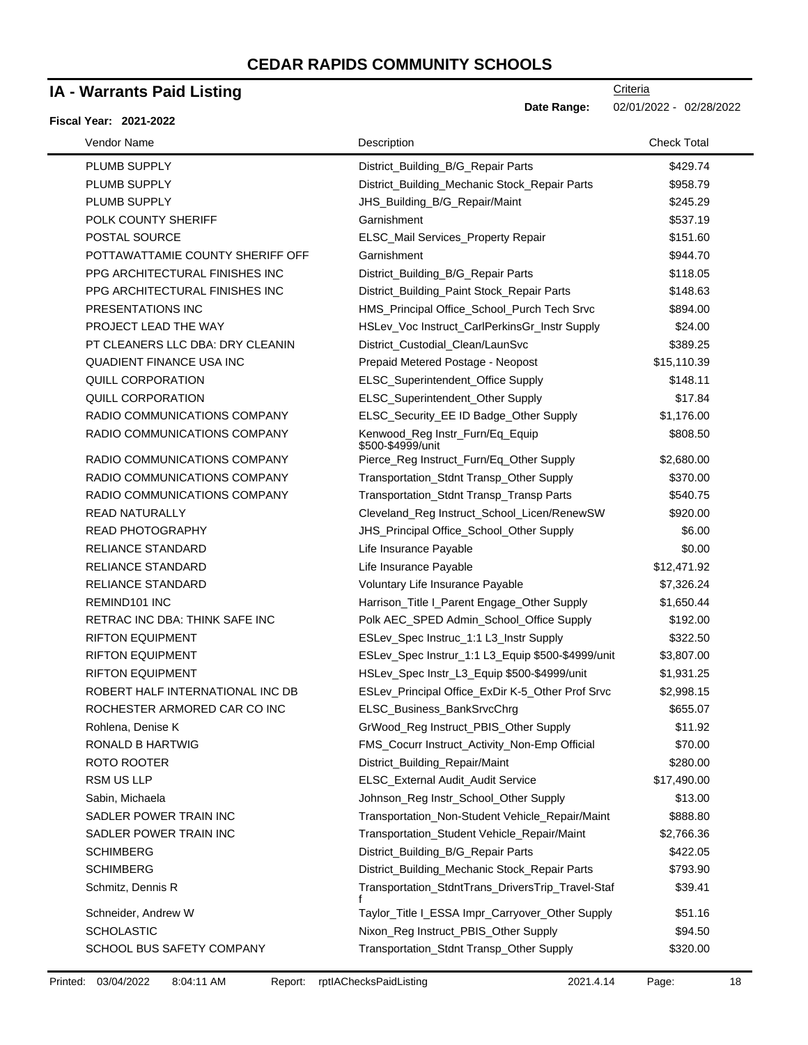## **IA - Warrants Paid Listing**

#### **Fiscal Year: 2021-2022**

Date Range: 02/01/2022 - 02/28/2022

| Vendor Name                      | Description                                          | <b>Check Total</b> |
|----------------------------------|------------------------------------------------------|--------------------|
| PLUMB SUPPLY                     | District_Building_B/G_Repair Parts                   | \$429.74           |
| PLUMB SUPPLY                     | District_Building_Mechanic Stock_Repair Parts        | \$958.79           |
| PLUMB SUPPLY                     | JHS_Building_B/G_Repair/Maint                        | \$245.29           |
| POLK COUNTY SHERIFF              | Garnishment                                          | \$537.19           |
| POSTAL SOURCE                    | ELSC_Mail Services_Property Repair                   | \$151.60           |
| POTTAWATTAMIE COUNTY SHERIFF OFF | Garnishment                                          | \$944.70           |
| PPG ARCHITECTURAL FINISHES INC   | District_Building_B/G_Repair Parts                   | \$118.05           |
| PPG ARCHITECTURAL FINISHES INC   | District_Building_Paint Stock_Repair Parts           | \$148.63           |
| PRESENTATIONS INC                | HMS_Principal Office_School_Purch Tech Srvc          | \$894.00           |
| PROJECT LEAD THE WAY             | HSLev_Voc Instruct_CarlPerkinsGr_Instr Supply        | \$24.00            |
| PT CLEANERS LLC DBA: DRY CLEANIN | District_Custodial_Clean/LaunSvc                     | \$389.25           |
| <b>QUADIENT FINANCE USA INC</b>  | Prepaid Metered Postage - Neopost                    | \$15,110.39        |
| <b>QUILL CORPORATION</b>         | ELSC_Superintendent_Office Supply                    | \$148.11           |
| QUILL CORPORATION                | ELSC_Superintendent_Other Supply                     | \$17.84            |
| RADIO COMMUNICATIONS COMPANY     | ELSC_Security_EE ID Badge_Other Supply               | \$1,176.00         |
| RADIO COMMUNICATIONS COMPANY     | Kenwood_Reg Instr_Furn/Eq_Equip<br>\$500-\$4999/unit | \$808.50           |
| RADIO COMMUNICATIONS COMPANY     | Pierce_Reg Instruct_Furn/Eq_Other Supply             | \$2,680.00         |
| RADIO COMMUNICATIONS COMPANY     | Transportation_Stdnt Transp_Other Supply             | \$370.00           |
| RADIO COMMUNICATIONS COMPANY     | Transportation_Stdnt Transp_Transp Parts             | \$540.75           |
| <b>READ NATURALLY</b>            | Cleveland_Reg Instruct_School_Licen/RenewSW          | \$920.00           |
| <b>READ PHOTOGRAPHY</b>          | JHS_Principal Office_School_Other Supply             | \$6.00             |
| <b>RELIANCE STANDARD</b>         | Life Insurance Payable                               | \$0.00             |
| <b>RELIANCE STANDARD</b>         | Life Insurance Payable                               | \$12,471.92        |
| <b>RELIANCE STANDARD</b>         | Voluntary Life Insurance Payable                     | \$7,326.24         |
| REMIND101 INC                    | Harrison_Title I_Parent Engage_Other Supply          | \$1,650.44         |
| RETRAC INC DBA: THINK SAFE INC   | Polk AEC_SPED Admin_School_Office Supply             | \$192.00           |
| <b>RIFTON EQUIPMENT</b>          | ESLev_Spec Instruc_1:1 L3_Instr Supply               | \$322.50           |
| <b>RIFTON EQUIPMENT</b>          | ESLev_Spec Instrur_1:1 L3_Equip \$500-\$4999/unit    | \$3,807.00         |
| <b>RIFTON EQUIPMENT</b>          | HSLev_Spec Instr_L3_Equip \$500-\$4999/unit          | \$1,931.25         |
| ROBERT HALF INTERNATIONAL INC DB | ESLev_Principal Office_ExDir K-5_Other Prof Srvc     | \$2,998.15         |
| ROCHESTER ARMORED CAR CO INC     | ELSC_Business_BankSrvcChrg                           | \$655.07           |
| Rohlena, Denise K                | GrWood_Reg Instruct_PBIS_Other Supply                | \$11.92            |
| RONALD B HARTWIG                 | FMS_Cocurr Instruct_Activity_Non-Emp Official        | \$70.00            |
| ROTO ROOTER                      | District_Building_Repair/Maint                       | \$280.00           |
| <b>RSM US LLP</b>                | ELSC_External Audit_Audit Service                    | \$17,490.00        |
| Sabin, Michaela                  | Johnson_Reg Instr_School_Other Supply                | \$13.00            |
| SADLER POWER TRAIN INC           | Transportation_Non-Student Vehicle_Repair/Maint      | \$888.80           |
| SADLER POWER TRAIN INC           | Transportation_Student Vehicle_Repair/Maint          | \$2,766.36         |
| <b>SCHIMBERG</b>                 | District_Building_B/G_Repair Parts                   | \$422.05           |
| <b>SCHIMBERG</b>                 | District_Building_Mechanic Stock_Repair Parts        | \$793.90           |
| Schmitz, Dennis R                | Transportation_StdntTrans_DriversTrip_Travel-Staf    | \$39.41            |
| Schneider, Andrew W              | Taylor_Title I_ESSA Impr_Carryover_Other Supply      | \$51.16            |
| <b>SCHOLASTIC</b>                | Nixon_Reg Instruct_PBIS_Other Supply                 | \$94.50            |
| SCHOOL BUS SAFETY COMPANY        | Transportation_Stdnt Transp_Other Supply             | \$320.00           |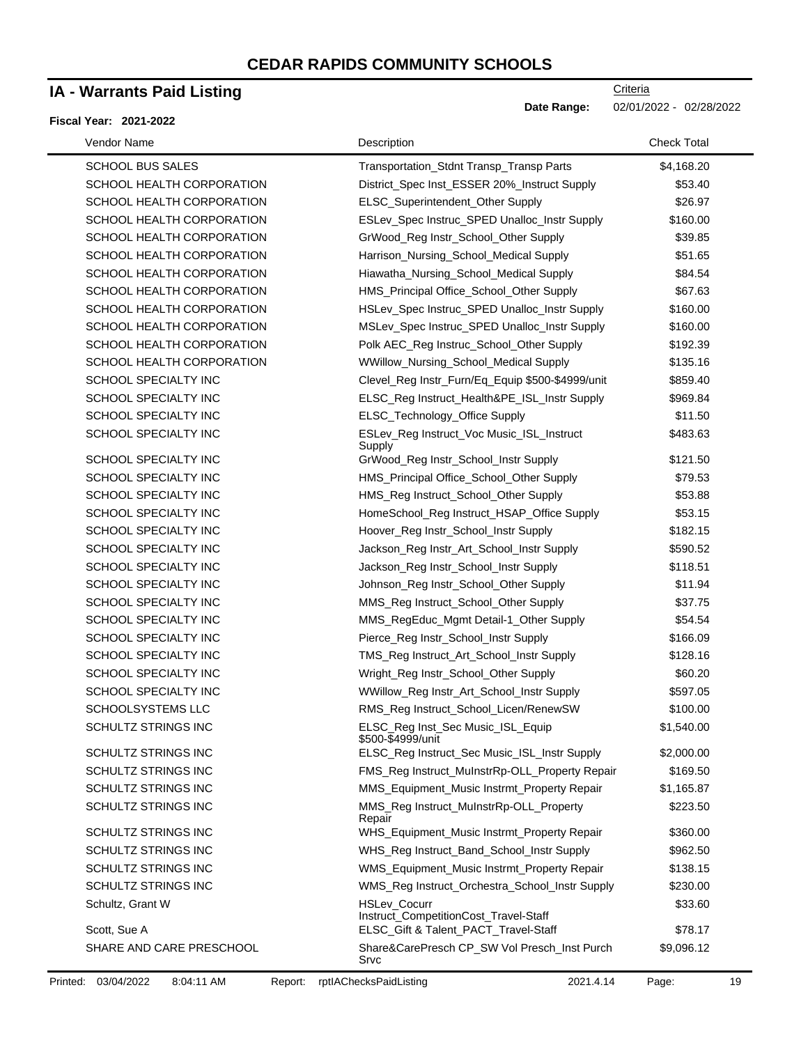### **IA - Warrants Paid Listing**

#### **Fiscal Year: 2021-2022**

| Vendor Name                      | Description                                                                                   | <b>Check Total</b> |
|----------------------------------|-----------------------------------------------------------------------------------------------|--------------------|
| <b>SCHOOL BUS SALES</b>          | Transportation_Stdnt Transp_Transp Parts                                                      | \$4,168.20         |
| SCHOOL HEALTH CORPORATION        | District_Spec Inst_ESSER 20%_Instruct Supply                                                  | \$53.40            |
| SCHOOL HEALTH CORPORATION        | ELSC_Superintendent_Other Supply                                                              | \$26.97            |
| SCHOOL HEALTH CORPORATION        | ESLev_Spec Instruc_SPED Unalloc_Instr Supply                                                  | \$160.00           |
| SCHOOL HEALTH CORPORATION        | GrWood_Reg Instr_School_Other Supply                                                          | \$39.85            |
| SCHOOL HEALTH CORPORATION        | Harrison_Nursing_School_Medical Supply                                                        | \$51.65            |
| SCHOOL HEALTH CORPORATION        | Hiawatha_Nursing_School_Medical Supply                                                        | \$84.54            |
| SCHOOL HEALTH CORPORATION        | HMS_Principal Office_School_Other Supply                                                      | \$67.63            |
| SCHOOL HEALTH CORPORATION        | HSLev_Spec Instruc_SPED Unalloc_Instr Supply                                                  | \$160.00           |
| SCHOOL HEALTH CORPORATION        | MSLev_Spec Instruc_SPED Unalloc_Instr Supply                                                  | \$160.00           |
| SCHOOL HEALTH CORPORATION        | Polk AEC_Reg Instruc_School_Other Supply                                                      | \$192.39           |
| SCHOOL HEALTH CORPORATION        | WWillow_Nursing_School_Medical Supply                                                         | \$135.16           |
| SCHOOL SPECIALTY INC             | Clevel_Reg Instr_Furn/Eq_Equip \$500-\$4999/unit                                              | \$859.40           |
| SCHOOL SPECIALTY INC             | ELSC_Reg Instruct_Health&PE_ISL_Instr Supply                                                  | \$969.84           |
| <b>SCHOOL SPECIALTY INC</b>      | ELSC_Technology_Office Supply                                                                 | \$11.50            |
| SCHOOL SPECIALTY INC             | ESLev_Reg Instruct_Voc Music_ISL_Instruct<br>Supply                                           | \$483.63           |
| SCHOOL SPECIALTY INC             | GrWood_Reg Instr_School_Instr Supply                                                          | \$121.50           |
| SCHOOL SPECIALTY INC             | HMS_Principal Office_School_Other Supply                                                      | \$79.53            |
| <b>SCHOOL SPECIALTY INC</b>      | HMS_Reg Instruct_School_Other Supply                                                          | \$53.88            |
| SCHOOL SPECIALTY INC             | HomeSchool_Reg Instruct_HSAP_Office Supply                                                    | \$53.15            |
| SCHOOL SPECIALTY INC             | Hoover_Reg Instr_School_Instr Supply                                                          | \$182.15           |
| SCHOOL SPECIALTY INC             | Jackson_Reg Instr_Art_School_Instr Supply                                                     | \$590.52           |
| SCHOOL SPECIALTY INC             | Jackson_Reg Instr_School_Instr Supply                                                         | \$118.51           |
| SCHOOL SPECIALTY INC             | Johnson_Reg Instr_School_Other Supply                                                         | \$11.94            |
| SCHOOL SPECIALTY INC             | MMS_Reg Instruct_School_Other Supply                                                          | \$37.75            |
| SCHOOL SPECIALTY INC             | MMS_RegEduc_Mgmt Detail-1_Other Supply                                                        | \$54.54            |
| SCHOOL SPECIALTY INC             | Pierce_Reg Instr_School_Instr Supply                                                          | \$166.09           |
| <b>SCHOOL SPECIALTY INC</b>      | TMS_Reg Instruct_Art_School_Instr Supply                                                      | \$128.16           |
| SCHOOL SPECIALTY INC             | Wright_Reg Instr_School_Other Supply                                                          | \$60.20            |
| SCHOOL SPECIALTY INC             | WWillow_Reg Instr_Art_School_Instr Supply                                                     | \$597.05           |
| SCHOOLSYSTEMS LLC                | RMS_Reg Instruct_School_Licen/RenewSW                                                         | \$100.00           |
| SCHULTZ STRINGS INC              | ELSC_Reg Inst_Sec Music_ISL_Equip<br>\$500-\$4999/unit                                        | \$1,540.00         |
| <b>SCHULTZ STRINGS INC</b>       | ELSC_Reg Instruct_Sec Music_ISL_Instr Supply                                                  | \$2,000.00         |
| <b>SCHULTZ STRINGS INC</b>       | FMS_Reg Instruct_MuInstrRp-OLL_Property Repair                                                | \$169.50           |
| SCHULTZ STRINGS INC              | MMS_Equipment_Music Instrmt_Property Repair                                                   | \$1,165.87         |
| SCHULTZ STRINGS INC              | MMS_Reg Instruct_MuInstrRp-OLL_Property<br>Repair                                             | \$223.50           |
| <b>SCHULTZ STRINGS INC</b>       | WHS_Equipment_Music Instrmt_Property Repair                                                   | \$360.00           |
| <b>SCHULTZ STRINGS INC</b>       | WHS_Reg Instruct_Band_School_Instr Supply                                                     | \$962.50           |
| SCHULTZ STRINGS INC              | WMS_Equipment_Music Instrmt_Property Repair                                                   | \$138.15           |
| <b>SCHULTZ STRINGS INC</b>       | WMS_Reg Instruct_Orchestra_School_Instr Supply                                                | \$230.00           |
| Schultz, Grant W<br>Scott, Sue A | HSLev_Cocurr<br>Instruct_CompetitionCost_Travel-Staff<br>ELSC_Gift & Talent_PACT_Travel-Staff | \$33.60<br>\$78.17 |
| SHARE AND CARE PRESCHOOL         | Share&CarePresch CP_SW Vol Presch_Inst Purch<br>Srvc                                          | \$9,096.12         |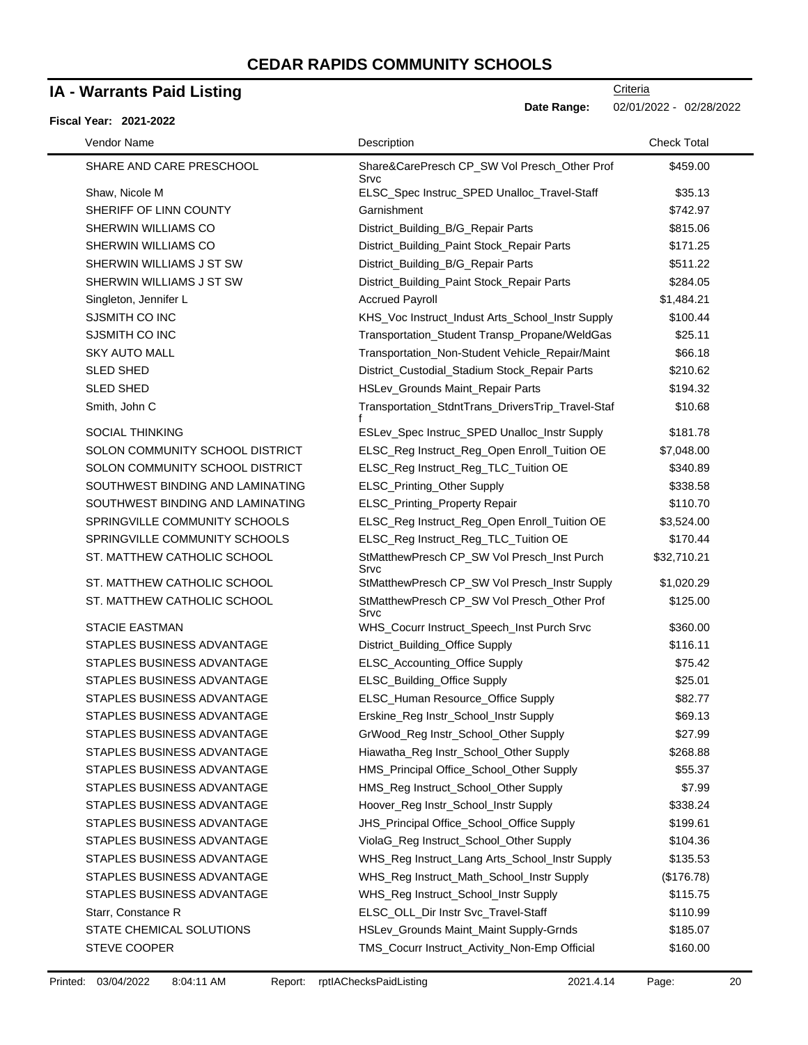### **IA - Warrants Paid Listing**

#### **Fiscal Year: 2021-2022**

**Date Range:** 02/01/2022 - 02/28/2022

| Vendor Name                      | Description                                          | <b>Check Total</b> |
|----------------------------------|------------------------------------------------------|--------------------|
| SHARE AND CARE PRESCHOOL         | Share&CarePresch CP_SW Vol Presch_Other Prof<br>Srvc | \$459.00           |
| Shaw, Nicole M                   | ELSC_Spec Instruc_SPED Unalloc_Travel-Staff          | \$35.13            |
| SHERIFF OF LINN COUNTY           | Garnishment                                          | \$742.97           |
| SHERWIN WILLIAMS CO              | District_Building_B/G_Repair Parts                   | \$815.06           |
| SHERWIN WILLIAMS CO              | District_Building_Paint Stock_Repair Parts           | \$171.25           |
| SHERWIN WILLIAMS J ST SW         | District_Building_B/G_Repair Parts                   | \$511.22           |
| SHERWIN WILLIAMS J ST SW         | District_Building_Paint Stock_Repair Parts           | \$284.05           |
| Singleton, Jennifer L            | <b>Accrued Payroll</b>                               | \$1,484.21         |
| SJSMITH CO INC                   | KHS_Voc Instruct_Indust Arts_School_Instr Supply     | \$100.44           |
| SJSMITH CO INC                   | Transportation_Student Transp_Propane/WeldGas        | \$25.11            |
| <b>SKY AUTO MALL</b>             | Transportation_Non-Student Vehicle_Repair/Maint      | \$66.18            |
| <b>SLED SHED</b>                 | District_Custodial_Stadium Stock_Repair Parts        | \$210.62           |
| <b>SLED SHED</b>                 | HSLev_Grounds Maint_Repair Parts                     | \$194.32           |
| Smith, John C                    | Transportation_StdntTrans_DriversTrip_Travel-Staf    | \$10.68            |
| <b>SOCIAL THINKING</b>           | ESLev_Spec Instruc_SPED Unalloc_Instr Supply         | \$181.78           |
| SOLON COMMUNITY SCHOOL DISTRICT  | ELSC_Reg Instruct_Reg_Open Enroll_Tuition OE         | \$7,048.00         |
| SOLON COMMUNITY SCHOOL DISTRICT  | ELSC_Reg Instruct_Reg_TLC_Tuition OE                 | \$340.89           |
| SOUTHWEST BINDING AND LAMINATING | ELSC_Printing_Other Supply                           | \$338.58           |
| SOUTHWEST BINDING AND LAMINATING | ELSC_Printing_Property Repair                        | \$110.70           |
| SPRINGVILLE COMMUNITY SCHOOLS    | ELSC_Reg Instruct_Reg_Open Enroll_Tuition OE         | \$3,524.00         |
| SPRINGVILLE COMMUNITY SCHOOLS    | ELSC_Reg Instruct_Reg_TLC_Tuition OE                 | \$170.44           |
| ST. MATTHEW CATHOLIC SCHOOL      | StMatthewPresch CP_SW Vol Presch_Inst Purch<br>Srvc  | \$32,710.21        |
| ST. MATTHEW CATHOLIC SCHOOL      | StMatthewPresch CP_SW Vol Presch_Instr Supply        | \$1,020.29         |
| ST. MATTHEW CATHOLIC SCHOOL      | StMatthewPresch CP_SW Vol Presch_Other Prof<br>Srvc  | \$125.00           |
| <b>STACIE EASTMAN</b>            | WHS_Cocurr Instruct_Speech_Inst Purch Srvc           | \$360.00           |
| STAPLES BUSINESS ADVANTAGE       | District_Building_Office Supply                      | \$116.11           |
| STAPLES BUSINESS ADVANTAGE       | ELSC_Accounting_Office Supply                        | \$75.42            |
| STAPLES BUSINESS ADVANTAGE       | ELSC_Building_Office Supply                          | \$25.01            |
| STAPLES BUSINESS ADVANTAGE       | ELSC_Human Resource_Office Supply                    | \$82.77            |
| STAPLES BUSINESS ADVANTAGE       | Erskine Reg Instr School Instr Supply                | \$69.13            |
| STAPLES BUSINESS ADVANTAGE       | GrWood_Reg Instr_School_Other Supply                 | \$27.99            |
| STAPLES BUSINESS ADVANTAGE       | Hiawatha_Reg Instr_School_Other Supply               | \$268.88           |
| STAPLES BUSINESS ADVANTAGE       | HMS_Principal Office_School_Other Supply             | \$55.37            |
| STAPLES BUSINESS ADVANTAGE       | HMS_Reg Instruct_School_Other Supply                 | \$7.99             |
| STAPLES BUSINESS ADVANTAGE       | Hoover_Reg Instr_School_Instr Supply                 | \$338.24           |
| STAPLES BUSINESS ADVANTAGE       | JHS_Principal Office_School_Office Supply            | \$199.61           |
| STAPLES BUSINESS ADVANTAGE       | ViolaG_Reg Instruct_School_Other Supply              | \$104.36           |
| STAPLES BUSINESS ADVANTAGE       | WHS_Reg Instruct_Lang Arts_School_Instr Supply       | \$135.53           |
| STAPLES BUSINESS ADVANTAGE       | WHS_Reg Instruct_Math_School_Instr Supply            | (\$176.78)         |
| STAPLES BUSINESS ADVANTAGE       | WHS_Reg Instruct_School_Instr Supply                 | \$115.75           |
| Starr, Constance R               | ELSC_OLL_Dir Instr Svc_Travel-Staff                  | \$110.99           |
| STATE CHEMICAL SOLUTIONS         | HSLev_Grounds Maint_Maint Supply-Grnds               | \$185.07           |
| STEVE COOPER                     | TMS_Cocurr Instruct_Activity_Non-Emp Official        | \$160.00           |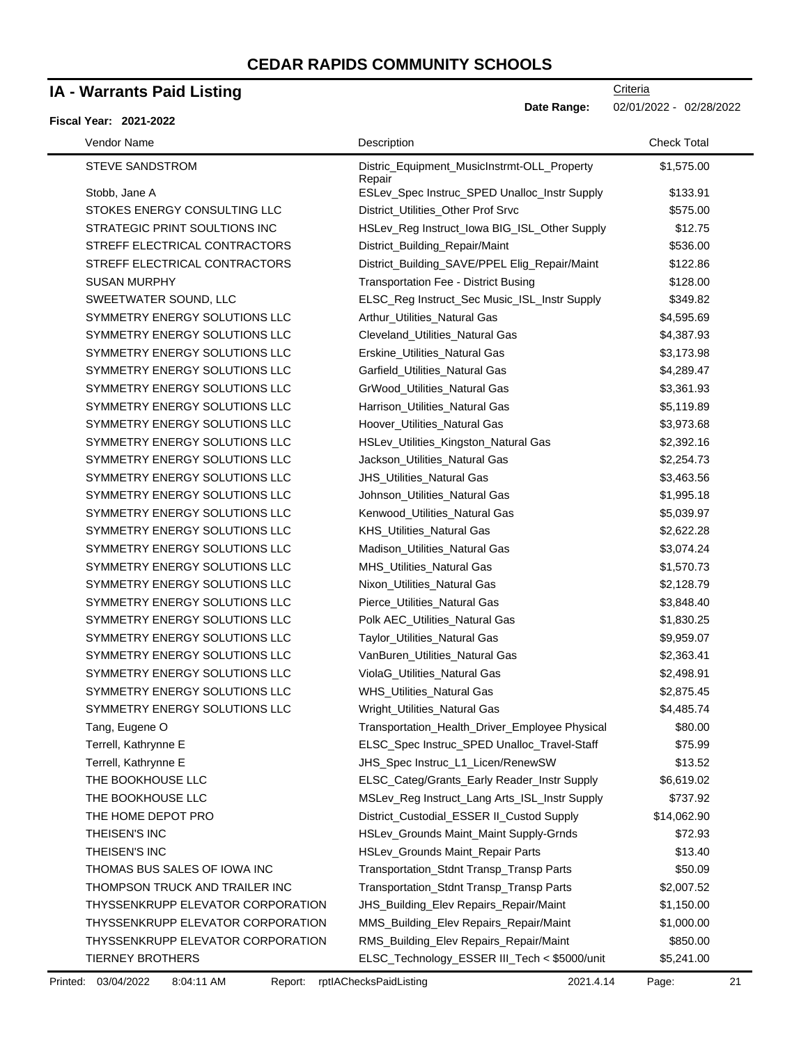### **IA - Warrants Paid Listing**

#### **Fiscal Year: 2021-2022**

**Date Range:** 02/01/2022 - 02/28/2022

| Vendor Name                       | Description                                           | <b>Check Total</b> |  |
|-----------------------------------|-------------------------------------------------------|--------------------|--|
| <b>STEVE SANDSTROM</b>            | Distric_Equipment_MusicInstrmt-OLL_Property<br>Repair | \$1,575.00         |  |
| Stobb, Jane A                     | ESLev_Spec Instruc_SPED Unalloc_Instr Supply          | \$133.91           |  |
| STOKES ENERGY CONSULTING LLC      | District_Utilities_Other Prof Srvc                    | \$575.00           |  |
| STRATEGIC PRINT SOULTIONS INC     | HSLev_Reg Instruct_Iowa BIG_ISL_Other Supply          | \$12.75            |  |
| STREFF ELECTRICAL CONTRACTORS     | District_Building_Repair/Maint                        | \$536.00           |  |
| STREFF ELECTRICAL CONTRACTORS     | District_Building_SAVE/PPEL Elig_Repair/Maint         | \$122.86           |  |
| <b>SUSAN MURPHY</b>               | Transportation Fee - District Busing                  | \$128.00           |  |
| SWEETWATER SOUND, LLC             | ELSC_Reg Instruct_Sec Music_ISL_Instr Supply          | \$349.82           |  |
| SYMMETRY ENERGY SOLUTIONS LLC     | Arthur_Utilities_Natural Gas                          | \$4,595.69         |  |
| SYMMETRY ENERGY SOLUTIONS LLC     | Cleveland_Utilities_Natural Gas                       | \$4,387.93         |  |
| SYMMETRY ENERGY SOLUTIONS LLC     | Erskine_Utilities_Natural Gas                         | \$3,173.98         |  |
| SYMMETRY ENERGY SOLUTIONS LLC     | Garfield_Utilities_Natural Gas                        | \$4,289.47         |  |
| SYMMETRY ENERGY SOLUTIONS LLC     | GrWood_Utilities_Natural Gas                          | \$3,361.93         |  |
| SYMMETRY ENERGY SOLUTIONS LLC     | Harrison_Utilities_Natural Gas                        | \$5,119.89         |  |
| SYMMETRY ENERGY SOLUTIONS LLC     | Hoover_Utilities_Natural Gas                          | \$3,973.68         |  |
| SYMMETRY ENERGY SOLUTIONS LLC     | HSLev_Utilities_Kingston_Natural Gas                  | \$2,392.16         |  |
| SYMMETRY ENERGY SOLUTIONS LLC     | Jackson_Utilities_Natural Gas                         | \$2,254.73         |  |
| SYMMETRY ENERGY SOLUTIONS LLC     | JHS_Utilities_Natural Gas                             | \$3,463.56         |  |
| SYMMETRY ENERGY SOLUTIONS LLC     | Johnson_Utilities_Natural Gas                         | \$1,995.18         |  |
| SYMMETRY ENERGY SOLUTIONS LLC     | Kenwood_Utilities_Natural Gas                         | \$5,039.97         |  |
| SYMMETRY ENERGY SOLUTIONS LLC     | KHS_Utilities_Natural Gas                             | \$2,622.28         |  |
| SYMMETRY ENERGY SOLUTIONS LLC     | Madison_Utilities_Natural Gas                         | \$3,074.24         |  |
| SYMMETRY ENERGY SOLUTIONS LLC     | MHS_Utilities_Natural Gas                             | \$1,570.73         |  |
| SYMMETRY ENERGY SOLUTIONS LLC     | Nixon_Utilities_Natural Gas                           | \$2,128.79         |  |
| SYMMETRY ENERGY SOLUTIONS LLC     | Pierce_Utilities_Natural Gas                          | \$3,848.40         |  |
| SYMMETRY ENERGY SOLUTIONS LLC     | Polk AEC_Utilities_Natural Gas                        | \$1,830.25         |  |
| SYMMETRY ENERGY SOLUTIONS LLC     | Taylor_Utilities_Natural Gas                          | \$9,959.07         |  |
| SYMMETRY ENERGY SOLUTIONS LLC     | VanBuren_Utilities_Natural Gas                        | \$2,363.41         |  |
| SYMMETRY ENERGY SOLUTIONS LLC     | ViolaG_Utilities_Natural Gas                          | \$2,498.91         |  |
| SYMMETRY ENERGY SOLUTIONS LLC     | WHS_Utilities_Natural Gas                             | \$2,875.45         |  |
| SYMMETRY ENERGY SOLUTIONS LLC     | Wright_Utilities_Natural Gas                          | \$4,485.74         |  |
| Tang, Eugene O                    | Transportation_Health_Driver_Employee Physical        | \$80.00            |  |
| Terrell, Kathrynne E              | ELSC_Spec Instruc_SPED Unalloc_Travel-Staff           | \$75.99            |  |
| Terrell, Kathrynne E              | JHS_Spec Instruc_L1_Licen/RenewSW                     | \$13.52            |  |
| THE BOOKHOUSE LLC                 | ELSC_Categ/Grants_Early Reader_Instr Supply           | \$6,619.02         |  |
| THE BOOKHOUSE LLC                 | MSLev_Reg Instruct_Lang Arts_ISL_Instr Supply         | \$737.92           |  |
| THE HOME DEPOT PRO                | District_Custodial_ESSER II_Custod Supply             | \$14,062.90        |  |
| THEISEN'S INC                     | HSLev_Grounds Maint_Maint Supply-Grnds                | \$72.93            |  |
| THEISEN'S INC                     | HSLev_Grounds Maint_Repair Parts                      | \$13.40            |  |
| THOMAS BUS SALES OF IOWA INC      | Transportation_Stdnt Transp_Transp Parts              | \$50.09            |  |
| THOMPSON TRUCK AND TRAILER INC    | Transportation_Stdnt Transp_Transp Parts              | \$2,007.52         |  |
| THYSSENKRUPP ELEVATOR CORPORATION | JHS_Building_Elev Repairs_Repair/Maint                | \$1,150.00         |  |
| THYSSENKRUPP ELEVATOR CORPORATION | MMS_Building_Elev Repairs_Repair/Maint                | \$1,000.00         |  |
| THYSSENKRUPP ELEVATOR CORPORATION | RMS_Building_Elev Repairs_Repair/Maint                | \$850.00           |  |
| <b>TIERNEY BROTHERS</b>           | ELSC_Technology_ESSER III_Tech < \$5000/unit          | \$5,241.00         |  |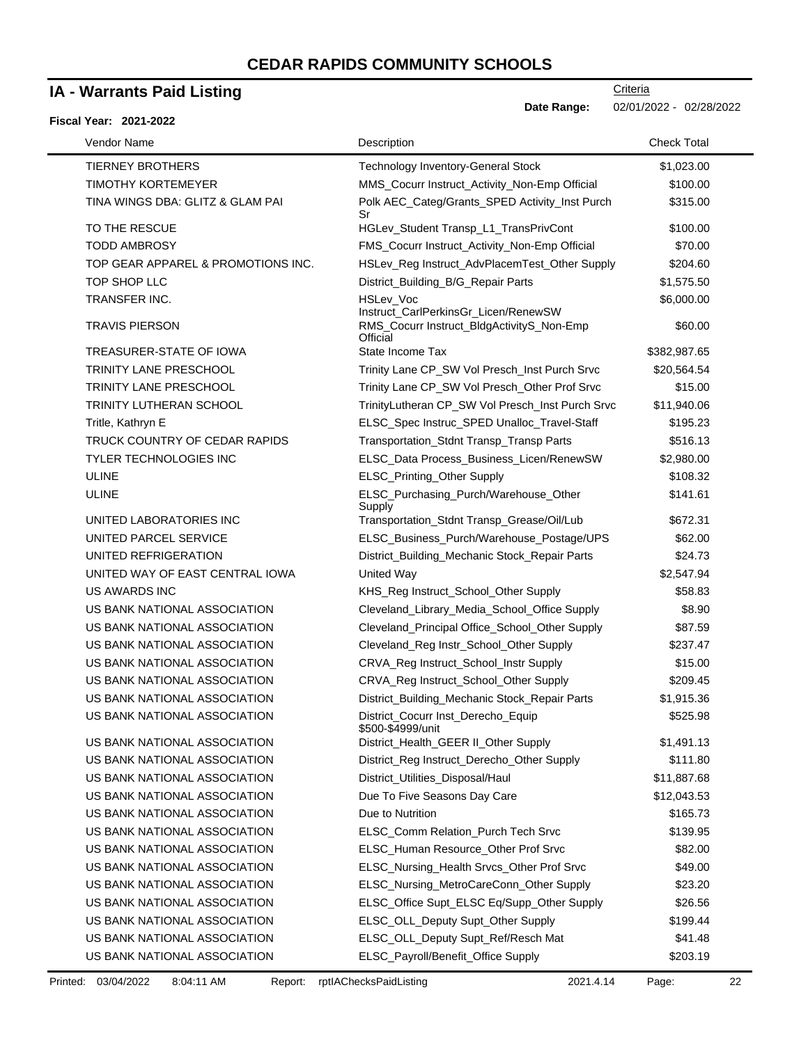### **IA - Warrants Paid Listing**

#### **Fiscal Year: 2021-2022**

**Date Range:** 02/01/2022 - 02/28/2022

| Vendor Name                        | Description                                             | <b>Check Total</b> |
|------------------------------------|---------------------------------------------------------|--------------------|
| <b>TIERNEY BROTHERS</b>            | <b>Technology Inventory-General Stock</b>               | \$1,023.00         |
| <b>TIMOTHY KORTEMEYER</b>          | MMS_Cocurr Instruct_Activity_Non-Emp Official           | \$100.00           |
| TINA WINGS DBA: GLITZ & GLAM PAI   | Polk AEC_Categ/Grants_SPED Activity_Inst Purch<br>Sr    | \$315.00           |
| TO THE RESCUE                      | HGLev_Student Transp_L1_TransPrivCont                   | \$100.00           |
| <b>TODD AMBROSY</b>                | FMS_Cocurr Instruct_Activity_Non-Emp Official           | \$70.00            |
| TOP GEAR APPAREL & PROMOTIONS INC. | HSLev_Reg Instruct_AdvPlacemTest_Other Supply           | \$204.60           |
| TOP SHOP LLC                       | District_Building_B/G_Repair Parts                      | \$1,575.50         |
| TRANSFER INC.                      | HSLev_Voc<br>Instruct_CarlPerkinsGr_Licen/RenewSW       | \$6,000.00         |
| <b>TRAVIS PIERSON</b>              | RMS_Cocurr Instruct_BldgActivityS_Non-Emp<br>Official   | \$60.00            |
| TREASURER-STATE OF IOWA            | State Income Tax                                        | \$382,987.65       |
| TRINITY LANE PRESCHOOL             | Trinity Lane CP_SW Vol Presch_Inst Purch Srvc           | \$20,564.54        |
| <b>TRINITY LANE PRESCHOOL</b>      | Trinity Lane CP_SW Vol Presch_Other Prof Srvc           | \$15.00            |
| <b>TRINITY LUTHERAN SCHOOL</b>     | TrinityLutheran CP_SW Vol Presch_Inst Purch Srvc        | \$11,940.06        |
| Tritle, Kathryn E                  | ELSC_Spec Instruc_SPED Unalloc_Travel-Staff             | \$195.23           |
| TRUCK COUNTRY OF CEDAR RAPIDS      | Transportation_Stdnt Transp_Transp Parts                | \$516.13           |
| <b>TYLER TECHNOLOGIES INC</b>      | ELSC_Data Process_Business_Licen/RenewSW                | \$2,980.00         |
| <b>ULINE</b>                       | ELSC_Printing_Other Supply                              | \$108.32           |
| <b>ULINE</b>                       | ELSC_Purchasing_Purch/Warehouse_Other<br>Supply         | \$141.61           |
| UNITED LABORATORIES INC            | Transportation_Stdnt Transp_Grease/Oil/Lub              | \$672.31           |
| UNITED PARCEL SERVICE              | ELSC_Business_Purch/Warehouse_Postage/UPS               | \$62.00            |
| UNITED REFRIGERATION               | District_Building_Mechanic Stock_Repair Parts           | \$24.73            |
| UNITED WAY OF EAST CENTRAL IOWA    | United Way                                              | \$2,547.94         |
| <b>US AWARDS INC</b>               | KHS_Reg Instruct_School_Other Supply                    | \$58.83            |
| US BANK NATIONAL ASSOCIATION       | Cleveland_Library_Media_School_Office Supply            | \$8.90             |
| US BANK NATIONAL ASSOCIATION       | Cleveland_Principal Office_School_Other Supply          | \$87.59            |
| US BANK NATIONAL ASSOCIATION       | Cleveland_Reg Instr_School_Other Supply                 | \$237.47           |
| US BANK NATIONAL ASSOCIATION       | CRVA_Reg Instruct_School_Instr Supply                   | \$15.00            |
| US BANK NATIONAL ASSOCIATION       | CRVA_Reg Instruct_School_Other Supply                   | \$209.45           |
| US BANK NATIONAL ASSOCIATION       | District_Building_Mechanic Stock_Repair Parts           | \$1,915.36         |
| US BANK NATIONAL ASSOCIATION       | District_Cocurr Inst_Derecho_Equip<br>\$500-\$4999/unit | \$525.98           |
| US BANK NATIONAL ASSOCIATION       | District_Health_GEER II_Other Supply                    | \$1,491.13         |
| US BANK NATIONAL ASSOCIATION       | District_Reg Instruct_Derecho_Other Supply              | \$111.80           |
| US BANK NATIONAL ASSOCIATION       | District_Utilities_Disposal/Haul                        | \$11,887.68        |
| US BANK NATIONAL ASSOCIATION       | Due To Five Seasons Day Care                            | \$12,043.53        |
| US BANK NATIONAL ASSOCIATION       | Due to Nutrition                                        | \$165.73           |
| US BANK NATIONAL ASSOCIATION       | ELSC_Comm Relation_Purch Tech Srvc                      | \$139.95           |
| US BANK NATIONAL ASSOCIATION       | ELSC_Human Resource_Other Prof Srvc                     | \$82.00            |
| US BANK NATIONAL ASSOCIATION       | ELSC_Nursing_Health Srvcs_Other Prof Srvc               | \$49.00            |
| US BANK NATIONAL ASSOCIATION       | ELSC_Nursing_MetroCareConn_Other Supply                 | \$23.20            |
| US BANK NATIONAL ASSOCIATION       | ELSC_Office Supt_ELSC Eq/Supp_Other Supply              | \$26.56            |
| US BANK NATIONAL ASSOCIATION       | ELSC_OLL_Deputy Supt_Other Supply                       | \$199.44           |
| US BANK NATIONAL ASSOCIATION       | ELSC_OLL_Deputy Supt_Ref/Resch Mat                      | \$41.48            |
| US BANK NATIONAL ASSOCIATION       | ELSC_Payroll/Benefit_Office Supply                      | \$203.19           |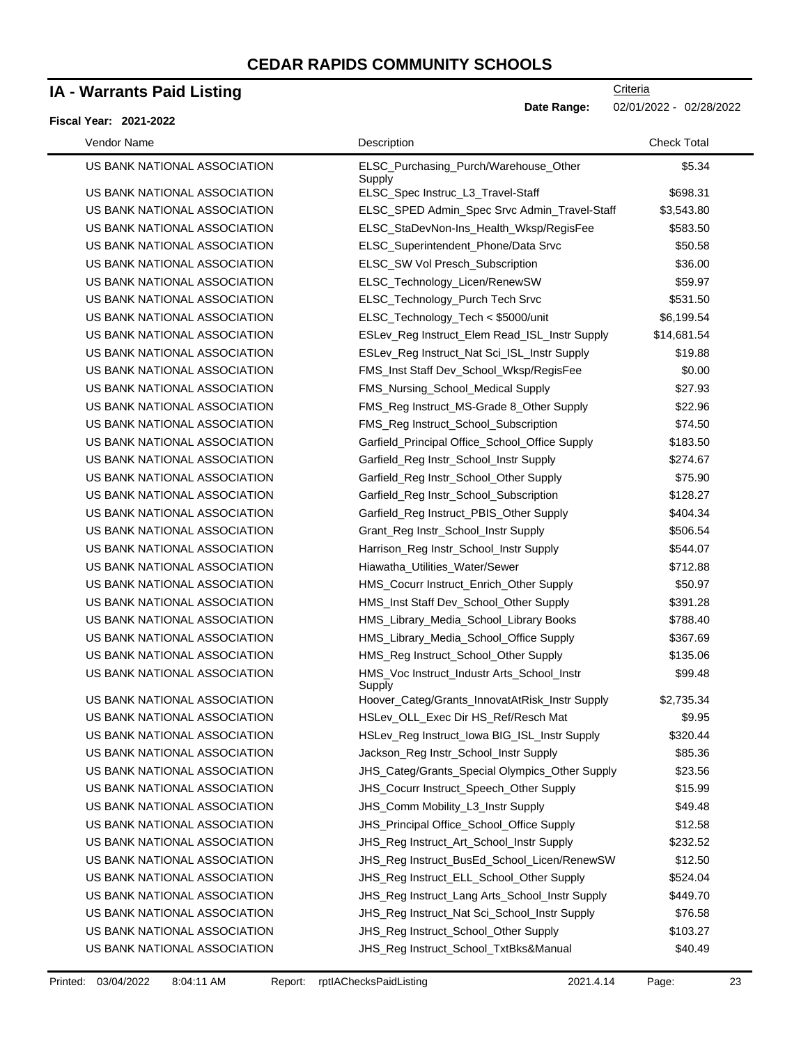### **IA - Warrants Paid Listing**

#### **Fiscal Year: 2021-2022**

| Vendor Name                  | Description                                          | <b>Check Total</b> |
|------------------------------|------------------------------------------------------|--------------------|
| US BANK NATIONAL ASSOCIATION | ELSC_Purchasing_Purch/Warehouse_Other<br>Supply      | \$5.34             |
| US BANK NATIONAL ASSOCIATION | ELSC_Spec Instruc_L3_Travel-Staff                    | \$698.31           |
| US BANK NATIONAL ASSOCIATION | ELSC_SPED Admin_Spec Srvc Admin_Travel-Staff         | \$3,543.80         |
| US BANK NATIONAL ASSOCIATION | ELSC_StaDevNon-Ins_Health_Wksp/RegisFee              | \$583.50           |
| US BANK NATIONAL ASSOCIATION | ELSC_Superintendent_Phone/Data Srvc                  | \$50.58            |
| US BANK NATIONAL ASSOCIATION | ELSC_SW Vol Presch_Subscription                      | \$36.00            |
| US BANK NATIONAL ASSOCIATION | ELSC_Technology_Licen/RenewSW                        | \$59.97            |
| US BANK NATIONAL ASSOCIATION | ELSC_Technology_Purch Tech Srvc                      | \$531.50           |
| US BANK NATIONAL ASSOCIATION | ELSC_Technology_Tech < \$5000/unit                   | \$6,199.54         |
| US BANK NATIONAL ASSOCIATION | ESLev_Reg Instruct_Elem Read_ISL_Instr Supply        | \$14,681.54        |
| US BANK NATIONAL ASSOCIATION | ESLev_Reg Instruct_Nat Sci_ISL_Instr Supply          | \$19.88            |
| US BANK NATIONAL ASSOCIATION | FMS_Inst Staff Dev_School_Wksp/RegisFee              | \$0.00             |
| US BANK NATIONAL ASSOCIATION | FMS_Nursing_School_Medical Supply                    | \$27.93            |
| US BANK NATIONAL ASSOCIATION | FMS_Reg Instruct_MS-Grade 8_Other Supply             | \$22.96            |
| US BANK NATIONAL ASSOCIATION | FMS_Reg Instruct_School_Subscription                 | \$74.50            |
| US BANK NATIONAL ASSOCIATION | Garfield_Principal Office_School_Office Supply       | \$183.50           |
| US BANK NATIONAL ASSOCIATION | Garfield_Reg Instr_School_Instr Supply               | \$274.67           |
| US BANK NATIONAL ASSOCIATION | Garfield_Reg Instr_School_Other Supply               | \$75.90            |
| US BANK NATIONAL ASSOCIATION | Garfield_Reg Instr_School_Subscription               | \$128.27           |
| US BANK NATIONAL ASSOCIATION | Garfield_Reg Instruct_PBIS_Other Supply              | \$404.34           |
| US BANK NATIONAL ASSOCIATION | Grant_Reg Instr_School_Instr Supply                  | \$506.54           |
| US BANK NATIONAL ASSOCIATION | Harrison_Reg Instr_School_Instr Supply               | \$544.07           |
| US BANK NATIONAL ASSOCIATION | Hiawatha_Utilities_Water/Sewer                       | \$712.88           |
| US BANK NATIONAL ASSOCIATION | HMS_Cocurr Instruct_Enrich_Other Supply              | \$50.97            |
| US BANK NATIONAL ASSOCIATION | HMS_Inst Staff Dev_School_Other Supply               | \$391.28           |
| US BANK NATIONAL ASSOCIATION | HMS_Library_Media_School_Library Books               | \$788.40           |
| US BANK NATIONAL ASSOCIATION | HMS_Library_Media_School_Office Supply               | \$367.69           |
| US BANK NATIONAL ASSOCIATION | HMS_Reg Instruct_School_Other Supply                 | \$135.06           |
| US BANK NATIONAL ASSOCIATION | HMS_Voc Instruct_Industr Arts_School_Instr<br>Supply | \$99.48            |
| US BANK NATIONAL ASSOCIATION | Hoover_Categ/Grants_InnovatAtRisk_Instr Supply       | \$2,735.34         |
| US BANK NATIONAL ASSOCIATION | HSLev_OLL_Exec Dir HS_Ref/Resch Mat                  | \$9.95             |
| US BANK NATIONAL ASSOCIATION | HSLev_Reg Instruct_Iowa BIG_ISL_Instr Supply         | \$320.44           |
| US BANK NATIONAL ASSOCIATION | Jackson_Reg Instr_School_Instr Supply                | \$85.36            |
| US BANK NATIONAL ASSOCIATION | JHS_Categ/Grants_Special Olympics_Other Supply       | \$23.56            |
| US BANK NATIONAL ASSOCIATION | JHS_Cocurr Instruct_Speech_Other Supply              | \$15.99            |
| US BANK NATIONAL ASSOCIATION | JHS_Comm Mobility_L3_Instr Supply                    | \$49.48            |
| US BANK NATIONAL ASSOCIATION | JHS_Principal Office_School_Office Supply            | \$12.58            |
| US BANK NATIONAL ASSOCIATION | JHS_Reg Instruct_Art_School_Instr Supply             | \$232.52           |
| US BANK NATIONAL ASSOCIATION | JHS_Reg Instruct_BusEd_School_Licen/RenewSW          | \$12.50            |
| US BANK NATIONAL ASSOCIATION | JHS_Reg Instruct_ELL_School_Other Supply             | \$524.04           |
| US BANK NATIONAL ASSOCIATION | JHS_Reg Instruct_Lang Arts_School_Instr Supply       | \$449.70           |
| US BANK NATIONAL ASSOCIATION | JHS_Reg Instruct_Nat Sci_School_Instr Supply         | \$76.58            |
| US BANK NATIONAL ASSOCIATION | JHS_Reg Instruct_School_Other Supply                 | \$103.27           |
| US BANK NATIONAL ASSOCIATION | JHS_Reg Instruct_School_TxtBks&Manual                | \$40.49            |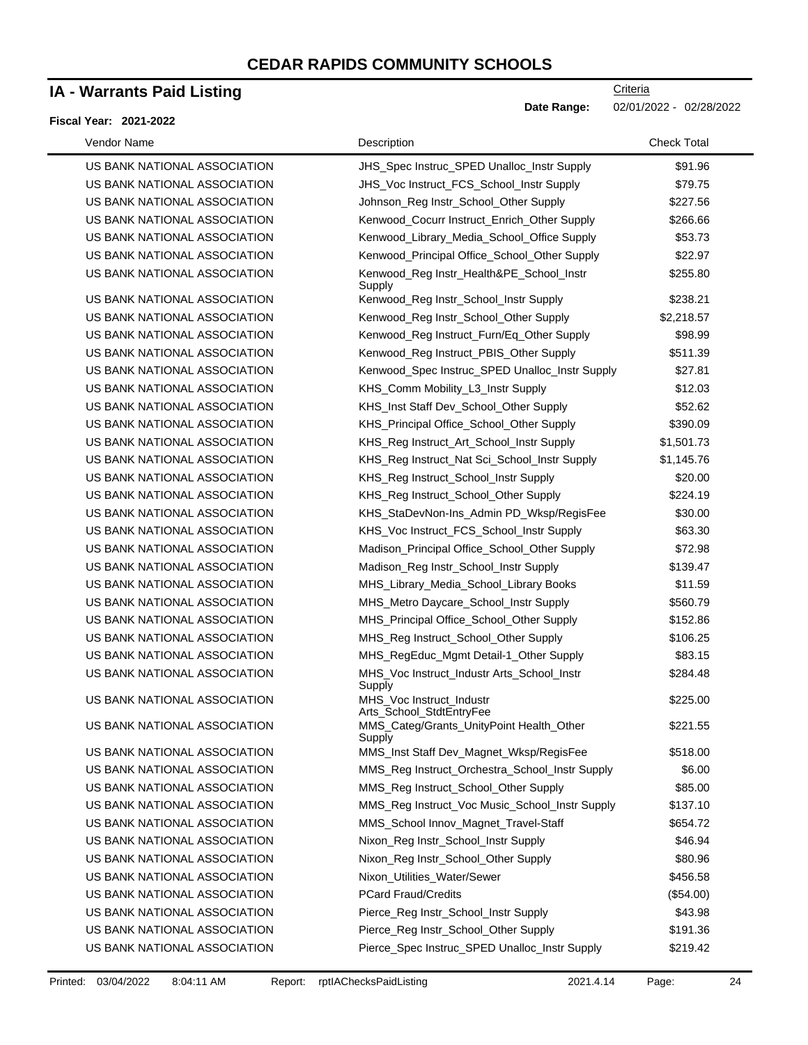## **IA - Warrants Paid Listing**

#### **Fiscal Year: 2021-2022**

 $\blacksquare$ 

| Vendor Name                  | Description                                                          | <b>Check Total</b> |
|------------------------------|----------------------------------------------------------------------|--------------------|
| US BANK NATIONAL ASSOCIATION | JHS Spec Instruc SPED Unalloc Instr Supply                           | \$91.96            |
| US BANK NATIONAL ASSOCIATION | JHS_Voc Instruct_FCS_School_Instr Supply                             | \$79.75            |
| US BANK NATIONAL ASSOCIATION | Johnson_Reg Instr_School_Other Supply                                | \$227.56           |
| US BANK NATIONAL ASSOCIATION | Kenwood_Cocurr Instruct_Enrich_Other Supply                          | \$266.66           |
| US BANK NATIONAL ASSOCIATION | Kenwood Library Media School Office Supply                           | \$53.73            |
| US BANK NATIONAL ASSOCIATION | Kenwood_Principal Office_School_Other Supply                         | \$22.97            |
| US BANK NATIONAL ASSOCIATION | Kenwood_Reg Instr_Health&PE_School_Instr<br>Supply                   | \$255.80           |
| US BANK NATIONAL ASSOCIATION | Kenwood_Reg Instr_School_Instr Supply                                | \$238.21           |
| US BANK NATIONAL ASSOCIATION | Kenwood_Reg Instr_School_Other Supply                                | \$2,218.57         |
| US BANK NATIONAL ASSOCIATION | Kenwood_Reg Instruct_Furn/Eq_Other Supply                            | \$98.99            |
| US BANK NATIONAL ASSOCIATION | Kenwood_Reg Instruct_PBIS_Other Supply                               | \$511.39           |
| US BANK NATIONAL ASSOCIATION | Kenwood_Spec Instruc_SPED Unalloc_Instr Supply                       | \$27.81            |
| US BANK NATIONAL ASSOCIATION | KHS_Comm Mobility_L3_Instr Supply                                    | \$12.03            |
| US BANK NATIONAL ASSOCIATION | KHS_Inst Staff Dev_School_Other Supply                               | \$52.62            |
| US BANK NATIONAL ASSOCIATION | KHS_Principal Office_School_Other Supply                             | \$390.09           |
| US BANK NATIONAL ASSOCIATION | KHS_Reg Instruct_Art_School_Instr Supply                             | \$1,501.73         |
| US BANK NATIONAL ASSOCIATION | KHS_Reg Instruct_Nat Sci_School_Instr Supply                         | \$1,145.76         |
| US BANK NATIONAL ASSOCIATION | KHS_Reg Instruct_School_Instr Supply                                 | \$20.00            |
| US BANK NATIONAL ASSOCIATION | KHS_Reg Instruct_School_Other Supply                                 | \$224.19           |
| US BANK NATIONAL ASSOCIATION | KHS_StaDevNon-Ins_Admin PD_Wksp/RegisFee                             | \$30.00            |
| US BANK NATIONAL ASSOCIATION | KHS_Voc Instruct_FCS_School_Instr Supply                             | \$63.30            |
| US BANK NATIONAL ASSOCIATION | Madison_Principal Office_School_Other Supply                         | \$72.98            |
| US BANK NATIONAL ASSOCIATION | Madison_Reg Instr_School_Instr Supply                                | \$139.47           |
| US BANK NATIONAL ASSOCIATION | MHS_Library_Media_School_Library Books                               | \$11.59            |
| US BANK NATIONAL ASSOCIATION | MHS_Metro Daycare_School_Instr Supply                                | \$560.79           |
| US BANK NATIONAL ASSOCIATION | MHS_Principal Office_School_Other Supply                             | \$152.86           |
| US BANK NATIONAL ASSOCIATION | MHS_Reg Instruct_School_Other Supply                                 | \$106.25           |
| US BANK NATIONAL ASSOCIATION | MHS_RegEduc_Mgmt Detail-1_Other Supply                               | \$83.15            |
| US BANK NATIONAL ASSOCIATION | MHS_Voc Instruct_Industr Arts_School_Instr                           | \$284.48           |
| US BANK NATIONAL ASSOCIATION | Supply<br>MHS_Voc Instruct_Industr                                   | \$225.00           |
| US BANK NATIONAL ASSOCIATION | Arts_School_StdtEntryFee<br>MMS_Categ/Grants_UnityPoint Health_Other | \$221.55           |
| US BANK NATIONAL ASSOCIATION | Supply<br>MMS_Inst Staff Dev_Magnet_Wksp/RegisFee                    | \$518.00           |
| US BANK NATIONAL ASSOCIATION | MMS_Reg Instruct_Orchestra_School_Instr Supply                       | \$6.00             |
| US BANK NATIONAL ASSOCIATION | MMS_Reg Instruct_School_Other Supply                                 | \$85.00            |
| US BANK NATIONAL ASSOCIATION | MMS_Reg Instruct_Voc Music_School_Instr Supply                       | \$137.10           |
| US BANK NATIONAL ASSOCIATION | MMS_School Innov_Magnet_Travel-Staff                                 | \$654.72           |
| US BANK NATIONAL ASSOCIATION | Nixon_Reg Instr_School_Instr Supply                                  | \$46.94            |
| US BANK NATIONAL ASSOCIATION | Nixon_Reg Instr_School_Other Supply                                  | \$80.96            |
|                              |                                                                      |                    |
| US BANK NATIONAL ASSOCIATION | Nixon_Utilities_Water/Sewer                                          | \$456.58           |
| US BANK NATIONAL ASSOCIATION | <b>PCard Fraud/Credits</b>                                           | (\$54.00)          |
| US BANK NATIONAL ASSOCIATION | Pierce_Reg Instr_School_Instr Supply                                 | \$43.98            |
| US BANK NATIONAL ASSOCIATION | Pierce_Reg Instr_School_Other Supply                                 | \$191.36           |
| US BANK NATIONAL ASSOCIATION | Pierce_Spec Instruc_SPED Unalloc_Instr Supply                        | \$219.42           |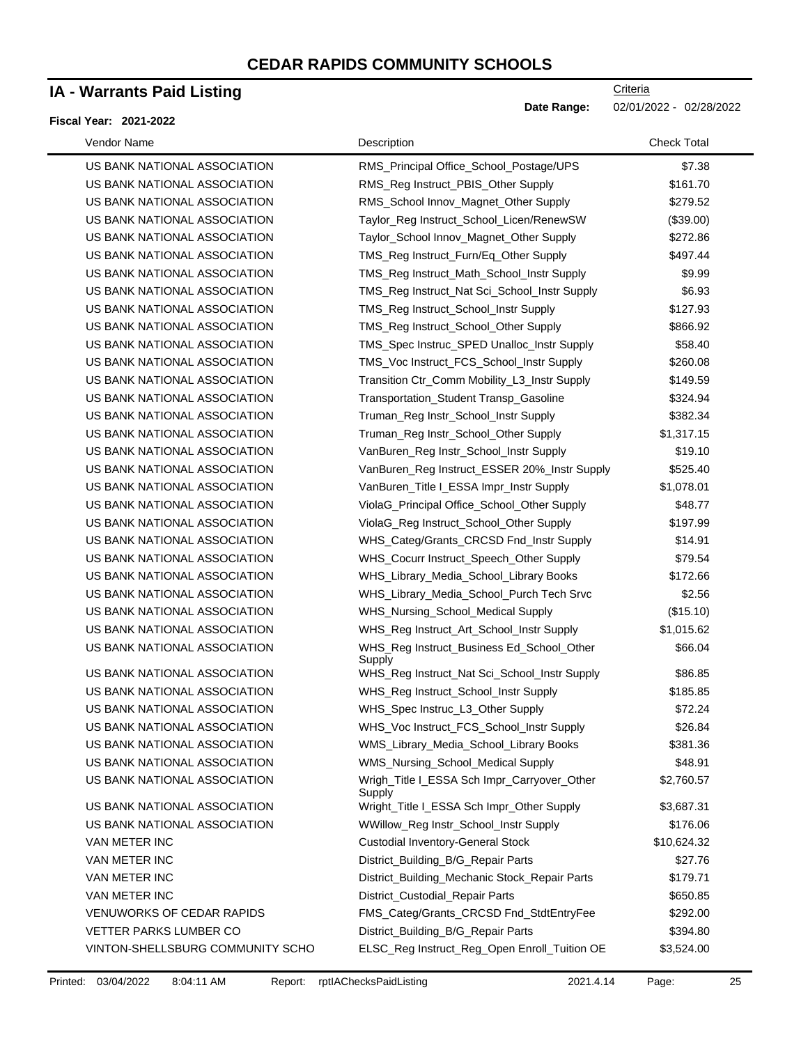## **IA - Warrants Paid Listing**

#### **Fiscal Year: 2021-2022**

| Vendor Name                      | Description                                           | <b>Check Total</b> |
|----------------------------------|-------------------------------------------------------|--------------------|
| US BANK NATIONAL ASSOCIATION     | RMS_Principal Office_School_Postage/UPS               | \$7.38             |
| US BANK NATIONAL ASSOCIATION     | RMS_Reg Instruct_PBIS_Other Supply                    | \$161.70           |
| US BANK NATIONAL ASSOCIATION     | RMS_School Innov_Magnet_Other Supply                  | \$279.52           |
| US BANK NATIONAL ASSOCIATION     | Taylor_Reg Instruct_School_Licen/RenewSW              | (\$39.00)          |
| US BANK NATIONAL ASSOCIATION     | Taylor_School Innov_Magnet_Other Supply               | \$272.86           |
| US BANK NATIONAL ASSOCIATION     | TMS_Reg Instruct_Furn/Eq_Other Supply                 | \$497.44           |
| US BANK NATIONAL ASSOCIATION     | TMS_Reg Instruct_Math_School_Instr Supply             | \$9.99             |
| US BANK NATIONAL ASSOCIATION     | TMS_Reg Instruct_Nat Sci_School_Instr Supply          | \$6.93             |
| US BANK NATIONAL ASSOCIATION     | TMS_Reg Instruct_School_Instr Supply                  | \$127.93           |
| US BANK NATIONAL ASSOCIATION     | TMS_Reg Instruct_School_Other Supply                  | \$866.92           |
| US BANK NATIONAL ASSOCIATION     | TMS_Spec Instruc_SPED Unalloc_Instr Supply            | \$58.40            |
| US BANK NATIONAL ASSOCIATION     | TMS_Voc Instruct_FCS_School_Instr Supply              | \$260.08           |
| US BANK NATIONAL ASSOCIATION     | Transition Ctr_Comm Mobility_L3_Instr Supply          | \$149.59           |
| US BANK NATIONAL ASSOCIATION     | Transportation_Student Transp_Gasoline                | \$324.94           |
| US BANK NATIONAL ASSOCIATION     | Truman_Reg Instr_School_Instr Supply                  | \$382.34           |
| US BANK NATIONAL ASSOCIATION     | Truman_Reg Instr_School_Other Supply                  | \$1,317.15         |
| US BANK NATIONAL ASSOCIATION     | VanBuren_Reg Instr_School_Instr Supply                | \$19.10            |
| US BANK NATIONAL ASSOCIATION     | VanBuren_Reg Instruct_ESSER 20%_Instr Supply          | \$525.40           |
| US BANK NATIONAL ASSOCIATION     | VanBuren Title I ESSA Impr Instr Supply               | \$1,078.01         |
| US BANK NATIONAL ASSOCIATION     | ViolaG_Principal Office_School_Other Supply           | \$48.77            |
| US BANK NATIONAL ASSOCIATION     | ViolaG_Reg Instruct_School_Other Supply               | \$197.99           |
| US BANK NATIONAL ASSOCIATION     | WHS_Categ/Grants_CRCSD Fnd_Instr Supply               | \$14.91            |
| US BANK NATIONAL ASSOCIATION     | WHS_Cocurr Instruct_Speech_Other Supply               | \$79.54            |
| US BANK NATIONAL ASSOCIATION     | WHS_Library_Media_School_Library Books                | \$172.66           |
| US BANK NATIONAL ASSOCIATION     | WHS_Library_Media_School_Purch Tech Srvc              | \$2.56             |
| US BANK NATIONAL ASSOCIATION     | WHS_Nursing_School_Medical Supply                     | (\$15.10)          |
| US BANK NATIONAL ASSOCIATION     | WHS_Reg Instruct_Art_School_Instr Supply              | \$1,015.62         |
| US BANK NATIONAL ASSOCIATION     | WHS_Reg Instruct_Business Ed_School_Other<br>Supply   | \$66.04            |
| US BANK NATIONAL ASSOCIATION     | WHS_Reg Instruct_Nat Sci_School_Instr Supply          | \$86.85            |
| US BANK NATIONAL ASSOCIATION     | WHS_Reg Instruct_School_Instr Supply                  | \$185.85           |
| US BANK NATIONAL ASSOCIATION     | WHS_Spec Instruc_L3_Other Supply                      | \$72.24            |
| US BANK NATIONAL ASSOCIATION     | WHS_Voc Instruct_FCS_School_Instr Supply              | \$26.84            |
| US BANK NATIONAL ASSOCIATION     | WMS Library Media School Library Books                | \$381.36           |
| US BANK NATIONAL ASSOCIATION     | WMS_Nursing_School_Medical Supply                     | \$48.91            |
| US BANK NATIONAL ASSOCIATION     | Wrigh_Title I_ESSA Sch Impr_Carryover_Other<br>Supply | \$2,760.57         |
| US BANK NATIONAL ASSOCIATION     | Wright_Title I_ESSA Sch Impr_Other Supply             | \$3,687.31         |
| US BANK NATIONAL ASSOCIATION     | WWillow_Reg Instr_School_Instr Supply                 | \$176.06           |
| VAN METER INC                    | <b>Custodial Inventory-General Stock</b>              | \$10,624.32        |
| VAN METER INC                    | District_Building_B/G_Repair Parts                    | \$27.76            |
| VAN METER INC                    | District_Building_Mechanic Stock_Repair Parts         | \$179.71           |
| VAN METER INC                    | District_Custodial_Repair Parts                       | \$650.85           |
| <b>VENUWORKS OF CEDAR RAPIDS</b> | FMS_Categ/Grants_CRCSD Fnd_StdtEntryFee               | \$292.00           |
| <b>VETTER PARKS LUMBER CO</b>    | District_Building_B/G_Repair Parts                    | \$394.80           |
| VINTON-SHELLSBURG COMMUNITY SCHO | ELSC_Reg Instruct_Reg_Open Enroll_Tuition OE          | \$3,524.00         |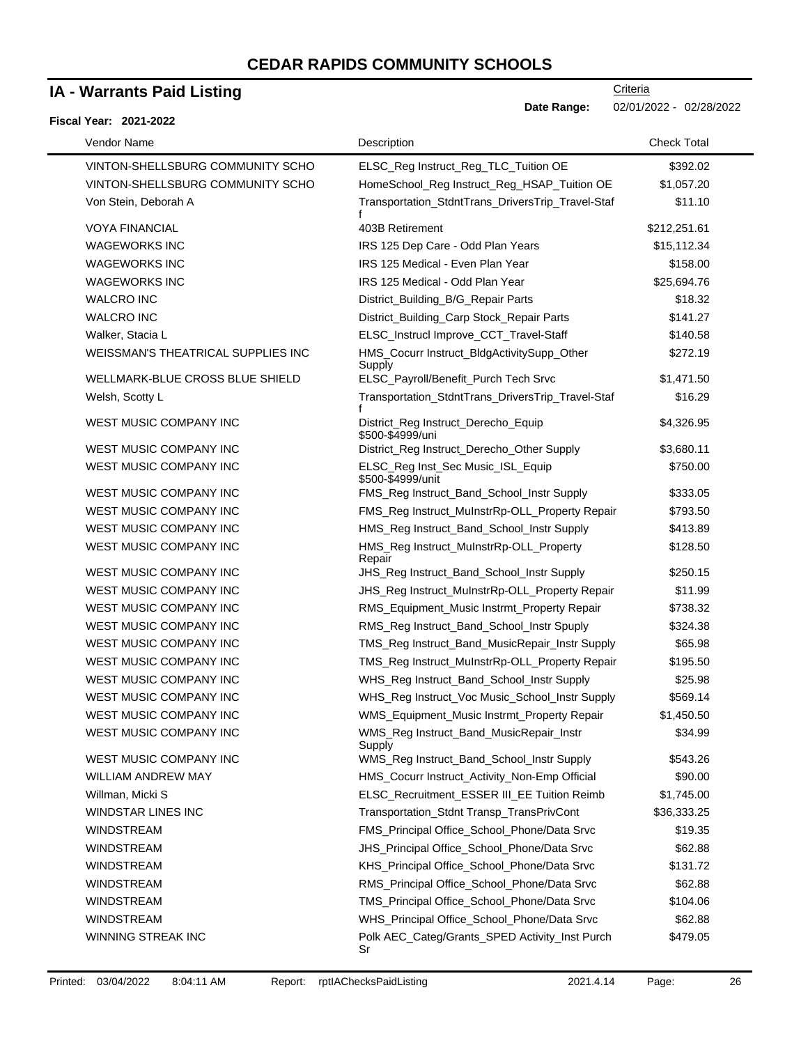## **IA - Warrants Paid Listing**

#### **Fiscal Year: 2021-2022**

| Vendor Name                        | Description                                             | <b>Check Total</b> |
|------------------------------------|---------------------------------------------------------|--------------------|
| VINTON-SHELLSBURG COMMUNITY SCHO   | ELSC_Reg Instruct_Reg_TLC_Tuition OE                    | \$392.02           |
| VINTON-SHELLSBURG COMMUNITY SCHO   | HomeSchool_Reg Instruct_Reg_HSAP_Tuition OE             | \$1,057.20         |
| Von Stein, Deborah A               | Transportation_StdntTrans_DriversTrip_Travel-Staf       | \$11.10            |
| <b>VOYA FINANCIAL</b>              | 403B Retirement                                         | \$212,251.61       |
| <b>WAGEWORKS INC</b>               | IRS 125 Dep Care - Odd Plan Years                       | \$15,112.34        |
| <b>WAGEWORKS INC</b>               | IRS 125 Medical - Even Plan Year                        | \$158.00           |
| <b>WAGEWORKS INC</b>               | IRS 125 Medical - Odd Plan Year                         | \$25,694.76        |
| <b>WALCRO INC</b>                  | District_Building_B/G_Repair Parts                      | \$18.32            |
| <b>WALCRO INC</b>                  | District_Building_Carp Stock_Repair Parts               | \$141.27           |
| Walker, Stacia L                   | ELSC_Instrucl Improve_CCT_Travel-Staff                  | \$140.58           |
| WEISSMAN'S THEATRICAL SUPPLIES INC | HMS_Cocurr Instruct_BldgActivitySupp_Other<br>Supply    | \$272.19           |
| WELLMARK-BLUE CROSS BLUE SHIELD    | ELSC_Payroll/Benefit_Purch Tech Srvc                    | \$1,471.50         |
| Welsh, Scotty L                    | Transportation_StdntTrans_DriversTrip_Travel-Staf       | \$16.29            |
| WEST MUSIC COMPANY INC             | District_Reg Instruct_Derecho_Equip<br>\$500-\$4999/uni | \$4,326.95         |
| WEST MUSIC COMPANY INC             | District_Reg Instruct_Derecho_Other Supply              | \$3,680.11         |
| WEST MUSIC COMPANY INC             | ELSC_Reg Inst_Sec Music_ISL_Equip<br>\$500-\$4999/unit  | \$750.00           |
| WEST MUSIC COMPANY INC             | FMS_Reg Instruct_Band_School_Instr Supply               | \$333.05           |
| WEST MUSIC COMPANY INC             | FMS_Reg Instruct_MuInstrRp-OLL_Property Repair          | \$793.50           |
| WEST MUSIC COMPANY INC             | HMS_Reg Instruct_Band_School_Instr Supply               | \$413.89           |
| WEST MUSIC COMPANY INC             | HMS_Reg Instruct_MuInstrRp-OLL_Property<br>Repair       | \$128.50           |
| WEST MUSIC COMPANY INC             | JHS_Reg Instruct_Band_School_Instr Supply               | \$250.15           |
| WEST MUSIC COMPANY INC             | JHS_Reg Instruct_MuInstrRp-OLL_Property Repair          | \$11.99            |
| WEST MUSIC COMPANY INC             | RMS_Equipment_Music Instrmt_Property Repair             | \$738.32           |
| WEST MUSIC COMPANY INC             | RMS_Reg Instruct_Band_School_Instr Spuply               | \$324.38           |
| WEST MUSIC COMPANY INC             | TMS_Reg Instruct_Band_MusicRepair_Instr Supply          | \$65.98            |
| <b>WEST MUSIC COMPANY INC</b>      | TMS_Reg Instruct_MuInstrRp-OLL_Property Repair          | \$195.50           |
| WEST MUSIC COMPANY INC             | WHS_Reg Instruct_Band_School_Instr Supply               | \$25.98            |
| WEST MUSIC COMPANY INC             | WHS_Reg Instruct_Voc Music_School_Instr Supply          | \$569.14           |
| WEST MUSIC COMPANY INC             | WMS_Equipment_Music Instrmt_Property Repair             | \$1,450.50         |
| WEST MUSIC COMPANY INC             | WMS_Reg Instruct_Band_MusicRepair_Instr<br>Supply       | \$34.99            |
| WEST MUSIC COMPANY INC             | WMS_Reg Instruct_Band_School_Instr Supply               | \$543.26           |
| WILLIAM ANDREW MAY                 | HMS_Cocurr Instruct_Activity_Non-Emp Official           | \$90.00            |
| Willman, Micki S                   | ELSC_Recruitment_ESSER III_EE Tuition Reimb             | \$1,745.00         |
| WINDSTAR LINES INC                 | Transportation_Stdnt Transp_TransPrivCont               | \$36,333.25        |
| <b>WINDSTREAM</b>                  | FMS_Principal Office_School_Phone/Data Srvc             | \$19.35            |
| <b>WINDSTREAM</b>                  | JHS_Principal Office_School_Phone/Data Srvc             | \$62.88            |
| WINDSTREAM                         | KHS_Principal Office_School_Phone/Data Srvc             | \$131.72           |
| <b>WINDSTREAM</b>                  | RMS_Principal Office_School_Phone/Data Srvc             | \$62.88            |
| <b>WINDSTREAM</b>                  | TMS_Principal Office_School_Phone/Data Srvc             | \$104.06           |
| <b>WINDSTREAM</b>                  | WHS_Principal Office_School_Phone/Data Srvc             | \$62.88            |
| WINNING STREAK INC                 | Polk AEC_Categ/Grants_SPED Activity_Inst Purch<br>Sr    | \$479.05           |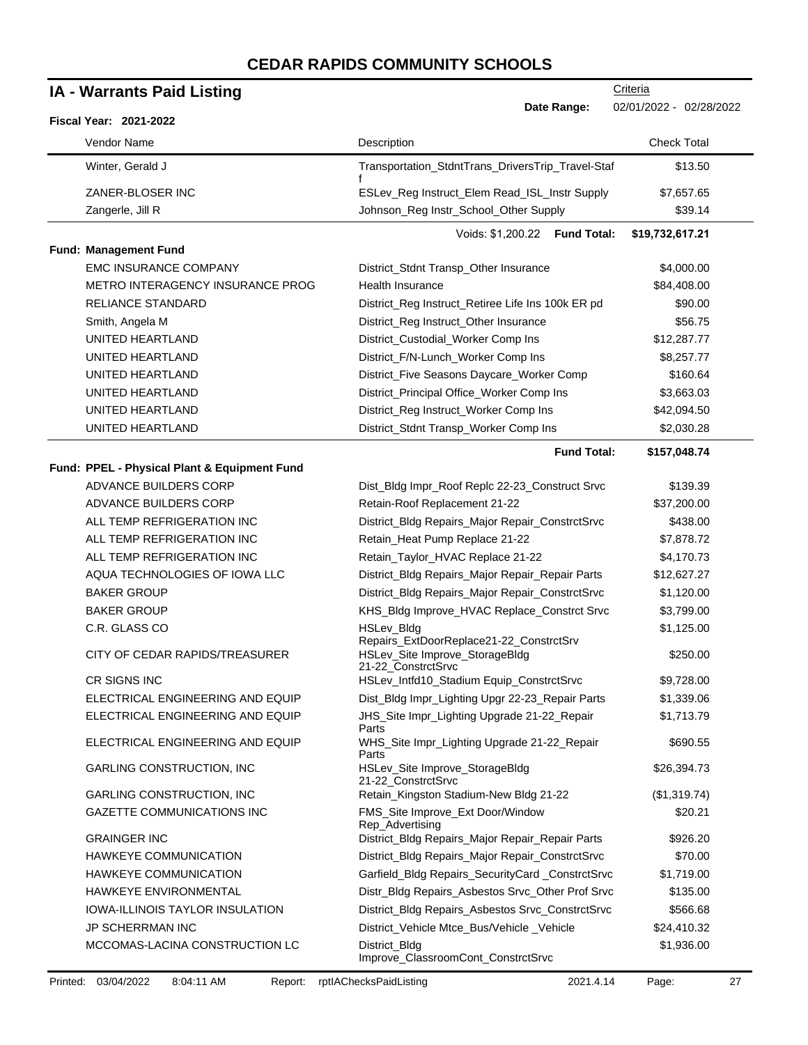| <b>IA - Warrants Paid Listing</b> |                                              | Criteria                                                                                        |                         |
|-----------------------------------|----------------------------------------------|-------------------------------------------------------------------------------------------------|-------------------------|
|                                   | <b>Fiscal Year: 2021-2022</b>                | Date Range:                                                                                     | 02/01/2022 - 02/28/2022 |
|                                   | Vendor Name                                  | Description                                                                                     | <b>Check Total</b>      |
|                                   | Winter, Gerald J                             | Transportation_StdntTrans_DriversTrip_Travel-Staf                                               | \$13.50                 |
|                                   | ZANER-BLOSER INC                             | ESLev_Reg Instruct_Elem Read_ISL_Instr Supply                                                   | \$7,657.65              |
|                                   | Zangerle, Jill R                             | Johnson_Reg Instr_School_Other Supply                                                           | \$39.14                 |
|                                   |                                              | Voids: \$1,200.22 Fund Total:                                                                   | \$19,732,617.21         |
|                                   | Fund: Management Fund                        |                                                                                                 |                         |
|                                   | <b>EMC INSURANCE COMPANY</b>                 | District_Stdnt Transp_Other Insurance                                                           | \$4,000.00              |
|                                   | METRO INTERAGENCY INSURANCE PROG             | Health Insurance                                                                                | \$84,408.00             |
|                                   | <b>RELIANCE STANDARD</b>                     | District_Reg Instruct_Retiree Life Ins 100k ER pd                                               | \$90.00                 |
|                                   | Smith, Angela M                              | District_Reg Instruct_Other Insurance                                                           | \$56.75                 |
|                                   | UNITED HEARTLAND                             | District_Custodial_Worker Comp Ins                                                              | \$12,287.77             |
|                                   | UNITED HEARTLAND                             | District_F/N-Lunch_Worker Comp Ins                                                              | \$8,257.77              |
|                                   | UNITED HEARTLAND                             | District_Five Seasons Daycare_Worker Comp                                                       | \$160.64                |
|                                   | UNITED HEARTLAND                             | District_Principal Office_Worker Comp Ins                                                       | \$3,663.03              |
|                                   | UNITED HEARTLAND                             | District_Reg Instruct_Worker Comp Ins                                                           | \$42,094.50             |
|                                   | UNITED HEARTLAND                             | District_Stdnt Transp_Worker Comp Ins                                                           | \$2,030.28              |
|                                   |                                              | <b>Fund Total:</b>                                                                              | \$157,048.74            |
|                                   | Fund: PPEL - Physical Plant & Equipment Fund |                                                                                                 |                         |
|                                   | ADVANCE BUILDERS CORP                        | Dist_Bldg Impr_Roof Replc 22-23_Construct Srvc                                                  | \$139.39                |
|                                   | ADVANCE BUILDERS CORP                        | Retain-Roof Replacement 21-22                                                                   | \$37,200.00             |
|                                   | ALL TEMP REFRIGERATION INC                   | District_Bldg Repairs_Major Repair_ConstrctSrvc                                                 | \$438.00                |
|                                   | ALL TEMP REFRIGERATION INC                   | Retain_Heat Pump Replace 21-22                                                                  | \$7,878.72              |
|                                   | ALL TEMP REFRIGERATION INC                   | Retain_Taylor_HVAC Replace 21-22                                                                | \$4,170.73              |
|                                   | AQUA TECHNOLOGIES OF IOWA LLC                | District_Bldg Repairs_Major Repair_Repair Parts                                                 | \$12,627.27             |
|                                   | <b>BAKER GROUP</b>                           | District_Bldg Repairs_Major Repair_ConstrctSrvc                                                 | \$1,120.00              |
|                                   | <b>BAKER GROUP</b>                           | KHS_Bldg Improve_HVAC Replace_Constrct Srvc                                                     | \$3,799.00              |
|                                   | C.R. GLASS CO                                | HSLev_Bldg                                                                                      | \$1,125.00              |
|                                   | CITY OF CEDAR RAPIDS/TREASURER               | Repairs_ExtDoorReplace21-22_ConstrctSrv<br>HSLev_Site Improve_StorageBldg<br>21-22_ConstrctSrvc | \$250.00                |
|                                   | CR SIGNS INC                                 | HSLev_Intfd10_Stadium Equip_ConstrctSrvc                                                        | \$9,728.00              |
|                                   | ELECTRICAL ENGINEERING AND EQUIP             | Dist_Bldg Impr_Lighting Upgr 22-23_Repair Parts                                                 | \$1,339.06              |
|                                   | ELECTRICAL ENGINEERING AND EQUIP             | JHS_Site Impr_Lighting Upgrade 21-22_Repair<br>Parts                                            | \$1,713.79              |
|                                   | ELECTRICAL ENGINEERING AND EQUIP             | WHS_Site Impr_Lighting Upgrade 21-22_Repair<br>Parts                                            | \$690.55                |
|                                   | <b>GARLING CONSTRUCTION, INC</b>             | HSLev_Site Improve_StorageBldg<br>21-22_ConstrctSrvc                                            | \$26,394.73             |
|                                   | <b>GARLING CONSTRUCTION, INC</b>             | Retain_Kingston Stadium-New Bldg 21-22                                                          | (\$1,319.74)            |
|                                   | <b>GAZETTE COMMUNICATIONS INC</b>            | FMS_Site Improve_Ext Door/Window<br>Rep_Advertising                                             | \$20.21                 |
|                                   | <b>GRAINGER INC</b>                          | District_Bldg Repairs_Major Repair_Repair Parts                                                 | \$926.20                |
|                                   | HAWKEYE COMMUNICATION                        | District_Bldg Repairs_Major Repair_ConstrctSrvc                                                 | \$70.00                 |
|                                   | HAWKEYE COMMUNICATION                        | Garfield_Bldg Repairs_SecurityCard _ConstrctSrvc                                                | \$1,719.00              |
|                                   | HAWKEYE ENVIRONMENTAL                        | Distr_Bldg Repairs_Asbestos Srvc_Other Prof Srvc                                                | \$135.00                |
|                                   | <b>IOWA-ILLINOIS TAYLOR INSULATION</b>       | District_Bldg Repairs_Asbestos Srvc_ConstrctSrvc                                                | \$566.68                |
|                                   | <b>JP SCHERRMAN INC</b>                      | District_Vehicle Mtce_Bus/Vehicle _Vehicle                                                      | \$24,410.32             |
|                                   | MCCOMAS-LACINA CONSTRUCTION LC               | District_Bldg<br>Improve_ClassroomCont_ConstrctSrvc                                             | \$1,936.00              |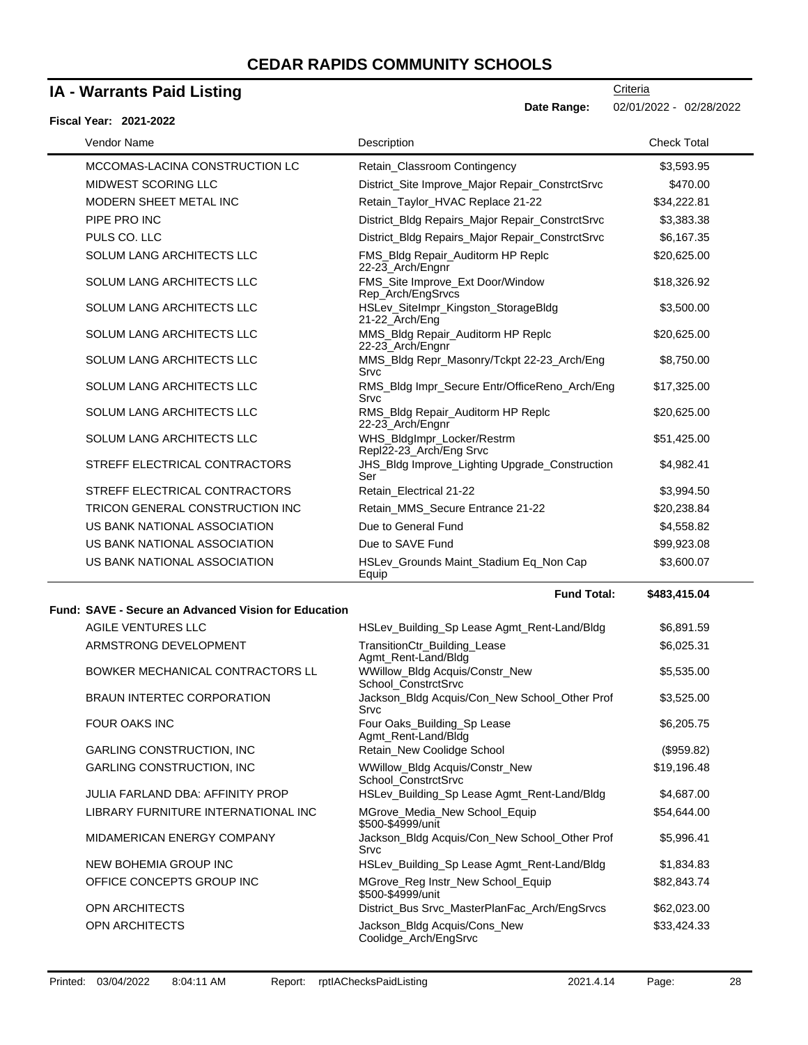## **IA - Warrants Paid Listing**

#### **Fiscal Year: 2021-2022**

**Criteria Date Range:** 02/01/2022 - 02/28/2022

| Vendor Name                      | Description                                           | <b>Check Total</b> |
|----------------------------------|-------------------------------------------------------|--------------------|
| MCCOMAS-LACINA CONSTRUCTION LC   | Retain_Classroom Contingency                          | \$3,593.95         |
| MIDWEST SCORING LLC              | District_Site Improve_Major Repair_ConstrctSrvc       | \$470.00           |
| MODERN SHEET METAL INC           | Retain Taylor HVAC Replace 21-22                      | \$34,222.81        |
| PIPE PRO INC                     | District_Bldg Repairs_Major Repair_ConstrctSrvc       | \$3,383.38         |
| PULS CO. LLC                     | District_Bldg Repairs_Major Repair_ConstrctSrvc       | \$6,167.35         |
| <b>SOLUM LANG ARCHITECTS LLC</b> | FMS_Bldg Repair_Auditorm HP Replc<br>22-23 Arch/Engnr | \$20,625.00        |
| <b>SOLUM LANG ARCHITECTS LLC</b> | FMS_Site Improve_Ext Door/Window<br>Rep Arch/EngSrvcs | \$18,326.92        |
| <b>SOLUM LANG ARCHITECTS LLC</b> | HSLev_SiteImpr_Kingston_StorageBldg<br>21-22_Arch/Eng | \$3,500.00         |
| <b>SOLUM LANG ARCHITECTS LLC</b> | MMS_Bldg Repair_Auditorm HP Replc<br>22-23_Arch/Engnr | \$20,625.00        |
| <b>SOLUM LANG ARCHITECTS LLC</b> | MMS_Bldg Repr_Masonry/Tckpt 22-23_Arch/Eng<br>Srvc    | \$8,750.00         |
| <b>SOLUM LANG ARCHITECTS LLC</b> | RMS Bldg Impr Secure Entr/OfficeReno Arch/Eng<br>Srvc | \$17,325.00        |
| <b>SOLUM LANG ARCHITECTS LLC</b> | RMS_Bldg Repair_Auditorm HP Replc<br>22-23_Arch/Engnr | \$20,625.00        |
| <b>SOLUM LANG ARCHITECTS LLC</b> | WHS_BldgImpr_Locker/Restrm<br>Repl22-23_Arch/Eng Srvc | \$51,425.00        |
| STREFF ELECTRICAL CONTRACTORS    | JHS_Bldg Improve_Lighting Upgrade_Construction<br>Ser | \$4,982.41         |
| STREFF ELECTRICAL CONTRACTORS    | Retain_Electrical 21-22                               | \$3,994.50         |
| TRICON GENERAL CONSTRUCTION INC  | Retain MMS Secure Entrance 21-22                      | \$20,238.84        |
| US BANK NATIONAL ASSOCIATION     | Due to General Fund                                   | \$4,558.82         |
| US BANK NATIONAL ASSOCIATION     | Due to SAVE Fund                                      | \$99,923.08        |
| US BANK NATIONAL ASSOCIATION     | HSLev Grounds Maint Stadium Eq Non Cap<br>Equip       | \$3,600.07         |

#### **Fund: SAVE - Secure an Advanced Vision for Education**

| AGILE VENTURES LLC                      | HSLev_Building_Sp Lease Agmt_Rent-Land/Bldg            | \$6,891.59  |
|-----------------------------------------|--------------------------------------------------------|-------------|
| ARMSTRONG DEVELOPMENT                   | TransitionCtr_Building_Lease<br>Agmt Rent-Land/Bldg    | \$6,025.31  |
| BOWKER MECHANICAL CONTRACTORS LL        | WWillow_Bldg Acquis/Constr_New<br>School ConstrctSrvc  | \$5,535.00  |
| <b>BRAUN INTERTEC CORPORATION</b>       | Jackson_Bldg Acquis/Con_New School_Other Prof<br>Srvc  | \$3,525.00  |
| FOUR OAKS INC                           | Four Oaks_Building_Sp Lease<br>Agmt Rent-Land/Bldg     | \$6,205.75  |
| <b>GARLING CONSTRUCTION, INC.</b>       | Retain_New Coolidge School                             | (\$959.82)  |
| <b>GARLING CONSTRUCTION, INC.</b>       | WWillow_Bldg Acquis/Constr_New<br>School ConstrctSrvc  | \$19,196.48 |
| <b>JULIA FARLAND DBA: AFFINITY PROP</b> | HSLev_Building_Sp Lease Agmt_Rent-Land/Bldg            | \$4,687.00  |
| LIBRARY FURNITURE INTERNATIONAL INC     | MGrove_Media_New School_Equip<br>\$500-\$4999/unit     | \$54,644.00 |
| MIDAMERICAN ENERGY COMPANY              | Jackson Bldg Acquis/Con New School Other Prof<br>Srvc  | \$5,996.41  |
| NEW BOHEMIA GROUP INC                   | HSLev_Building_Sp Lease Agmt_Rent-Land/Bldg            | \$1,834.83  |
| OFFICE CONCEPTS GROUP INC               | MGrove_Reg Instr_New School_Equip<br>\$500-\$4999/unit | \$82,843.74 |
| <b>OPN ARCHITECTS</b>                   | District_Bus Srvc_MasterPlanFac_Arch/EngSrvcs          | \$62,023.00 |
| <b>OPN ARCHITECTS</b>                   | Jackson_Bldg Acquis/Cons_New<br>Coolidge_Arch/EngSrvc  | \$33,424.33 |

**Fund Total: \$483,415.04**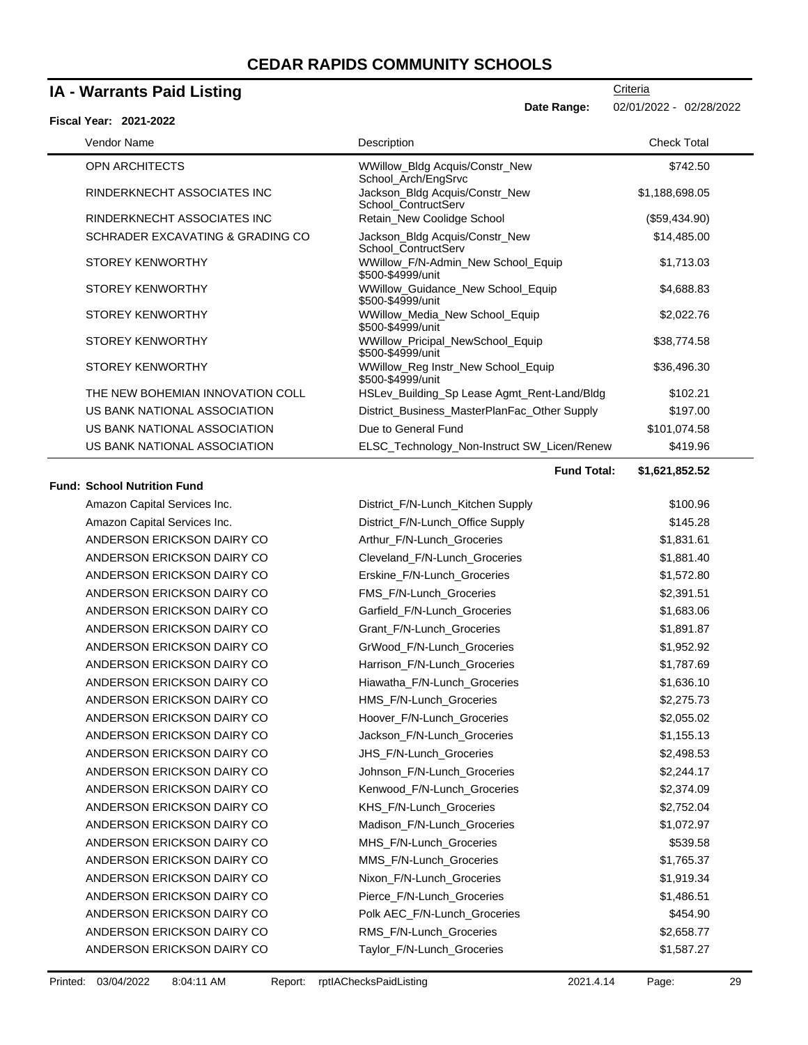## **IA - Warrants Paid Listing**

| <b>IA - Warrants Paid Listing</b>                                                         | Criteria                             |  |
|-------------------------------------------------------------------------------------------|--------------------------------------|--|
| Date Range:<br><b>Fiscal Year: 2021-2022</b>                                              | 02/01/2022 - 02/28/2022              |  |
| Vendor Name<br>Description                                                                | <b>Check Total</b>                   |  |
| <b>OPN ARCHITECTS</b><br>WWillow_Bldg Acquis/Constr_New<br>School_Arch/EngSrvc            | \$742.50                             |  |
| RINDERKNECHT ASSOCIATES INC<br>Jackson_Bldg Acquis/Constr_New<br>School_ContructServ      | \$1,188,698.05                       |  |
| RINDERKNECHT ASSOCIATES INC<br>Retain_New Coolidge School                                 | (\$59,434.90)                        |  |
| SCHRADER EXCAVATING & GRADING CO<br>Jackson_Bldg Acquis/Constr_New<br>School_ContructServ | \$14,485.00                          |  |
| <b>STOREY KENWORTHY</b><br>WWillow_F/N-Admin_New School_Equip<br>\$500-\$4999/unit        | \$1,713.03                           |  |
| <b>STOREY KENWORTHY</b><br>WWillow_Guidance_New School_Equip<br>\$500-\$4999/unit         | \$4,688.83                           |  |
| <b>STOREY KENWORTHY</b><br>WWillow_Media_New School_Equip<br>\$500-\$4999/unit            | \$2,022.76                           |  |
| <b>STOREY KENWORTHY</b><br>WWillow_Pricipal_NewSchool_Equip<br>\$500-\$4999/unit          | \$38,774.58                          |  |
| <b>STOREY KENWORTHY</b><br>WWillow_Reg Instr_New School_Equip<br>\$500-\$4999/unit        | \$36,496.30                          |  |
| HSLev_Building_Sp Lease Agmt_Rent-Land/Bldg<br>THE NEW BOHEMIAN INNOVATION COLL           | \$102.21                             |  |
| US BANK NATIONAL ASSOCIATION<br>District_Business_MasterPlanFac_Other Supply              | \$197.00                             |  |
| US BANK NATIONAL ASSOCIATION<br>Due to General Fund                                       | \$101,074.58                         |  |
| US BANK NATIONAL ASSOCIATION<br>ELSC_Technology_Non-Instruct SW_Licen/Renew               | \$419.96                             |  |
|                                                                                           | <b>Fund Total:</b><br>\$1,621,852.52 |  |
| <b>Fund: School Nutrition Fund</b>                                                        |                                      |  |
| Amazon Capital Services Inc.<br>District_F/N-Lunch_Kitchen Supply                         | \$100.96                             |  |
| Amazon Capital Services Inc.<br>District_F/N-Lunch_Office Supply                          | \$145.28                             |  |
| ANDERSON ERICKSON DAIRY CO<br>Arthur_F/N-Lunch_Groceries                                  | \$1,831.61                           |  |
| ANDERSON ERICKSON DAIRY CO<br>Cleveland_F/N-Lunch_Groceries                               | \$1,881.40                           |  |
| ANDERSON ERICKSON DAIRY CO<br>Erskine_F/N-Lunch_Groceries                                 | \$1,572.80                           |  |
| ANDERSON ERICKSON DAIRY CO<br>FMS_F/N-Lunch_Groceries                                     | \$2,391.51                           |  |
| ANDERSON ERICKSON DAIRY CO<br>Garfield F/N-Lunch Groceries                                | \$1,683.06                           |  |
| ANDERSON ERICKSON DAIRY CO<br>Grant_F/N-Lunch_Groceries                                   | \$1,891.87                           |  |
| ANDERSON ERICKSON DAIRY CO<br>GrWood_F/N-Lunch_Groceries                                  | \$1,952.92                           |  |
| ANDERSON ERICKSON DAIRY CO<br>Harrison_F/N-Lunch_Groceries                                | \$1,787.69                           |  |
| ANDERSON ERICKSON DAIRY CO<br>Hiawatha F/N-Lunch Groceries                                | \$1,636.10                           |  |
| ANDERSON ERICKSON DAIRY CO<br>HMS_F/N-Lunch_Groceries                                     | \$2,275.73                           |  |
| Hoover_F/N-Lunch_Groceries<br>ANDERSON ERICKSON DAIRY CO                                  | \$2,055.02                           |  |
| Jackson_F/N-Lunch_Groceries<br>ANDERSON ERICKSON DAIRY CO                                 | \$1,155.13                           |  |
| ANDERSON ERICKSON DAIRY CO<br>JHS_F/N-Lunch_Groceries                                     | \$2,498.53                           |  |
| ANDERSON ERICKSON DAIRY CO<br>Johnson_F/N-Lunch_Groceries                                 | \$2,244.17                           |  |
| ANDERSON ERICKSON DAIRY CO<br>Kenwood_F/N-Lunch_Groceries                                 | \$2,374.09                           |  |
| ANDERSON ERICKSON DAIRY CO<br>KHS_F/N-Lunch_Groceries                                     | \$2,752.04                           |  |
| ANDERSON ERICKSON DAIRY CO<br>Madison_F/N-Lunch_Groceries                                 | \$1,072.97                           |  |
| ANDERSON ERICKSON DAIRY CO<br>MHS_F/N-Lunch_Groceries                                     | \$539.58                             |  |
| ANDERSON ERICKSON DAIRY CO<br>MMS_F/N-Lunch_Groceries                                     | \$1,765.37                           |  |
| Nixon_F/N-Lunch_Groceries<br>ANDERSON ERICKSON DAIRY CO                                   | \$1,919.34                           |  |
| ANDERSON ERICKSON DAIRY CO<br>Pierce_F/N-Lunch_Groceries                                  | \$1,486.51                           |  |
| ANDERSON ERICKSON DAIRY CO<br>Polk AEC_F/N-Lunch_Groceries                                | \$454.90                             |  |
| ANDERSON ERICKSON DAIRY CO<br>RMS_F/N-Lunch_Groceries                                     | \$2,658.77                           |  |

ANDERSON ERICKSON DAIRY CO Taylor\_F/N-Lunch\_Groceries \$1,587.27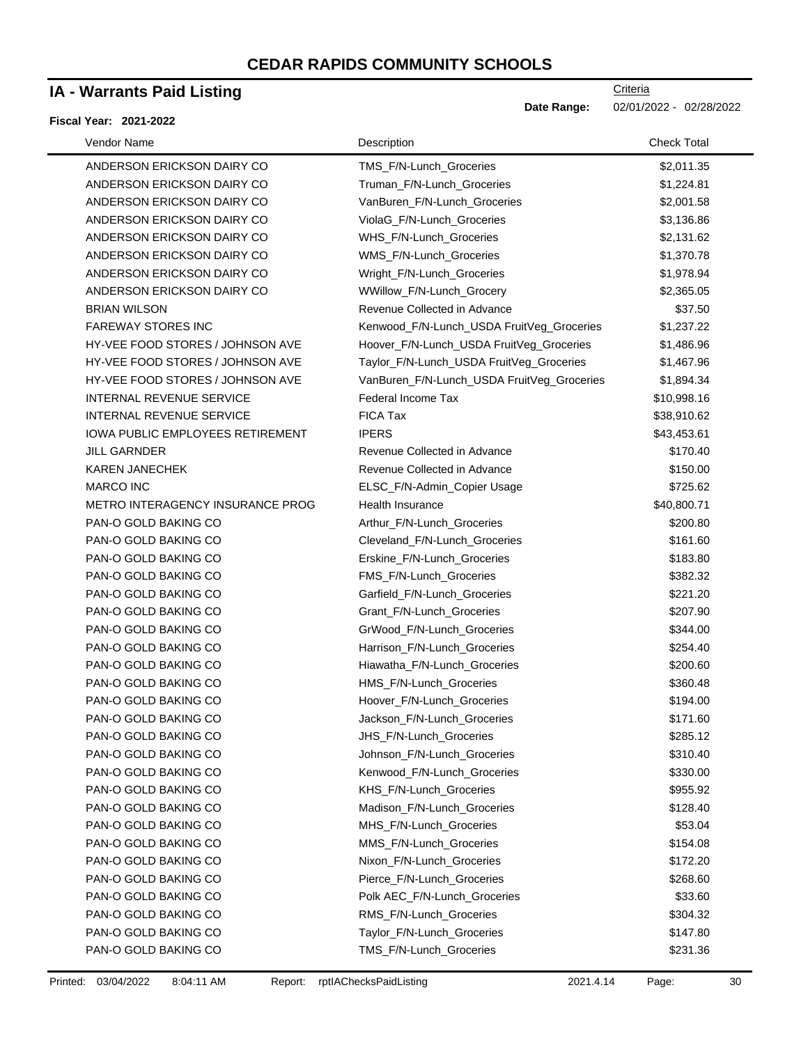## **IA - Warrants Paid Listing**

#### **Fiscal Year: 2021-2022**

| Vendor Name                             | Description                                | <b>Check Total</b> |
|-----------------------------------------|--------------------------------------------|--------------------|
| ANDERSON ERICKSON DAIRY CO              | TMS_F/N-Lunch_Groceries                    | \$2,011.35         |
| ANDERSON ERICKSON DAIRY CO              | Truman_F/N-Lunch_Groceries                 | \$1,224.81         |
| ANDERSON ERICKSON DAIRY CO              | VanBuren_F/N-Lunch_Groceries               | \$2,001.58         |
| ANDERSON ERICKSON DAIRY CO              | ViolaG_F/N-Lunch_Groceries                 | \$3,136.86         |
| ANDERSON ERICKSON DAIRY CO              | WHS_F/N-Lunch_Groceries                    | \$2,131.62         |
| ANDERSON ERICKSON DAIRY CO              | WMS_F/N-Lunch_Groceries                    | \$1,370.78         |
| ANDERSON ERICKSON DAIRY CO              | Wright_F/N-Lunch_Groceries                 | \$1,978.94         |
| ANDERSON ERICKSON DAIRY CO              | WWillow_F/N-Lunch_Grocery                  | \$2,365.05         |
| <b>BRIAN WILSON</b>                     | Revenue Collected in Advance               | \$37.50            |
| <b>FAREWAY STORES INC</b>               | Kenwood_F/N-Lunch_USDA FruitVeg_Groceries  | \$1,237.22         |
| HY-VEE FOOD STORES / JOHNSON AVE        | Hoover_F/N-Lunch_USDA FruitVeg_Groceries   | \$1,486.96         |
| HY-VEE FOOD STORES / JOHNSON AVE        | Taylor_F/N-Lunch_USDA FruitVeg_Groceries   | \$1,467.96         |
| HY-VEE FOOD STORES / JOHNSON AVE        | VanBuren_F/N-Lunch_USDA FruitVeg_Groceries | \$1,894.34         |
| INTERNAL REVENUE SERVICE                | Federal Income Tax                         | \$10,998.16        |
| INTERNAL REVENUE SERVICE                | FICA Tax                                   | \$38,910.62        |
| <b>IOWA PUBLIC EMPLOYEES RETIREMENT</b> | <b>IPERS</b>                               | \$43,453.61        |
| <b>JILL GARNDER</b>                     | Revenue Collected in Advance               | \$170.40           |
| <b>KAREN JANECHEK</b>                   | Revenue Collected in Advance               | \$150.00           |
| <b>MARCO INC</b>                        | ELSC_F/N-Admin_Copier Usage                | \$725.62           |
| METRO INTERAGENCY INSURANCE PROG        | Health Insurance                           | \$40,800.71        |
| PAN-O GOLD BAKING CO                    | Arthur_F/N-Lunch_Groceries                 | \$200.80           |
| PAN-O GOLD BAKING CO                    | Cleveland_F/N-Lunch_Groceries              | \$161.60           |
| PAN-O GOLD BAKING CO                    | Erskine_F/N-Lunch_Groceries                | \$183.80           |
| PAN-O GOLD BAKING CO                    | FMS_F/N-Lunch_Groceries                    | \$382.32           |
| PAN-O GOLD BAKING CO                    | Garfield_F/N-Lunch_Groceries               | \$221.20           |
| PAN-O GOLD BAKING CO                    | Grant_F/N-Lunch_Groceries                  | \$207.90           |
| PAN-O GOLD BAKING CO                    | GrWood_F/N-Lunch_Groceries                 | \$344.00           |
| PAN-O GOLD BAKING CO                    | Harrison_F/N-Lunch_Groceries               | \$254.40           |
| PAN-O GOLD BAKING CO                    | Hiawatha_F/N-Lunch_Groceries               | \$200.60           |
| PAN-O GOLD BAKING CO                    | HMS_F/N-Lunch_Groceries                    | \$360.48           |
| PAN-O GOLD BAKING CO                    | Hoover_F/N-Lunch_Groceries                 | \$194.00           |
| PAN-O GOLD BAKING CO                    | Jackson_F/N-Lunch_Groceries                | \$171.60           |
| PAN-O GOLD BAKING CO                    | JHS_F/N-Lunch_Groceries                    | \$285.12           |
| PAN-O GOLD BAKING CO                    | Johnson_F/N-Lunch_Groceries                | \$310.40           |
| PAN-O GOLD BAKING CO                    | Kenwood_F/N-Lunch_Groceries                | \$330.00           |
| PAN-O GOLD BAKING CO                    | KHS_F/N-Lunch_Groceries                    | \$955.92           |
| PAN-O GOLD BAKING CO                    | Madison F/N-Lunch Groceries                | \$128.40           |
| PAN-O GOLD BAKING CO                    | MHS_F/N-Lunch_Groceries                    | \$53.04            |
| PAN-O GOLD BAKING CO                    | MMS_F/N-Lunch_Groceries                    | \$154.08           |
| PAN-O GOLD BAKING CO                    | Nixon_F/N-Lunch_Groceries                  | \$172.20           |
| PAN-O GOLD BAKING CO                    | Pierce_F/N-Lunch_Groceries                 | \$268.60           |
| PAN-O GOLD BAKING CO                    | Polk AEC_F/N-Lunch_Groceries               | \$33.60            |
| PAN-O GOLD BAKING CO                    | RMS_F/N-Lunch_Groceries                    | \$304.32           |
| PAN-O GOLD BAKING CO                    | Taylor_F/N-Lunch_Groceries                 | \$147.80           |
| PAN-O GOLD BAKING CO                    | TMS_F/N-Lunch_Groceries                    | \$231.36           |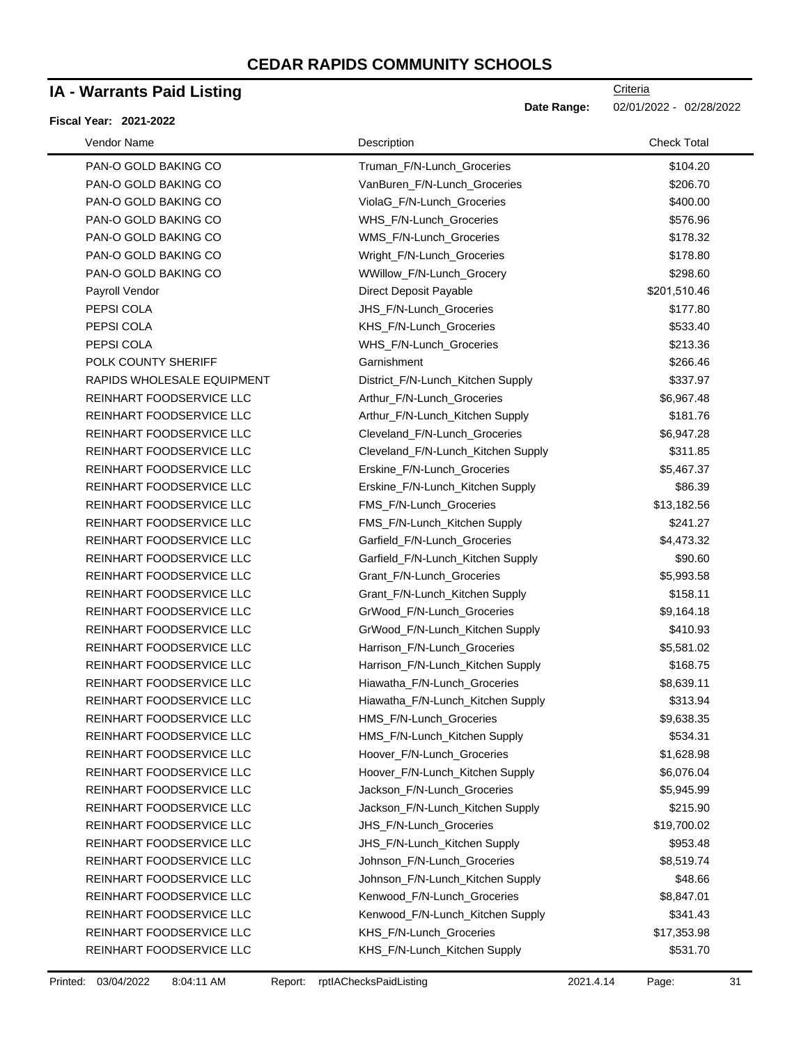### **IA - Warrants Paid Listing**

#### **Fiscal Year: 2021-2022**

| Vendor Name                | Description                        | <b>Check Total</b> |
|----------------------------|------------------------------------|--------------------|
| PAN-O GOLD BAKING CO       | Truman_F/N-Lunch_Groceries         | \$104.20           |
| PAN-O GOLD BAKING CO       | VanBuren_F/N-Lunch_Groceries       | \$206.70           |
| PAN-O GOLD BAKING CO       | ViolaG F/N-Lunch Groceries         | \$400.00           |
| PAN-O GOLD BAKING CO       | WHS_F/N-Lunch_Groceries            | \$576.96           |
| PAN-O GOLD BAKING CO       | WMS_F/N-Lunch_Groceries            | \$178.32           |
| PAN-O GOLD BAKING CO       | Wright_F/N-Lunch_Groceries         | \$178.80           |
| PAN-O GOLD BAKING CO       | WWillow_F/N-Lunch_Grocery          | \$298.60           |
| Payroll Vendor             | Direct Deposit Payable             | \$201,510.46       |
| PEPSI COLA                 | JHS_F/N-Lunch_Groceries            | \$177.80           |
| PEPSI COLA                 | KHS_F/N-Lunch_Groceries            | \$533.40           |
| PEPSI COLA                 | WHS_F/N-Lunch_Groceries            | \$213.36           |
| POLK COUNTY SHERIFF        | Garnishment                        | \$266.46           |
| RAPIDS WHOLESALE EQUIPMENT | District_F/N-Lunch_Kitchen Supply  | \$337.97           |
| REINHART FOODSERVICE LLC   | Arthur_F/N-Lunch_Groceries         | \$6,967.48         |
| REINHART FOODSERVICE LLC   | Arthur_F/N-Lunch_Kitchen Supply    | \$181.76           |
| REINHART FOODSERVICE LLC   | Cleveland_F/N-Lunch_Groceries      | \$6,947.28         |
| REINHART FOODSERVICE LLC   | Cleveland_F/N-Lunch_Kitchen Supply | \$311.85           |
| REINHART FOODSERVICE LLC   | Erskine_F/N-Lunch_Groceries        | \$5,467.37         |
| REINHART FOODSERVICE LLC   | Erskine_F/N-Lunch_Kitchen Supply   | \$86.39            |
| REINHART FOODSERVICE LLC   | FMS_F/N-Lunch_Groceries            | \$13,182.56        |
| REINHART FOODSERVICE LLC   | FMS_F/N-Lunch_Kitchen Supply       | \$241.27           |
| REINHART FOODSERVICE LLC   | Garfield_F/N-Lunch_Groceries       | \$4,473.32         |
| REINHART FOODSERVICE LLC   | Garfield_F/N-Lunch_Kitchen Supply  | \$90.60            |
| REINHART FOODSERVICE LLC   | Grant_F/N-Lunch_Groceries          | \$5,993.58         |
| REINHART FOODSERVICE LLC   | Grant_F/N-Lunch_Kitchen Supply     | \$158.11           |
| REINHART FOODSERVICE LLC   | GrWood_F/N-Lunch_Groceries         | \$9,164.18         |
| REINHART FOODSERVICE LLC   | GrWood_F/N-Lunch_Kitchen Supply    | \$410.93           |
| REINHART FOODSERVICE LLC   | Harrison_F/N-Lunch_Groceries       | \$5,581.02         |
| REINHART FOODSERVICE LLC   | Harrison_F/N-Lunch_Kitchen Supply  | \$168.75           |
| REINHART FOODSERVICE LLC   | Hiawatha_F/N-Lunch_Groceries       | \$8,639.11         |
| REINHART FOODSERVICE LLC   | Hiawatha_F/N-Lunch_Kitchen Supply  | \$313.94           |
| REINHART FOODSERVICE LLC   | HMS_F/N-Lunch_Groceries            | \$9,638.35         |
| REINHART FOODSERVICE LLC   | HMS_F/N-Lunch_Kitchen Supply       | \$534.31           |
| REINHART FOODSERVICE LLC   | Hoover_F/N-Lunch_Groceries         | \$1,628.98         |
| REINHART FOODSERVICE LLC   | Hoover_F/N-Lunch_Kitchen Supply    | \$6,076.04         |
| REINHART FOODSERVICE LLC   | Jackson_F/N-Lunch_Groceries        | \$5,945.99         |
| REINHART FOODSERVICE LLC   | Jackson_F/N-Lunch_Kitchen Supply   | \$215.90           |
| REINHART FOODSERVICE LLC   | JHS_F/N-Lunch_Groceries            | \$19,700.02        |
| REINHART FOODSERVICE LLC   | JHS_F/N-Lunch_Kitchen Supply       | \$953.48           |
| REINHART FOODSERVICE LLC   | Johnson_F/N-Lunch_Groceries        | \$8,519.74         |
| REINHART FOODSERVICE LLC   | Johnson_F/N-Lunch_Kitchen Supply   | \$48.66            |
| REINHART FOODSERVICE LLC   | Kenwood_F/N-Lunch_Groceries        | \$8,847.01         |
| REINHART FOODSERVICE LLC   | Kenwood_F/N-Lunch_Kitchen Supply   | \$341.43           |
| REINHART FOODSERVICE LLC   | KHS_F/N-Lunch_Groceries            | \$17,353.98        |
| REINHART FOODSERVICE LLC   | KHS_F/N-Lunch_Kitchen Supply       | \$531.70           |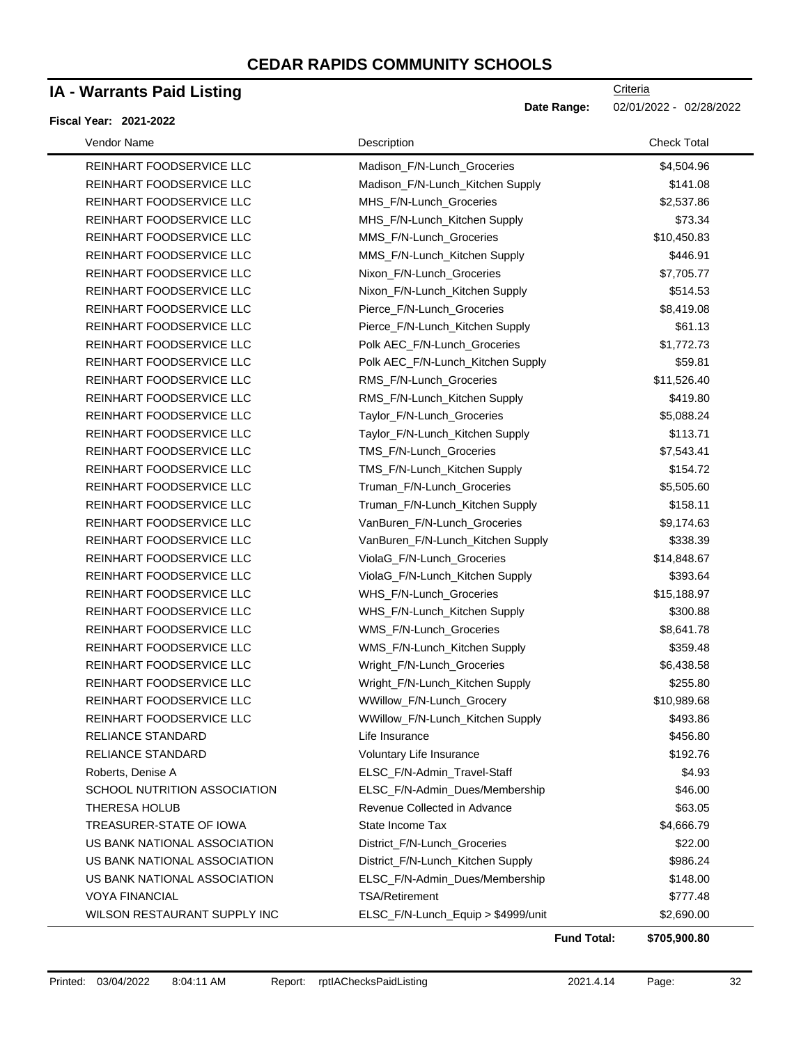## **IA - Warrants Paid Listing**

#### **Fiscal Year: 2021-2022**

**Criteria** Date Range: 02/01/2022 - 02/28/2022

| Vendor Name                         | Description                        | <b>Check Total</b> |
|-------------------------------------|------------------------------------|--------------------|
| REINHART FOODSERVICE LLC            | Madison_F/N-Lunch_Groceries        | \$4,504.96         |
| REINHART FOODSERVICE LLC            | Madison_F/N-Lunch_Kitchen Supply   | \$141.08           |
| REINHART FOODSERVICE LLC            | MHS_F/N-Lunch_Groceries            | \$2,537.86         |
| REINHART FOODSERVICE LLC            | MHS_F/N-Lunch_Kitchen Supply       | \$73.34            |
| REINHART FOODSERVICE LLC            | MMS_F/N-Lunch_Groceries            | \$10,450.83        |
| REINHART FOODSERVICE LLC            | MMS_F/N-Lunch_Kitchen Supply       | \$446.91           |
| REINHART FOODSERVICE LLC            | Nixon_F/N-Lunch_Groceries          | \$7,705.77         |
| REINHART FOODSERVICE LLC            | Nixon_F/N-Lunch_Kitchen Supply     | \$514.53           |
| REINHART FOODSERVICE LLC            | Pierce_F/N-Lunch_Groceries         | \$8,419.08         |
| REINHART FOODSERVICE LLC            | Pierce_F/N-Lunch_Kitchen Supply    | \$61.13            |
| REINHART FOODSERVICE LLC            | Polk AEC_F/N-Lunch_Groceries       | \$1,772.73         |
| REINHART FOODSERVICE LLC            | Polk AEC_F/N-Lunch_Kitchen Supply  | \$59.81            |
| REINHART FOODSERVICE LLC            | RMS_F/N-Lunch_Groceries            | \$11,526.40        |
| REINHART FOODSERVICE LLC            | RMS_F/N-Lunch_Kitchen Supply       | \$419.80           |
| REINHART FOODSERVICE LLC            | Taylor_F/N-Lunch_Groceries         | \$5,088.24         |
| REINHART FOODSERVICE LLC            | Taylor_F/N-Lunch_Kitchen Supply    | \$113.71           |
| REINHART FOODSERVICE LLC            | TMS_F/N-Lunch_Groceries            | \$7,543.41         |
| REINHART FOODSERVICE LLC            | TMS_F/N-Lunch_Kitchen Supply       | \$154.72           |
| REINHART FOODSERVICE LLC            | Truman_F/N-Lunch_Groceries         | \$5,505.60         |
| REINHART FOODSERVICE LLC            | Truman_F/N-Lunch_Kitchen Supply    | \$158.11           |
| REINHART FOODSERVICE LLC            | VanBuren_F/N-Lunch_Groceries       | \$9,174.63         |
| REINHART FOODSERVICE LLC            | VanBuren_F/N-Lunch_Kitchen Supply  | \$338.39           |
| REINHART FOODSERVICE LLC            | ViolaG_F/N-Lunch_Groceries         | \$14,848.67        |
| REINHART FOODSERVICE LLC            | ViolaG_F/N-Lunch_Kitchen Supply    | \$393.64           |
| REINHART FOODSERVICE LLC            | WHS_F/N-Lunch_Groceries            | \$15,188.97        |
| REINHART FOODSERVICE LLC            | WHS_F/N-Lunch_Kitchen Supply       | \$300.88           |
| REINHART FOODSERVICE LLC            | WMS_F/N-Lunch_Groceries            | \$8,641.78         |
| REINHART FOODSERVICE LLC            | WMS_F/N-Lunch_Kitchen Supply       | \$359.48           |
| REINHART FOODSERVICE LLC            | Wright_F/N-Lunch_Groceries         | \$6,438.58         |
| REINHART FOODSERVICE LLC            | Wright_F/N-Lunch_Kitchen Supply    | \$255.80           |
| REINHART FOODSERVICE LLC            | WWillow_F/N-Lunch_Grocery          | \$10,989.68        |
| REINHART FOODSERVICE LLC            | WWillow_F/N-Lunch_Kitchen Supply   | \$493.86           |
| RELIANCE STANDARD                   | Life Insurance                     | \$456.80           |
| <b>RELIANCE STANDARD</b>            | Voluntary Life Insurance           | \$192.76           |
| Roberts, Denise A                   | ELSC_F/N-Admin_Travel-Staff        | \$4.93             |
| <b>SCHOOL NUTRITION ASSOCIATION</b> | ELSC_F/N-Admin_Dues/Membership     | \$46.00            |
| THERESA HOLUB                       | Revenue Collected in Advance       | \$63.05            |
| TREASURER-STATE OF IOWA             | State Income Tax                   | \$4,666.79         |
| US BANK NATIONAL ASSOCIATION        | District_F/N-Lunch_Groceries       | \$22.00            |
| US BANK NATIONAL ASSOCIATION        | District_F/N-Lunch_Kitchen Supply  | \$986.24           |
| US BANK NATIONAL ASSOCIATION        | ELSC_F/N-Admin_Dues/Membership     | \$148.00           |
| <b>VOYA FINANCIAL</b>               | <b>TSA/Retirement</b>              | \$777.48           |
| WILSON RESTAURANT SUPPLY INC        | ELSC_F/N-Lunch_Equip > \$4999/unit | \$2,690.00         |

**Fund Total: \$705,900.80**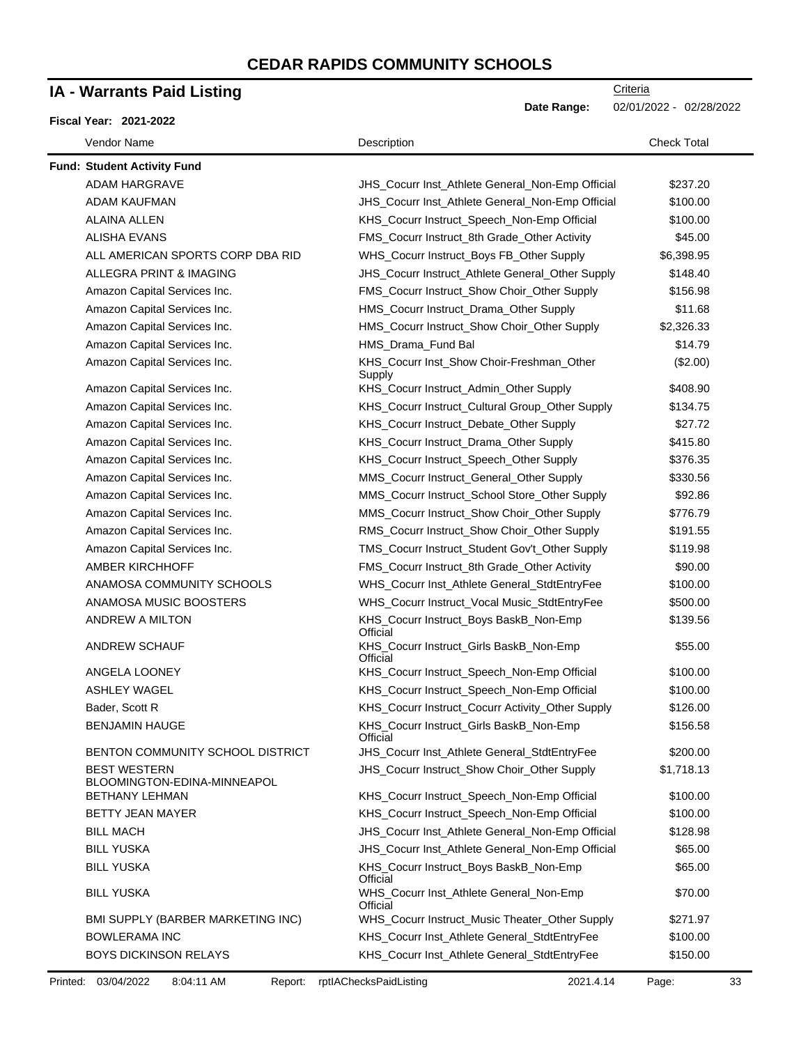## **IA - Warrants Paid Listing**

| <b>IA - Warrants Paid Listing</b>                  |  |                                                     | Criteria                |  |
|----------------------------------------------------|--|-----------------------------------------------------|-------------------------|--|
| <b>Fiscal Year: 2021-2022</b>                      |  | Date Range:                                         | 02/01/2022 - 02/28/2022 |  |
| Vendor Name                                        |  | Description                                         | <b>Check Total</b>      |  |
| <b>Fund: Student Activity Fund</b>                 |  |                                                     |                         |  |
| <b>ADAM HARGRAVE</b>                               |  | JHS_Cocurr Inst_Athlete General_Non-Emp Official    | \$237.20                |  |
| ADAM KAUFMAN                                       |  | JHS_Cocurr Inst_Athlete General_Non-Emp Official    | \$100.00                |  |
| <b>ALAINA ALLEN</b>                                |  | KHS_Cocurr Instruct_Speech_Non-Emp Official         | \$100.00                |  |
| <b>ALISHA EVANS</b>                                |  | FMS_Cocurr Instruct_8th Grade_Other Activity        | \$45.00                 |  |
| ALL AMERICAN SPORTS CORP DBA RID                   |  | WHS_Cocurr Instruct_Boys FB_Other Supply            | \$6,398.95              |  |
| ALLEGRA PRINT & IMAGING                            |  | JHS_Cocurr Instruct_Athlete General_Other Supply    | \$148.40                |  |
| Amazon Capital Services Inc.                       |  | FMS_Cocurr Instruct_Show Choir_Other Supply         | \$156.98                |  |
| Amazon Capital Services Inc.                       |  | HMS_Cocurr Instruct_Drama_Other Supply              | \$11.68                 |  |
| Amazon Capital Services Inc.                       |  | HMS_Cocurr Instruct_Show Choir_Other Supply         | \$2,326.33              |  |
| Amazon Capital Services Inc.                       |  | HMS_Drama_Fund Bal                                  | \$14.79                 |  |
| Amazon Capital Services Inc.                       |  | KHS_Cocurr Inst_Show Choir-Freshman_Other<br>Supply | (\$2.00)                |  |
| Amazon Capital Services Inc.                       |  | KHS_Cocurr Instruct_Admin_Other Supply              | \$408.90                |  |
| Amazon Capital Services Inc.                       |  | KHS_Cocurr Instruct_Cultural Group_Other Supply     | \$134.75                |  |
| Amazon Capital Services Inc.                       |  | KHS_Cocurr Instruct_Debate_Other Supply             | \$27.72                 |  |
| Amazon Capital Services Inc.                       |  | KHS_Cocurr Instruct_Drama_Other Supply              | \$415.80                |  |
| Amazon Capital Services Inc.                       |  | KHS_Cocurr Instruct_Speech_Other Supply             | \$376.35                |  |
| Amazon Capital Services Inc.                       |  | MMS_Cocurr Instruct_General_Other Supply            | \$330.56                |  |
| Amazon Capital Services Inc.                       |  | MMS_Cocurr Instruct_School Store_Other Supply       | \$92.86                 |  |
| Amazon Capital Services Inc.                       |  | MMS_Cocurr Instruct_Show Choir_Other Supply         | \$776.79                |  |
| Amazon Capital Services Inc.                       |  | RMS_Cocurr Instruct_Show Choir_Other Supply         | \$191.55                |  |
| Amazon Capital Services Inc.                       |  | TMS_Cocurr Instruct_Student Gov't_Other Supply      | \$119.98                |  |
| <b>AMBER KIRCHHOFF</b>                             |  | FMS_Cocurr Instruct_8th Grade_Other Activity        | \$90.00                 |  |
| ANAMOSA COMMUNITY SCHOOLS                          |  | WHS_Cocurr Inst_Athlete General_StdtEntryFee        | \$100.00                |  |
| ANAMOSA MUSIC BOOSTERS                             |  | WHS_Cocurr Instruct_Vocal Music_StdtEntryFee        | \$500.00                |  |
| ANDREW A MILTON                                    |  | KHS_Cocurr Instruct_Boys BaskB_Non-Emp<br>Official  | \$139.56                |  |
| ANDREW SCHAUF                                      |  | KHS_Cocurr Instruct_Girls BaskB_Non-Emp<br>Official | \$55.00                 |  |
| <b>ANGELA LOONEY</b>                               |  | KHS_Cocurr Instruct_Speech_Non-Emp Official         | \$100.00                |  |
| ASHLEY WAGEL                                       |  | KHS_Cocurr Instruct_Speech_Non-Emp Official         | \$100.00                |  |
| Bader, Scott R                                     |  | KHS_Cocurr Instruct_Cocurr Activity_Other Supply    | \$126.00                |  |
| <b>BENJAMIN HAUGE</b>                              |  | KHS_Cocurr Instruct_Girls BaskB_Non-Emp<br>Official | \$156.58                |  |
| BENTON COMMUNITY SCHOOL DISTRICT                   |  | JHS_Cocurr Inst_Athlete General_StdtEntryFee        | \$200.00                |  |
| <b>BEST WESTERN</b><br>BLOOMINGTON-EDINA-MINNEAPOL |  | JHS_Cocurr Instruct_Show Choir_Other Supply         | \$1,718.13              |  |
| <b>BETHANY LEHMAN</b>                              |  | KHS_Cocurr Instruct_Speech_Non-Emp Official         | \$100.00                |  |
| BETTY JEAN MAYER                                   |  | KHS_Cocurr Instruct_Speech_Non-Emp Official         | \$100.00                |  |
| <b>BILL MACH</b>                                   |  | JHS_Cocurr Inst_Athlete General_Non-Emp Official    | \$128.98                |  |
| <b>BILL YUSKA</b>                                  |  | JHS_Cocurr Inst_Athlete General_Non-Emp Official    | \$65.00                 |  |
| <b>BILL YUSKA</b>                                  |  | KHS_Cocurr Instruct_Boys BaskB_Non-Emp<br>Official  | \$65.00                 |  |
| <b>BILL YUSKA</b>                                  |  | WHS_Cocurr Inst_Athlete General_Non-Emp<br>Official | \$70.00                 |  |
| BMI SUPPLY (BARBER MARKETING INC)                  |  | WHS_Cocurr Instruct_Music Theater_Other Supply      | \$271.97                |  |
| <b>BOWLERAMA INC</b>                               |  | KHS_Cocurr Inst_Athlete General_StdtEntryFee        | \$100.00                |  |
| BOYS DICKINSON RELAYS                              |  | KHS_Cocurr Inst_Athlete General_StdtEntryFee        | \$150.00                |  |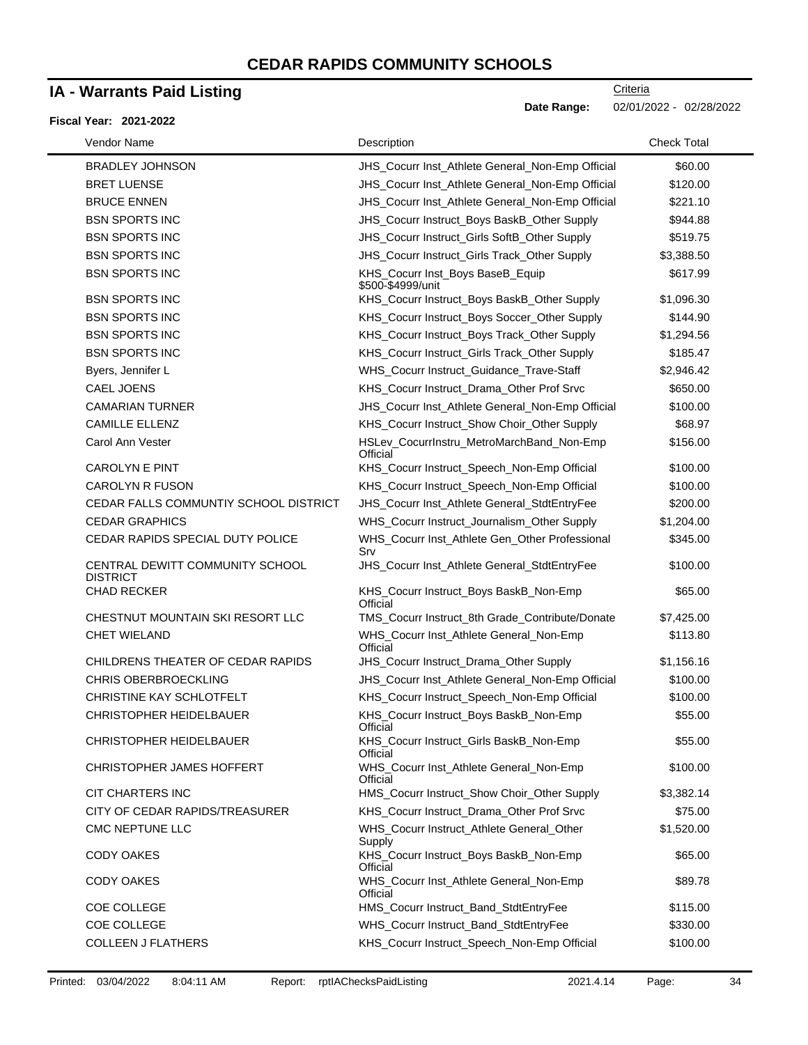## **IA - Warrants Paid Listing**

#### **Fiscal Year: 2021-2022**

**Date Range:** 02/01/2022 - 02/28/2022

| Vendor Name                                        | Description                                                | <b>Check Total</b> |
|----------------------------------------------------|------------------------------------------------------------|--------------------|
| <b>BRADLEY JOHNSON</b>                             | JHS_Cocurr Inst_Athlete General_Non-Emp Official           | \$60.00            |
| <b>BRET LUENSE</b>                                 | JHS_Cocurr Inst_Athlete General_Non-Emp Official           | \$120.00           |
| <b>BRUCE ENNEN</b>                                 | JHS_Cocurr Inst_Athlete General_Non-Emp Official           | \$221.10           |
| <b>BSN SPORTS INC</b>                              | JHS_Cocurr Instruct_Boys BaskB_Other Supply                | \$944.88           |
| <b>BSN SPORTS INC</b>                              | JHS_Cocurr Instruct_Girls SoftB_Other Supply               | \$519.75           |
| <b>BSN SPORTS INC</b>                              | JHS_Cocurr Instruct_Girls Track_Other Supply               | \$3,388.50         |
| <b>BSN SPORTS INC</b>                              | KHS_Cocurr Inst_Boys BaseB_Equip<br>\$500-\$4999/unit      | \$617.99           |
| <b>BSN SPORTS INC</b>                              | KHS_Cocurr Instruct_Boys BaskB_Other Supply                | \$1,096.30         |
| <b>BSN SPORTS INC</b>                              | KHS_Cocurr Instruct_Boys Soccer_Other Supply               | \$144.90           |
| <b>BSN SPORTS INC</b>                              | KHS_Cocurr Instruct_Boys Track_Other Supply                | \$1,294.56         |
| <b>BSN SPORTS INC</b>                              | KHS_Cocurr Instruct_Girls Track_Other Supply               | \$185.47           |
| Byers, Jennifer L                                  | WHS_Cocurr Instruct_Guidance_Trave-Staff                   | \$2,946.42         |
| <b>CAEL JOENS</b>                                  | KHS_Cocurr Instruct_Drama_Other Prof Srvc                  | \$650.00           |
| <b>CAMARIAN TURNER</b>                             | JHS_Cocurr Inst_Athlete General_Non-Emp Official           | \$100.00           |
| <b>CAMILLE ELLENZ</b>                              | KHS_Cocurr Instruct_Show Choir_Other Supply                | \$68.97            |
| Carol Ann Vester                                   | HSLev_CocurrInstru_MetroMarchBand_Non-Emp<br>Official      | \$156.00           |
| <b>CAROLYN E PINT</b>                              | KHS_Cocurr Instruct_Speech_Non-Emp Official                | \$100.00           |
| <b>CAROLYN R FUSON</b>                             | KHS_Cocurr Instruct_Speech_Non-Emp Official                | \$100.00           |
| CEDAR FALLS COMMUNTIY SCHOOL DISTRICT              | JHS_Cocurr Inst_Athlete General_StdtEntryFee               | \$200.00           |
| <b>CEDAR GRAPHICS</b>                              | WHS_Cocurr Instruct_Journalism_Other Supply                | \$1,204.00         |
| CEDAR RAPIDS SPECIAL DUTY POLICE                   | WHS_Cocurr Inst_Athlete Gen_Other Professional<br>$S_{IV}$ | \$345.00           |
| CENTRAL DEWITT COMMUNITY SCHOOL<br><b>DISTRICT</b> | JHS_Cocurr Inst_Athlete General_StdtEntryFee               | \$100.00           |
| <b>CHAD RECKER</b>                                 | KHS_Cocurr Instruct_Boys BaskB_Non-Emp<br>Official         | \$65.00            |
| CHESTNUT MOUNTAIN SKI RESORT LLC                   | TMS_Cocurr Instruct_8th Grade_Contribute/Donate            | \$7,425.00         |
| <b>CHET WIELAND</b>                                | WHS_Cocurr Inst_Athlete General_Non-Emp<br>Official        | \$113.80           |
| CHILDRENS THEATER OF CEDAR RAPIDS                  | JHS_Cocurr Instruct_Drama_Other Supply                     | \$1,156.16         |
| <b>CHRIS OBERBROECKLING</b>                        | JHS_Cocurr Inst_Athlete General_Non-Emp Official           | \$100.00           |
| CHRISTINE KAY SCHLOTFELT                           | KHS_Cocurr Instruct_Speech_Non-Emp Official                | \$100.00           |
| <b>CHRISTOPHER HEIDELBAUER</b>                     | KHS_Cocurr Instruct_Boys BaskB_Non-Emp<br>Official         | \$55.00            |
| CHRISTOPHER HEIDELBAUER                            | KHS_Cocurr Instruct_Girls BaskB_Non-Emp<br>Official        | \$55.00            |
| CHRISTOPHER JAMES HOFFERT                          | WHS_Cocurr Inst_Athlete General_Non-Emp<br>Official        | \$100.00           |
| <b>CIT CHARTERS INC</b>                            | HMS_Cocurr Instruct_Show Choir_Other Supply                | \$3,382.14         |
| CITY OF CEDAR RAPIDS/TREASURER                     | KHS_Cocurr Instruct_Drama_Other Prof Srvc                  | \$75.00            |
| CMC NEPTUNE LLC                                    | WHS_Cocurr Instruct_Athlete General_Other<br>Supply        | \$1,520.00         |
| <b>CODY OAKES</b>                                  | KHS_Cocurr Instruct_Boys BaskB_Non-Emp<br>Official         | \$65.00            |
| <b>CODY OAKES</b>                                  | WHS_Cocurr Inst_Athlete General_Non-Emp<br>Official        | \$89.78            |
| COE COLLEGE                                        | HMS_Cocurr Instruct_Band_StdtEntryFee                      | \$115.00           |
| COE COLLEGE                                        | WHS_Cocurr Instruct_Band_StdtEntryFee                      | \$330.00           |
| <b>COLLEEN J FLATHERS</b>                          | KHS_Cocurr Instruct_Speech_Non-Emp Official                | \$100.00           |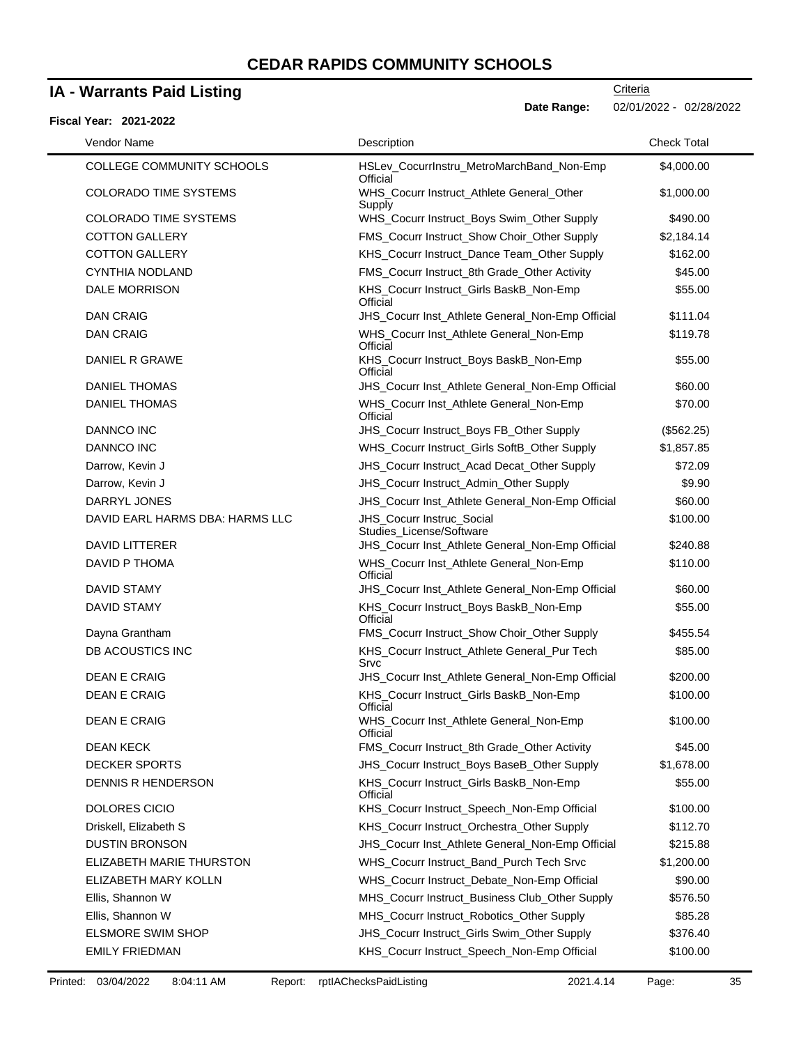### **IA - Warrants Paid Listing**

#### **Fiscal Year: 2021-2022**

| Vendor Name                                | Description                                                                                        | <b>Check Total</b>    |
|--------------------------------------------|----------------------------------------------------------------------------------------------------|-----------------------|
| <b>COLLEGE COMMUNITY SCHOOLS</b>           | HSLev_CocurrInstru_MetroMarchBand_Non-Emp<br>Official                                              | \$4,000.00            |
| <b>COLORADO TIME SYSTEMS</b>               | WHS_Cocurr Instruct_Athlete General_Other<br>Supply                                                | \$1,000.00            |
| <b>COLORADO TIME SYSTEMS</b>               | WHS_Cocurr Instruct_Boys Swim_Other Supply                                                         | \$490.00              |
| <b>COTTON GALLERY</b>                      | FMS_Cocurr Instruct_Show Choir_Other Supply                                                        | \$2,184.14            |
| <b>COTTON GALLERY</b>                      | KHS_Cocurr Instruct_Dance Team_Other Supply                                                        | \$162.00              |
| <b>CYNTHIA NODLAND</b>                     | FMS_Cocurr Instruct_8th Grade_Other Activity                                                       | \$45.00               |
| <b>DALE MORRISON</b>                       | KHS_Cocurr Instruct_Girls BaskB_Non-Emp<br>Official                                                | \$55.00               |
| <b>DAN CRAIG</b>                           | JHS_Cocurr Inst_Athlete General_Non-Emp Official                                                   | \$111.04              |
| <b>DAN CRAIG</b>                           | WHS_Cocurr Inst_Athlete General_Non-Emp<br>Official                                                | \$119.78              |
| DANIEL R GRAWE                             | KHS_Cocurr Instruct_Boys BaskB_Non-Emp<br>Official                                                 | \$55.00               |
| <b>DANIEL THOMAS</b>                       | JHS_Cocurr Inst_Athlete General_Non-Emp Official                                                   | \$60.00               |
| <b>DANIEL THOMAS</b>                       | WHS_Cocurr Inst_Athlete General_Non-Emp<br>Official                                                | \$70.00               |
| DANNCO INC                                 | JHS_Cocurr Instruct_Boys FB_Other Supply                                                           | (\$562.25)            |
| DANNCO INC                                 | WHS_Cocurr Instruct_Girls SoftB_Other Supply                                                       | \$1,857.85            |
| Darrow, Kevin J                            | JHS_Cocurr Instruct_Acad Decat_Other Supply                                                        | \$72.09               |
| Darrow, Kevin J                            | JHS_Cocurr Instruct_Admin_Other Supply                                                             | \$9.90                |
| DARRYL JONES                               | JHS_Cocurr Inst_Athlete General_Non-Emp Official                                                   | \$60.00               |
| DAVID EARL HARMS DBA: HARMS LLC            | JHS_Cocurr Instruc_Social<br>Studies_License/Software                                              | \$100.00              |
| DAVID LITTERER                             | JHS_Cocurr Inst_Athlete General_Non-Emp Official                                                   | \$240.88              |
| DAVID P THOMA                              | WHS_Cocurr Inst_Athlete General_Non-Emp<br>Official                                                | \$110.00              |
| <b>DAVID STAMY</b>                         | JHS_Cocurr Inst_Athlete General_Non-Emp Official                                                   | \$60.00               |
| <b>DAVID STAMY</b>                         | KHS_Cocurr Instruct_Boys BaskB_Non-Emp<br>Official                                                 | \$55.00               |
| Dayna Grantham                             | FMS_Cocurr Instruct_Show Choir_Other Supply                                                        | \$455.54              |
| DB ACOUSTICS INC                           | KHS_Cocurr Instruct_Athlete General_Pur Tech<br>Srvc                                               | \$85.00               |
| <b>DEAN E CRAIG</b>                        | JHS_Cocurr Inst_Athlete General_Non-Emp Official                                                   | \$200.00              |
| <b>DEAN E CRAIG</b>                        | KHS_Cocurr Instruct_Girls BaskB_Non-Emp<br>Official                                                | \$100.00              |
| <b>DEAN E CRAIG</b>                        | WHS_Cocurr Inst_Athlete General_Non-Emp<br>Official                                                | \$100.00              |
| <b>DEAN KECK</b>                           | FMS_Cocurr Instruct_8th Grade_Other Activity                                                       | \$45.00               |
| <b>DECKER SPORTS</b><br>DENNIS R HENDERSON | JHS_Cocurr Instruct_Boys BaseB_Other Supply<br>KHS_Cocurr Instruct_Girls BaskB_Non-Emp<br>Official | \$1,678.00<br>\$55.00 |
| DOLORES CICIO                              | KHS_Cocurr Instruct_Speech_Non-Emp Official                                                        | \$100.00              |
| Driskell, Elizabeth S                      | KHS_Cocurr Instruct_Orchestra_Other Supply                                                         | \$112.70              |
| <b>DUSTIN BRONSON</b>                      | JHS_Cocurr Inst_Athlete General_Non-Emp Official                                                   | \$215.88              |
| ELIZABETH MARIE THURSTON                   | WHS_Cocurr Instruct_Band_Purch Tech Srvc                                                           | \$1,200.00            |
| ELIZABETH MARY KOLLN                       | WHS_Cocurr Instruct_Debate_Non-Emp Official                                                        | \$90.00               |
| Ellis, Shannon W                           | MHS_Cocurr Instruct_Business Club_Other Supply                                                     | \$576.50              |
| Ellis, Shannon W                           | MHS_Cocurr Instruct_Robotics_Other Supply                                                          | \$85.28               |
| ELSMORE SWIM SHOP                          | JHS_Cocurr Instruct_Girls Swim_Other Supply                                                        | \$376.40              |
|                                            |                                                                                                    |                       |
| <b>EMILY FRIEDMAN</b>                      | KHS_Cocurr Instruct_Speech_Non-Emp Official                                                        | \$100.00              |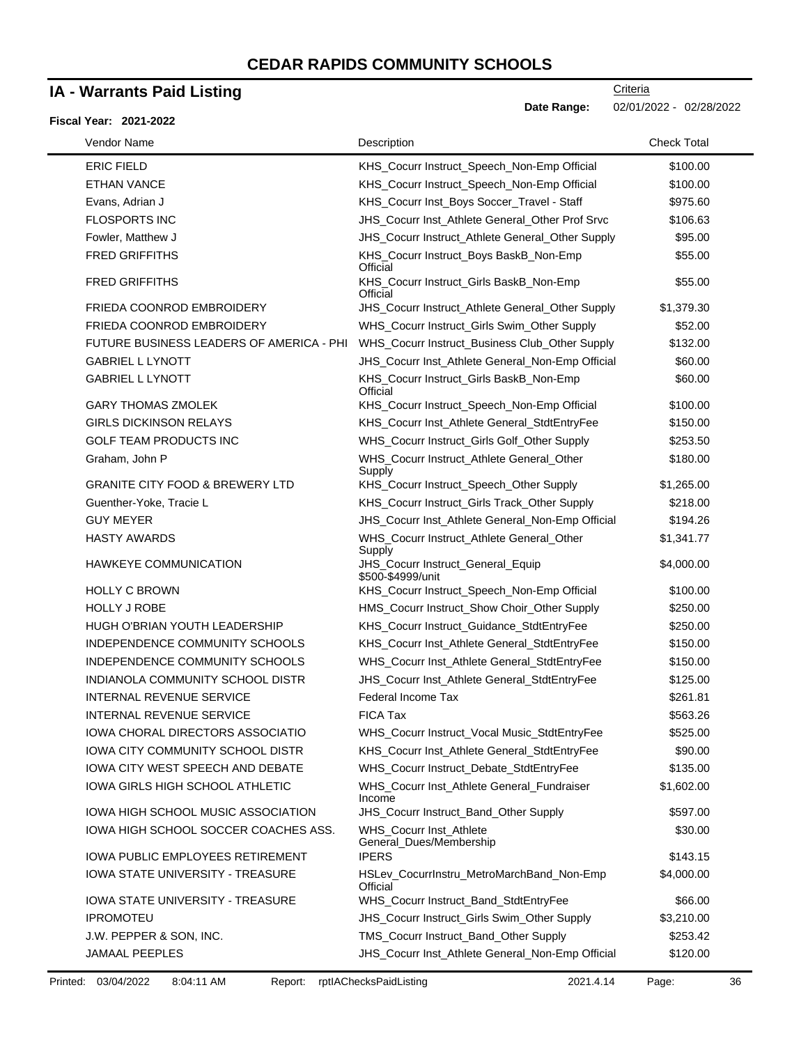## **IA - Warrants Paid Listing**

#### **Fiscal Year: 2021-2022**

 $\blacksquare$ 

**Date Range:** 02/01/2022 - 02/28/2022

| Vendor Name                                | Description                                                     | <b>Check Total</b> |
|--------------------------------------------|-----------------------------------------------------------------|--------------------|
| <b>ERIC FIELD</b>                          | KHS_Cocurr Instruct_Speech_Non-Emp Official                     | \$100.00           |
| <b>ETHAN VANCE</b>                         | KHS_Cocurr Instruct_Speech_Non-Emp Official                     | \$100.00           |
| Evans, Adrian J                            | KHS_Cocurr Inst_Boys Soccer_Travel - Staff                      | \$975.60           |
| <b>FLOSPORTS INC</b>                       | JHS_Cocurr Inst_Athlete General_Other Prof Srvc                 | \$106.63           |
| Fowler, Matthew J                          | JHS_Cocurr Instruct_Athlete General_Other Supply                | \$95.00            |
| <b>FRED GRIFFITHS</b>                      | KHS_Cocurr Instruct_Boys BaskB_Non-Emp                          | \$55.00            |
| <b>FRED GRIFFITHS</b>                      | Official<br>KHS_Cocurr Instruct_Girls BaskB_Non-Emp<br>Official | \$55.00            |
| FRIEDA COONROD EMBROIDERY                  | JHS_Cocurr Instruct_Athlete General_Other Supply                | \$1,379.30         |
| FRIEDA COONROD EMBROIDERY                  | WHS_Cocurr Instruct_Girls Swim_Other Supply                     | \$52.00            |
| FUTURE BUSINESS LEADERS OF AMERICA - PHI   | WHS_Cocurr Instruct_Business Club_Other Supply                  | \$132.00           |
| <b>GABRIEL L LYNOTT</b>                    | JHS_Cocurr Inst_Athlete General_Non-Emp Official                | \$60.00            |
| <b>GABRIEL L LYNOTT</b>                    | KHS_Cocurr Instruct_Girls BaskB_Non-Emp<br>Official             | \$60.00            |
| <b>GARY THOMAS ZMOLEK</b>                  | KHS_Cocurr Instruct_Speech_Non-Emp Official                     | \$100.00           |
| <b>GIRLS DICKINSON RELAYS</b>              | KHS_Cocurr Inst_Athlete General_StdtEntryFee                    | \$150.00           |
| <b>GOLF TEAM PRODUCTS INC</b>              | WHS_Cocurr Instruct_Girls Golf_Other Supply                     | \$253.50           |
| Graham, John P                             | WHS_Cocurr Instruct_Athlete General_Other<br>Supply             | \$180.00           |
| <b>GRANITE CITY FOOD &amp; BREWERY LTD</b> | KHS_Cocurr Instruct_Speech_Other Supply                         | \$1,265.00         |
| Guenther-Yoke, Tracie L                    | KHS_Cocurr Instruct_Girls Track_Other Supply                    | \$218.00           |
| <b>GUY MEYER</b>                           | JHS_Cocurr Inst_Athlete General_Non-Emp Official                | \$194.26           |
| <b>HASTY AWARDS</b>                        | WHS_Cocurr Instruct_Athlete General_Other<br>Supply             | \$1,341.77         |
| <b>HAWKEYE COMMUNICATION</b>               | JHS_Cocurr Instruct_General_Equip<br>\$500-\$4999/unit          | \$4,000.00         |
| <b>HOLLY C BROWN</b>                       | KHS_Cocurr Instruct_Speech_Non-Emp Official                     | \$100.00           |
| <b>HOLLY J ROBE</b>                        | HMS_Cocurr Instruct_Show Choir_Other Supply                     | \$250.00           |
| HUGH O'BRIAN YOUTH LEADERSHIP              | KHS_Cocurr Instruct_Guidance_StdtEntryFee                       | \$250.00           |
| INDEPENDENCE COMMUNITY SCHOOLS             | KHS_Cocurr Inst_Athlete General_StdtEntryFee                    | \$150.00           |
| INDEPENDENCE COMMUNITY SCHOOLS             | WHS_Cocurr Inst_Athlete General_StdtEntryFee                    | \$150.00           |
| INDIANOLA COMMUNITY SCHOOL DISTR           | JHS_Cocurr Inst_Athlete General_StdtEntryFee                    | \$125.00           |
| <b>INTERNAL REVENUE SERVICE</b>            | Federal Income Tax                                              | \$261.81           |
| <b>INTERNAL REVENUE SERVICE</b>            | FICA Tax                                                        | \$563.26           |
| IOWA CHORAL DIRECTORS ASSOCIATIO           | WHS_Cocurr Instruct_Vocal Music_StdtEntryFee                    | \$525.00           |
| <b>IOWA CITY COMMUNITY SCHOOL DISTR</b>    | KHS_Cocurr Inst_Athlete General_StdtEntryFee                    | \$90.00            |
| <b>IOWA CITY WEST SPEECH AND DEBATE</b>    | WHS_Cocurr Instruct_Debate_StdtEntryFee                         | \$135.00           |
| <b>IOWA GIRLS HIGH SCHOOL ATHLETIC</b>     | WHS_Cocurr Inst_Athlete General_Fundraiser<br>Income            | \$1,602.00         |
| IOWA HIGH SCHOOL MUSIC ASSOCIATION         | JHS_Cocurr Instruct_Band_Other Supply                           | \$597.00           |
| IOWA HIGH SCHOOL SOCCER COACHES ASS.       | WHS_Cocurr Inst_Athlete<br>General_Dues/Membership              | \$30.00            |
| <b>IOWA PUBLIC EMPLOYEES RETIREMENT</b>    | <b>IPERS</b>                                                    | \$143.15           |
| <b>IOWA STATE UNIVERSITY - TREASURE</b>    | HSLev_CocurrInstru_MetroMarchBand_Non-Emp<br>Official           | \$4,000.00         |
| <b>IOWA STATE UNIVERSITY - TREASURE</b>    | WHS_Cocurr Instruct_Band_StdtEntryFee                           | \$66.00            |
| <b>IPROMOTEU</b>                           | JHS_Cocurr Instruct_Girls Swim_Other Supply                     | \$3,210.00         |
| J.W. PEPPER & SON, INC.                    | TMS_Cocurr Instruct_Band_Other Supply                           | \$253.42           |
| <b>JAMAAL PEEPLES</b>                      | JHS_Cocurr Inst_Athlete General_Non-Emp Official                | \$120.00           |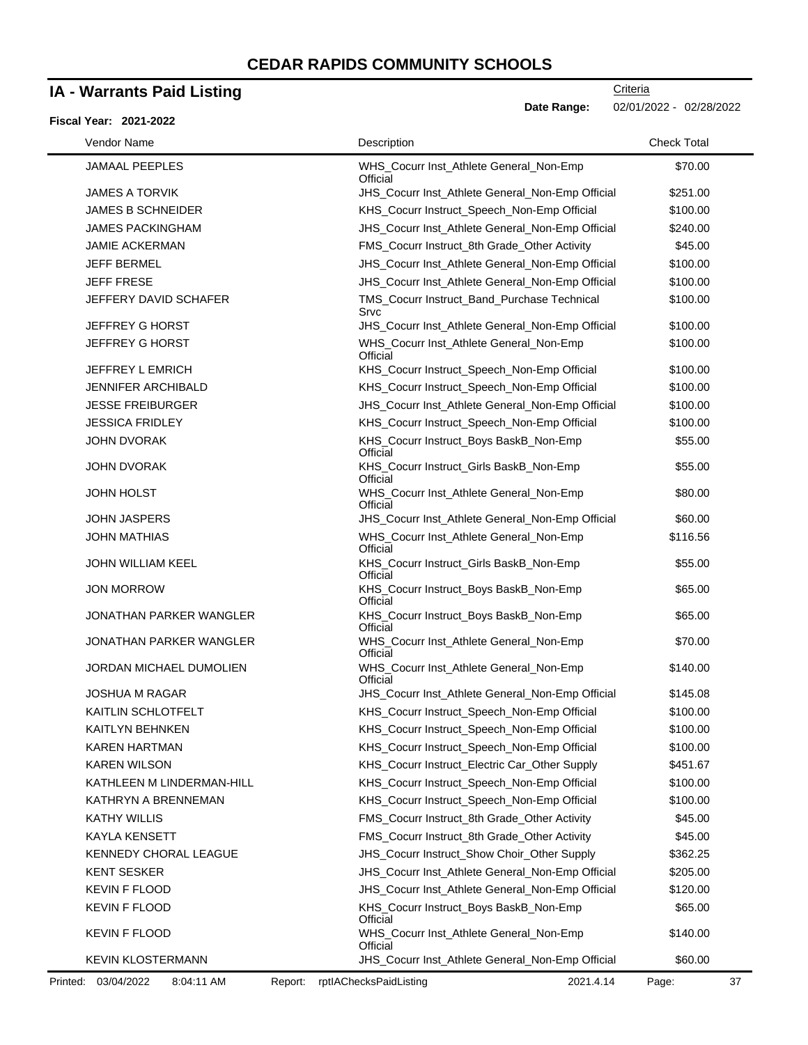### **IA - Warrants Paid Listing**

#### **Fiscal Year: 2021-2022**

**Criteria Date Range:** 02/01/2022 - 02/28/2022

| Vendor Name                    | Description                                         | <b>Check Total</b> |
|--------------------------------|-----------------------------------------------------|--------------------|
| <b>JAMAAL PEEPLES</b>          | WHS_Cocurr Inst_Athlete General_Non-Emp<br>Official | \$70.00            |
| <b>JAMES A TORVIK</b>          | JHS_Cocurr Inst_Athlete General_Non-Emp Official    | \$251.00           |
| <b>JAMES B SCHNEIDER</b>       | KHS_Cocurr Instruct_Speech_Non-Emp Official         | \$100.00           |
| <b>JAMES PACKINGHAM</b>        | JHS_Cocurr Inst_Athlete General_Non-Emp Official    | \$240.00           |
| <b>JAMIE ACKERMAN</b>          | FMS_Cocurr Instruct_8th Grade_Other Activity        | \$45.00            |
| <b>JEFF BERMEL</b>             | JHS_Cocurr Inst_Athlete General_Non-Emp Official    | \$100.00           |
| <b>JEFF FRESE</b>              | JHS_Cocurr Inst_Athlete General_Non-Emp Official    | \$100.00           |
| JEFFERY DAVID SCHAFER          | TMS_Cocurr Instruct_Band_Purchase Technical<br>Srvc | \$100.00           |
| <b>JEFFREY G HORST</b>         | JHS_Cocurr Inst_Athlete General_Non-Emp Official    | \$100.00           |
| JEFFREY G HORST                | WHS_Cocurr Inst_Athlete General_Non-Emp<br>Official | \$100.00           |
| JEFFREY L EMRICH               | KHS_Cocurr Instruct_Speech_Non-Emp Official         | \$100.00           |
| <b>JENNIFER ARCHIBALD</b>      | KHS_Cocurr Instruct_Speech_Non-Emp Official         | \$100.00           |
| <b>JESSE FREIBURGER</b>        | JHS_Cocurr Inst_Athlete General_Non-Emp Official    | \$100.00           |
| <b>JESSICA FRIDLEY</b>         | KHS_Cocurr Instruct_Speech_Non-Emp Official         | \$100.00           |
| <b>JOHN DVORAK</b>             | KHS_Cocurr Instruct_Boys BaskB_Non-Emp<br>Official  | \$55.00            |
| <b>JOHN DVORAK</b>             | KHS_Cocurr Instruct_Girls BaskB_Non-Emp<br>Official | \$55.00            |
| <b>JOHN HOLST</b>              | WHS_Cocurr Inst_Athlete General_Non-Emp<br>Official | \$80.00            |
| <b>JOHN JASPERS</b>            | JHS_Cocurr Inst_Athlete General_Non-Emp Official    | \$60.00            |
| <b>JOHN MATHIAS</b>            | WHS_Cocurr Inst_Athlete General_Non-Emp<br>Official | \$116.56           |
| <b>JOHN WILLIAM KEEL</b>       | KHS_Cocurr Instruct_Girls BaskB_Non-Emp<br>Official | \$55.00            |
| <b>JON MORROW</b>              | KHS_Cocurr Instruct_Boys BaskB_Non-Emp<br>Official  | \$65.00            |
| <b>JONATHAN PARKER WANGLER</b> | KHS_Cocurr Instruct_Boys BaskB_Non-Emp<br>Official  | \$65.00            |
| <b>JONATHAN PARKER WANGLER</b> | WHS_Cocurr Inst_Athlete General_Non-Emp<br>Official | \$70.00            |
| JORDAN MICHAEL DUMOLIEN        | WHS_Cocurr Inst_Athlete General_Non-Emp<br>Official | \$140.00           |
| <b>JOSHUA M RAGAR</b>          | JHS_Cocurr Inst_Athlete General_Non-Emp Official    | \$145.08           |
| KAITLIN SCHLOTFELT             | KHS_Cocurr Instruct_Speech_Non-Emp Official         | \$100.00           |
| KAITLYN BEHNKEN                | KHS_Cocurr Instruct_Speech_Non-Emp Official         | \$100.00           |
| <b>KAREN HARTMAN</b>           | KHS_Cocurr Instruct_Speech_Non-Emp Official         | \$100.00           |
| <b>KAREN WILSON</b>            | KHS_Cocurr Instruct_Electric Car_Other Supply       | \$451.67           |
| KATHLEEN M LINDERMAN-HILL      | KHS_Cocurr Instruct_Speech_Non-Emp Official         | \$100.00           |
| KATHRYN A BRENNEMAN            | KHS_Cocurr Instruct_Speech_Non-Emp Official         | \$100.00           |
| <b>KATHY WILLIS</b>            | FMS_Cocurr Instruct_8th Grade_Other Activity        | \$45.00            |
| <b>KAYLA KENSETT</b>           | FMS_Cocurr Instruct_8th Grade_Other Activity        | \$45.00            |
| KENNEDY CHORAL LEAGUE          | JHS_Cocurr Instruct_Show Choir_Other Supply         | \$362.25           |
| <b>KENT SESKER</b>             | JHS_Cocurr Inst_Athlete General_Non-Emp Official    | \$205.00           |
| <b>KEVIN F FLOOD</b>           | JHS_Cocurr Inst_Athlete General_Non-Emp Official    | \$120.00           |
| <b>KEVIN F FLOOD</b>           | KHS_Cocurr Instruct_Boys BaskB_Non-Emp<br>Official  | \$65.00            |
| <b>KEVIN F FLOOD</b>           | WHS_Cocurr Inst_Athlete General_Non-Emp<br>Official | \$140.00           |
| <b>KEVIN KLOSTERMANN</b>       | JHS_Cocurr Inst_Athlete General_Non-Emp Official    | \$60.00            |

Printed: 03/04/2022 8:04:11 AM Report: rptIAChecksPaidListing 2021.4.14 Page: 37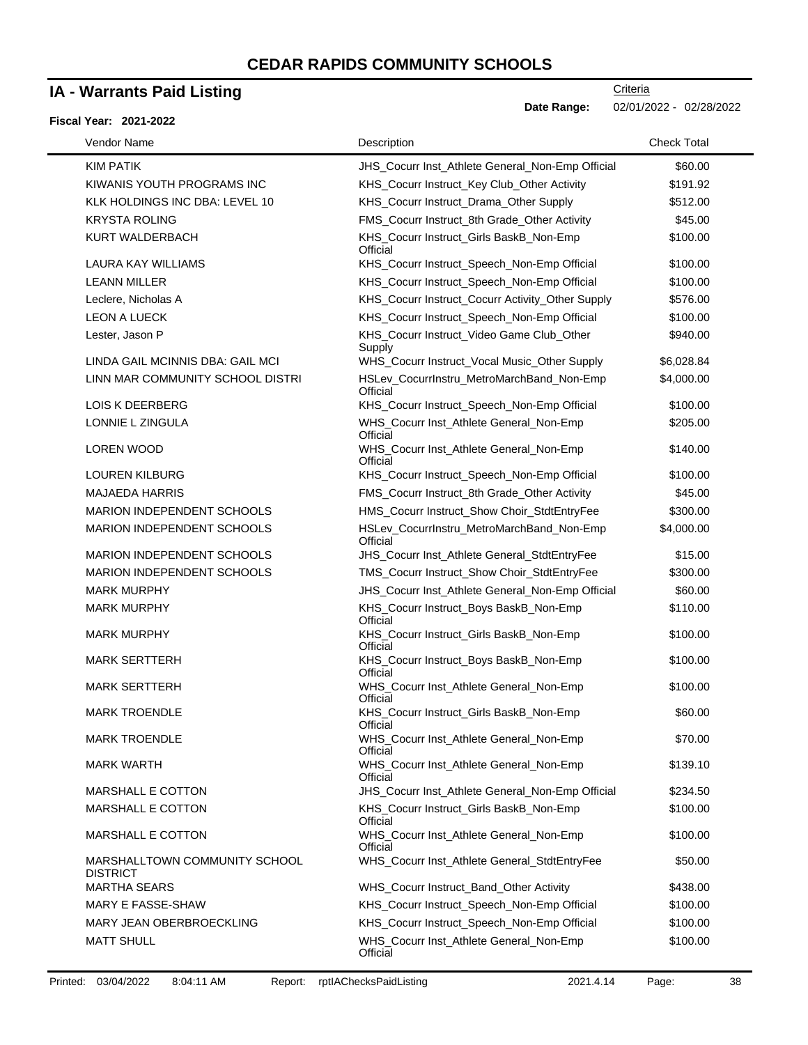### **IA - Warrants Paid Listing**

#### **Fiscal Year: 2021-2022**

**Date Range:** 02/01/2022 - 02/28/2022

| Vendor Name                                      | Description                                           | <b>Check Total</b> |
|--------------------------------------------------|-------------------------------------------------------|--------------------|
| <b>KIM PATIK</b>                                 | JHS_Cocurr Inst_Athlete General_Non-Emp Official      | \$60.00            |
| KIWANIS YOUTH PROGRAMS INC                       | KHS_Cocurr Instruct_Key Club_Other Activity           | \$191.92           |
| KLK HOLDINGS INC DBA: LEVEL 10                   | KHS_Cocurr Instruct_Drama_Other Supply                | \$512.00           |
| <b>KRYSTA ROLING</b>                             | FMS_Cocurr Instruct_8th Grade_Other Activity          | \$45.00            |
| KURT WALDERBACH                                  | KHS_Cocurr Instruct_Girls BaskB_Non-Emp<br>Official   | \$100.00           |
| <b>LAURA KAY WILLIAMS</b>                        | KHS_Cocurr Instruct_Speech_Non-Emp Official           | \$100.00           |
| <b>LEANN MILLER</b>                              | KHS_Cocurr Instruct_Speech_Non-Emp Official           | \$100.00           |
| Leclere, Nicholas A                              | KHS_Cocurr Instruct_Cocurr Activity_Other Supply      | \$576.00           |
| <b>LEON A LUECK</b>                              | KHS_Cocurr Instruct_Speech_Non-Emp Official           | \$100.00           |
| Lester, Jason P                                  | KHS_Cocurr Instruct_Video Game Club_Other<br>Supply   | \$940.00           |
| LINDA GAIL MCINNIS DBA: GAIL MCI                 | WHS_Cocurr Instruct_Vocal Music_Other Supply          | \$6,028.84         |
| LINN MAR COMMUNITY SCHOOL DISTRI                 | HSLev_CocurrInstru_MetroMarchBand_Non-Emp<br>Official | \$4,000.00         |
| LOIS K DEERBERG                                  | KHS_Cocurr Instruct_Speech_Non-Emp Official           | \$100.00           |
| <b>LONNIE L ZINGULA</b>                          | WHS_Cocurr Inst_Athlete General_Non-Emp<br>Official   | \$205.00           |
| LOREN WOOD                                       | WHS_Cocurr Inst_Athlete General_Non-Emp<br>Official   | \$140.00           |
| <b>LOUREN KILBURG</b>                            | KHS_Cocurr Instruct_Speech_Non-Emp Official           | \$100.00           |
| <b>MAJAEDA HARRIS</b>                            | FMS_Cocurr Instruct_8th Grade_Other Activity          | \$45.00            |
| MARION INDEPENDENT SCHOOLS                       | HMS_Cocurr Instruct_Show Choir_StdtEntryFee           | \$300.00           |
| MARION INDEPENDENT SCHOOLS                       | HSLev_CocurrInstru_MetroMarchBand_Non-Emp<br>Official | \$4,000.00         |
| MARION INDEPENDENT SCHOOLS                       | JHS_Cocurr Inst_Athlete General_StdtEntryFee          | \$15.00            |
| MARION INDEPENDENT SCHOOLS                       | TMS_Cocurr Instruct_Show Choir_StdtEntryFee           | \$300.00           |
| <b>MARK MURPHY</b>                               | JHS_Cocurr Inst_Athlete General_Non-Emp Official      | \$60.00            |
| <b>MARK MURPHY</b>                               | KHS_Cocurr Instruct_Boys BaskB_Non-Emp<br>Official    | \$110.00           |
| <b>MARK MURPHY</b>                               | KHS_Cocurr Instruct_Girls BaskB_Non-Emp<br>Official   | \$100.00           |
| <b>MARK SERTTERH</b>                             | KHS_Cocurr Instruct_Boys BaskB_Non-Emp<br>Official    | \$100.00           |
| <b>MARK SERTTERH</b>                             | WHS_Cocurr Inst_Athlete General_Non-Emp<br>Official   | \$100.00           |
| <b>MARK TROENDLE</b>                             | KHS_Cocurr Instruct_Girls BaskB_Non-Emp<br>Official   | \$60.00            |
| <b>MARK TROENDLE</b>                             | WHS_Cocurr Inst_Athlete General_Non-Emp<br>Official   | \$70.00            |
| <b>MARK WARTH</b>                                | WHS_Cocurr Inst_Athlete General_Non-Emp<br>Official   | \$139.10           |
| <b>MARSHALL E COTTON</b>                         | JHS_Cocurr Inst_Athlete General_Non-Emp Official      | \$234.50           |
| MARSHALL E COTTON                                | KHS_Cocurr Instruct_Girls BaskB_Non-Emp<br>Official   | \$100.00           |
| MARSHALL E COTTON                                | WHS_Cocurr Inst_Athlete General_Non-Emp<br>Official   | \$100.00           |
| MARSHALLTOWN COMMUNITY SCHOOL<br><b>DISTRICT</b> | WHS_Cocurr Inst_Athlete General_StdtEntryFee          | \$50.00            |
| <b>MARTHA SEARS</b>                              | WHS_Cocurr Instruct_Band_Other Activity               | \$438.00           |
| MARY E FASSE-SHAW                                | KHS_Cocurr Instruct_Speech_Non-Emp Official           | \$100.00           |
| MARY JEAN OBERBROECKLING                         | KHS_Cocurr Instruct_Speech_Non-Emp Official           | \$100.00           |
| <b>MATT SHULL</b>                                | WHS_Cocurr Inst_Athlete General_Non-Emp<br>Official   | \$100.00           |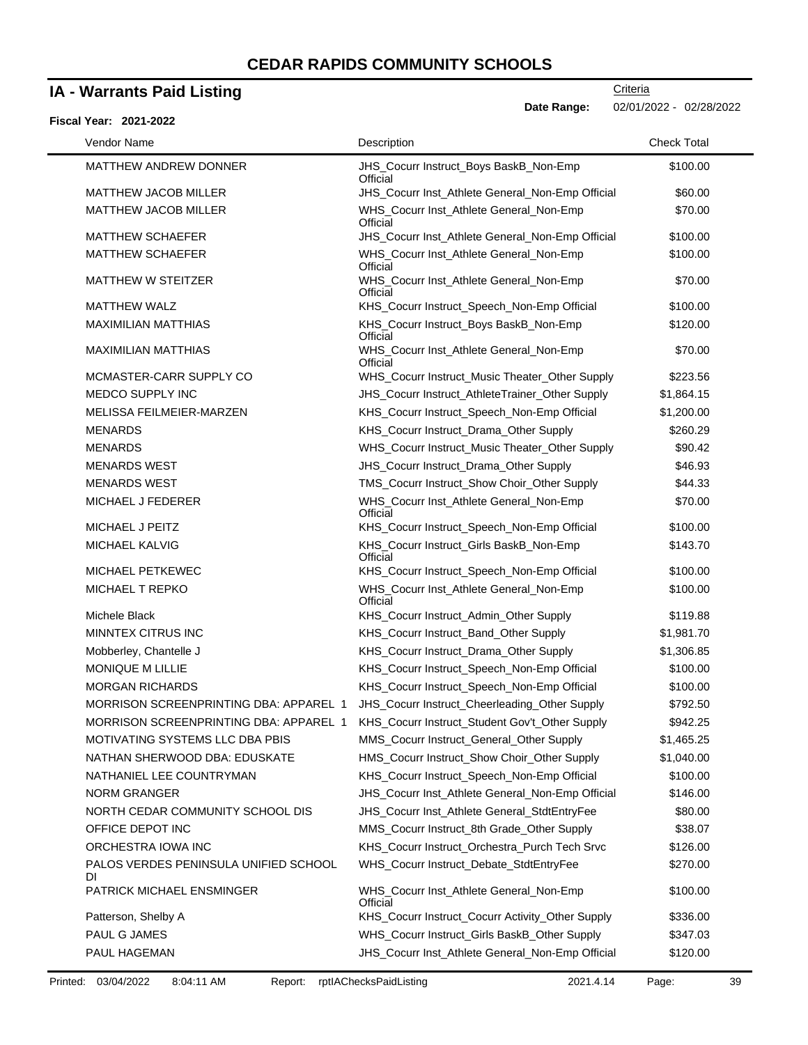### **IA - Warrants Paid Listing**

### **Fiscal Year: 2021-2022**

**Date Range:** 02/01/2022 - 02/28/2022

| Vendor Name                                   | Description                                         | <b>Check Total</b> |
|-----------------------------------------------|-----------------------------------------------------|--------------------|
| <b>MATTHEW ANDREW DONNER</b>                  | JHS_Cocurr Instruct_Boys BaskB_Non-Emp<br>Official  | \$100.00           |
| <b>MATTHEW JACOB MILLER</b>                   | JHS_Cocurr Inst_Athlete General_Non-Emp Official    | \$60.00            |
| <b>MATTHEW JACOB MILLER</b>                   | WHS_Cocurr Inst_Athlete General_Non-Emp<br>Official | \$70.00            |
| <b>MATTHEW SCHAEFER</b>                       | JHS_Cocurr Inst_Athlete General_Non-Emp Official    | \$100.00           |
| <b>MATTHEW SCHAEFER</b>                       | WHS_Cocurr Inst_Athlete General_Non-Emp<br>Official | \$100.00           |
| MATTHEW W STEITZER                            | WHS_Cocurr Inst_Athlete General_Non-Emp<br>Official | \$70.00            |
| <b>MATTHEW WALZ</b>                           | KHS_Cocurr Instruct_Speech_Non-Emp Official         | \$100.00           |
| <b>MAXIMILIAN MATTHIAS</b>                    | KHS_Cocurr Instruct_Boys BaskB_Non-Emp<br>Official  | \$120.00           |
| <b>MAXIMILIAN MATTHIAS</b>                    | WHS_Cocurr Inst_Athlete General_Non-Emp<br>Official | \$70.00            |
| MCMASTER-CARR SUPPLY CO                       | WHS_Cocurr Instruct_Music Theater_Other Supply      | \$223.56           |
| MEDCO SUPPLY INC                              | JHS_Cocurr Instruct_AthleteTrainer_Other Supply     | \$1,864.15         |
| MELISSA FEILMEIER-MARZEN                      | KHS_Cocurr Instruct_Speech_Non-Emp Official         | \$1,200.00         |
| <b>MENARDS</b>                                | KHS_Cocurr Instruct_Drama_Other Supply              | \$260.29           |
| <b>MENARDS</b>                                | WHS_Cocurr Instruct_Music Theater_Other Supply      | \$90.42            |
| <b>MENARDS WEST</b>                           | JHS_Cocurr Instruct_Drama_Other Supply              | \$46.93            |
| <b>MENARDS WEST</b>                           | TMS_Cocurr Instruct_Show Choir_Other Supply         | \$44.33            |
| MICHAEL J FEDERER                             | WHS_Cocurr Inst_Athlete General_Non-Emp<br>Official | \$70.00            |
| MICHAEL J PEITZ                               | KHS_Cocurr Instruct_Speech_Non-Emp Official         | \$100.00           |
| MICHAEL KALVIG                                | KHS_Cocurr Instruct_Girls BaskB_Non-Emp<br>Official | \$143.70           |
| MICHAEL PETKEWEC                              | KHS_Cocurr Instruct_Speech_Non-Emp Official         | \$100.00           |
| <b>MICHAEL T REPKO</b>                        | WHS_Cocurr Inst_Athlete General_Non-Emp<br>Official | \$100.00           |
| Michele Black                                 | KHS_Cocurr Instruct_Admin_Other Supply              | \$119.88           |
| MINNTEX CITRUS INC                            | KHS_Cocurr Instruct_Band_Other Supply               | \$1,981.70         |
| Mobberley, Chantelle J                        | KHS_Cocurr Instruct_Drama_Other Supply              | \$1,306.85         |
| MONIQUE M LILLIE                              | KHS_Cocurr Instruct_Speech_Non-Emp Official         | \$100.00           |
| <b>MORGAN RICHARDS</b>                        | KHS_Cocurr Instruct_Speech_Non-Emp Official         | \$100.00           |
| <b>MORRISON SCREENPRINTING DBA: APPAREL 1</b> | JHS_Cocurr Instruct_Cheerleading_Other Supply       | \$792.50           |
| MORRISON SCREENPRINTING DBA: APPAREL 1        | KHS_Cocurr Instruct_Student Gov't_Other Supply      | \$942.25           |
| MOTIVATING SYSTEMS LLC DBA PBIS               | MMS_Cocurr Instruct_General_Other Supply            | \$1,465.25         |
| NATHAN SHERWOOD DBA: EDUSKATE                 | HMS_Cocurr Instruct_Show Choir_Other Supply         | \$1,040.00         |
| NATHANIEL LEE COUNTRYMAN                      | KHS_Cocurr Instruct_Speech_Non-Emp Official         | \$100.00           |
| <b>NORM GRANGER</b>                           | JHS_Cocurr Inst_Athlete General_Non-Emp Official    | \$146.00           |
| NORTH CEDAR COMMUNITY SCHOOL DIS              | JHS_Cocurr Inst_Athlete General_StdtEntryFee        | \$80.00            |
| OFFICE DEPOT INC                              | MMS_Cocurr Instruct_8th Grade_Other Supply          | \$38.07            |
| ORCHESTRA IOWA INC                            | KHS_Cocurr Instruct_Orchestra_Purch Tech Srvc       | \$126.00           |
| PALOS VERDES PENINSULA UNIFIED SCHOOL<br>DI   | WHS_Cocurr Instruct_Debate_StdtEntryFee             | \$270.00           |
| PATRICK MICHAEL ENSMINGER                     | WHS_Cocurr Inst_Athlete General_Non-Emp<br>Official | \$100.00           |
| Patterson, Shelby A                           | KHS_Cocurr Instruct_Cocurr Activity_Other Supply    | \$336.00           |
| PAUL G JAMES                                  | WHS_Cocurr Instruct_Girls BaskB_Other Supply        | \$347.03           |
| PAUL HAGEMAN                                  | JHS_Cocurr Inst_Athlete General_Non-Emp Official    | \$120.00           |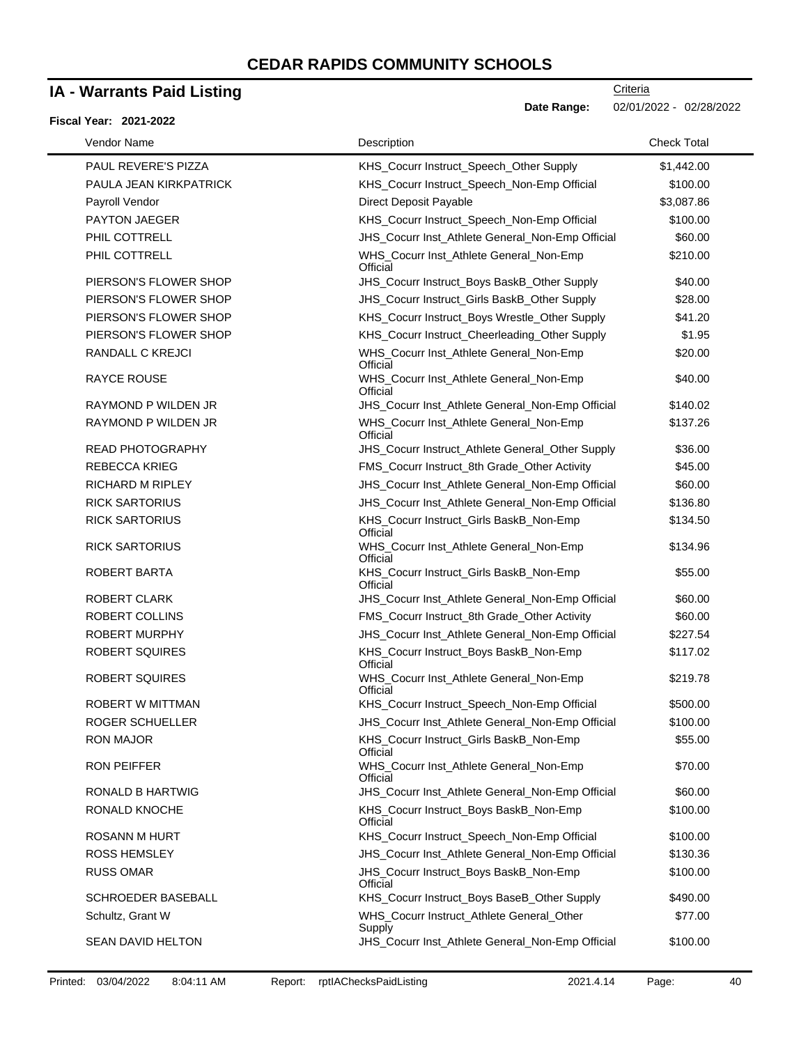## **IA - Warrants Paid Listing**

#### **Fiscal Year: 2021-2022**

 $\blacksquare$ 

| Vendor Name             | Description                                         | <b>Check Total</b> |
|-------------------------|-----------------------------------------------------|--------------------|
| PAUL REVERE'S PIZZA     | KHS_Cocurr Instruct_Speech_Other Supply             | \$1,442.00         |
| PAULA JEAN KIRKPATRICK  | KHS_Cocurr Instruct_Speech_Non-Emp Official         | \$100.00           |
| Payroll Vendor          | Direct Deposit Payable                              | \$3,087.86         |
| <b>PAYTON JAEGER</b>    | KHS_Cocurr Instruct_Speech_Non-Emp Official         | \$100.00           |
| PHIL COTTRELL           | JHS_Cocurr Inst_Athlete General_Non-Emp Official    | \$60.00            |
| PHIL COTTRELL           | WHS_Cocurr Inst_Athlete General_Non-Emp<br>Official | \$210.00           |
| PIERSON'S FLOWER SHOP   | JHS_Cocurr Instruct_Boys BaskB_Other Supply         | \$40.00            |
| PIERSON'S FLOWER SHOP   | JHS_Cocurr Instruct_Girls BaskB_Other Supply        | \$28.00            |
| PIERSON'S FLOWER SHOP   | KHS_Cocurr Instruct_Boys Wrestle_Other Supply       | \$41.20            |
| PIERSON'S FLOWER SHOP   | KHS_Cocurr Instruct_Cheerleading_Other Supply       | \$1.95             |
| RANDALL C KREJCI        | WHS_Cocurr Inst_Athlete General_Non-Emp<br>Official | \$20.00            |
| <b>RAYCE ROUSE</b>      | WHS_Cocurr Inst_Athlete General_Non-Emp<br>Official | \$40.00            |
| RAYMOND P WILDEN JR     | JHS_Cocurr Inst_Athlete General_Non-Emp Official    | \$140.02           |
| RAYMOND P WILDEN JR     | WHS_Cocurr Inst_Athlete General_Non-Emp<br>Official | \$137.26           |
| <b>READ PHOTOGRAPHY</b> | JHS_Cocurr Instruct_Athlete General_Other Supply    | \$36.00            |
| <b>REBECCA KRIEG</b>    | FMS_Cocurr Instruct_8th Grade_Other Activity        | \$45.00            |
| <b>RICHARD M RIPLEY</b> | JHS_Cocurr Inst_Athlete General_Non-Emp Official    | \$60.00            |
| <b>RICK SARTORIUS</b>   | JHS_Cocurr Inst_Athlete General_Non-Emp Official    | \$136.80           |
| <b>RICK SARTORIUS</b>   | KHS_Cocurr Instruct_Girls BaskB_Non-Emp<br>Official | \$134.50           |
| <b>RICK SARTORIUS</b>   | WHS_Cocurr Inst_Athlete General_Non-Emp<br>Official | \$134.96           |
| ROBERT BARTA            | KHS_Cocurr Instruct_Girls BaskB_Non-Emp<br>Official | \$55.00            |
| <b>ROBERT CLARK</b>     | JHS_Cocurr Inst_Athlete General_Non-Emp Official    | \$60.00            |
| ROBERT COLLINS          | FMS_Cocurr Instruct_8th Grade_Other Activity        | \$60.00            |
| <b>ROBERT MURPHY</b>    | JHS_Cocurr Inst_Athlete General_Non-Emp Official    | \$227.54           |
| <b>ROBERT SQUIRES</b>   | KHS_Cocurr Instruct_Boys BaskB_Non-Emp<br>Official  | \$117.02           |
| ROBERT SQUIRES          | WHS_Cocurr Inst_Athlete General_Non-Emp<br>Official | \$219.78           |
| ROBERT W MITTMAN        | KHS_Cocurr Instruct_Speech_Non-Emp Official         | \$500.00           |
| ROGER SCHUELLER         | JHS_Cocurr Inst_Athlete General_Non-Emp Official    | \$100.00           |
| RON MAJOR               | KHS_Cocurr Instruct_Girls BaskB_Non-Emp<br>Official | \$55.00            |
| <b>RON PEIFFER</b>      | WHS_Cocurr Inst_Athlete General_Non-Emp<br>Official | \$70.00            |
| <b>RONALD B HARTWIG</b> | JHS_Cocurr Inst_Athlete General_Non-Emp Official    | \$60.00            |
| RONALD KNOCHE           | KHS_Cocurr Instruct_Boys BaskB_Non-Emp<br>Official  | \$100.00           |
| ROSANN M HURT           | KHS Cocurr Instruct Speech Non-Emp Official         | \$100.00           |
| <b>ROSS HEMSLEY</b>     | JHS_Cocurr Inst_Athlete General_Non-Emp Official    | \$130.36           |
| <b>RUSS OMAR</b>        | JHS_Cocurr Instruct_Boys BaskB_Non-Emp<br>Official  | \$100.00           |
| SCHROEDER BASEBALL      | KHS_Cocurr Instruct_Boys BaseB_Other Supply         | \$490.00           |
| Schultz, Grant W        | WHS_Cocurr Instruct_Athlete General_Other<br>Supply | \$77.00            |
| SEAN DAVID HELTON       | JHS_Cocurr Inst_Athlete General_Non-Emp Official    | \$100.00           |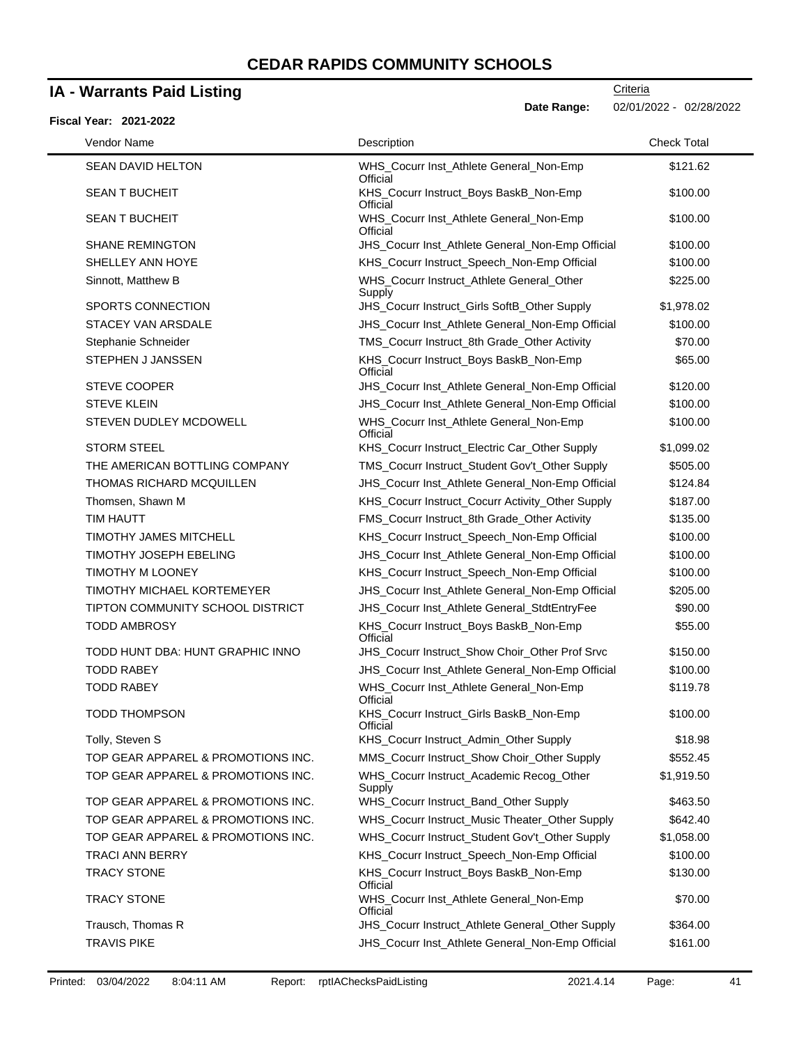### **IA - Warrants Paid Listing**

### **Fiscal Year: 2021-2022**

**Date Range:** 02/01/2022 - 02/28/2022

| Vendor Name                        | Description                                         | <b>Check Total</b> |
|------------------------------------|-----------------------------------------------------|--------------------|
| <b>SEAN DAVID HELTON</b>           | WHS_Cocurr Inst_Athlete General_Non-Emp<br>Official | \$121.62           |
| <b>SEAN T BUCHEIT</b>              | KHS_Cocurr Instruct_Boys BaskB_Non-Emp<br>Official  | \$100.00           |
| <b>SEAN T BUCHEIT</b>              | WHS_Cocurr Inst_Athlete General_Non-Emp<br>Official | \$100.00           |
| <b>SHANE REMINGTON</b>             | JHS_Cocurr Inst_Athlete General_Non-Emp Official    | \$100.00           |
| SHELLEY ANN HOYE                   | KHS_Cocurr Instruct_Speech_Non-Emp Official         | \$100.00           |
| Sinnott, Matthew B                 | WHS_Cocurr Instruct_Athlete General_Other<br>Supply | \$225.00           |
| <b>SPORTS CONNECTION</b>           | JHS_Cocurr Instruct_Girls SoftB_Other Supply        | \$1,978.02         |
| STACEY VAN ARSDALE                 | JHS_Cocurr Inst_Athlete General_Non-Emp Official    | \$100.00           |
| Stephanie Schneider                | TMS_Cocurr Instruct_8th Grade_Other Activity        | \$70.00            |
| STEPHEN J JANSSEN                  | KHS_Cocurr Instruct_Boys BaskB_Non-Emp<br>Official  | \$65.00            |
| STEVE COOPER                       | JHS_Cocurr Inst_Athlete General_Non-Emp Official    | \$120.00           |
| <b>STEVE KLEIN</b>                 | JHS_Cocurr Inst_Athlete General_Non-Emp Official    | \$100.00           |
| STEVEN DUDLEY MCDOWELL             | WHS_Cocurr Inst_Athlete General_Non-Emp<br>Official | \$100.00           |
| <b>STORM STEEL</b>                 | KHS_Cocurr Instruct_Electric Car_Other Supply       | \$1,099.02         |
| THE AMERICAN BOTTLING COMPANY      | TMS_Cocurr Instruct_Student Gov't_Other Supply      | \$505.00           |
| <b>THOMAS RICHARD MCQUILLEN</b>    | JHS_Cocurr Inst_Athlete General_Non-Emp Official    | \$124.84           |
| Thomsen, Shawn M                   | KHS_Cocurr Instruct_Cocurr Activity_Other Supply    | \$187.00           |
| TIM HAUTT                          | FMS_Cocurr Instruct_8th Grade_Other Activity        | \$135.00           |
| TIMOTHY JAMES MITCHELL             | KHS_Cocurr Instruct_Speech_Non-Emp Official         | \$100.00           |
| <b>TIMOTHY JOSEPH EBELING</b>      | JHS_Cocurr Inst_Athlete General_Non-Emp Official    | \$100.00           |
| TIMOTHY M LOONEY                   | KHS_Cocurr Instruct_Speech_Non-Emp Official         | \$100.00           |
| TIMOTHY MICHAEL KORTEMEYER         | JHS_Cocurr Inst_Athlete General_Non-Emp Official    | \$205.00           |
| TIPTON COMMUNITY SCHOOL DISTRICT   | JHS_Cocurr Inst_Athlete General_StdtEntryFee        | \$90.00            |
| <b>TODD AMBROSY</b>                | KHS_Cocurr Instruct_Boys BaskB_Non-Emp<br>Official  | \$55.00            |
| TODD HUNT DBA: HUNT GRAPHIC INNO   | JHS Cocurr Instruct Show Choir Other Prof Srvc      | \$150.00           |
| <b>TODD RABEY</b>                  | JHS_Cocurr Inst_Athlete General_Non-Emp Official    | \$100.00           |
| <b>TODD RABEY</b>                  | WHS_Cocurr Inst_Athlete General_Non-Emp<br>Official | \$119.78           |
| <b>TODD THOMPSON</b>               | KHS_Cocurr Instruct_Girls BaskB_Non-Emp<br>Official | \$100.00           |
| Tolly, Steven S                    | KHS_Cocurr Instruct_Admin_Other Supply              | \$18.98            |
| TOP GEAR APPAREL & PROMOTIONS INC. | MMS_Cocurr Instruct_Show Choir_Other Supply         | \$552.45           |
| TOP GEAR APPAREL & PROMOTIONS INC. | WHS_Cocurr Instruct_Academic Recog_Other<br>Supply  | \$1,919.50         |
| TOP GEAR APPAREL & PROMOTIONS INC. | WHS_Cocurr Instruct_Band_Other Supply               | \$463.50           |
| TOP GEAR APPAREL & PROMOTIONS INC. | WHS_Cocurr Instruct_Music Theater_Other Supply      | \$642.40           |
| TOP GEAR APPAREL & PROMOTIONS INC. | WHS_Cocurr Instruct_Student Gov't_Other Supply      | \$1,058.00         |
| <b>TRACI ANN BERRY</b>             | KHS_Cocurr Instruct_Speech_Non-Emp Official         | \$100.00           |
| TRACY STONE                        | KHS_Cocurr Instruct_Boys BaskB_Non-Emp<br>Official  | \$130.00           |
| TRACY STONE                        | WHS_Cocurr Inst_Athlete General_Non-Emp<br>Official | \$70.00            |
| Trausch, Thomas R                  | JHS_Cocurr Instruct_Athlete General_Other Supply    | \$364.00           |
| <b>TRAVIS PIKE</b>                 | JHS_Cocurr Inst_Athlete General_Non-Emp Official    | \$161.00           |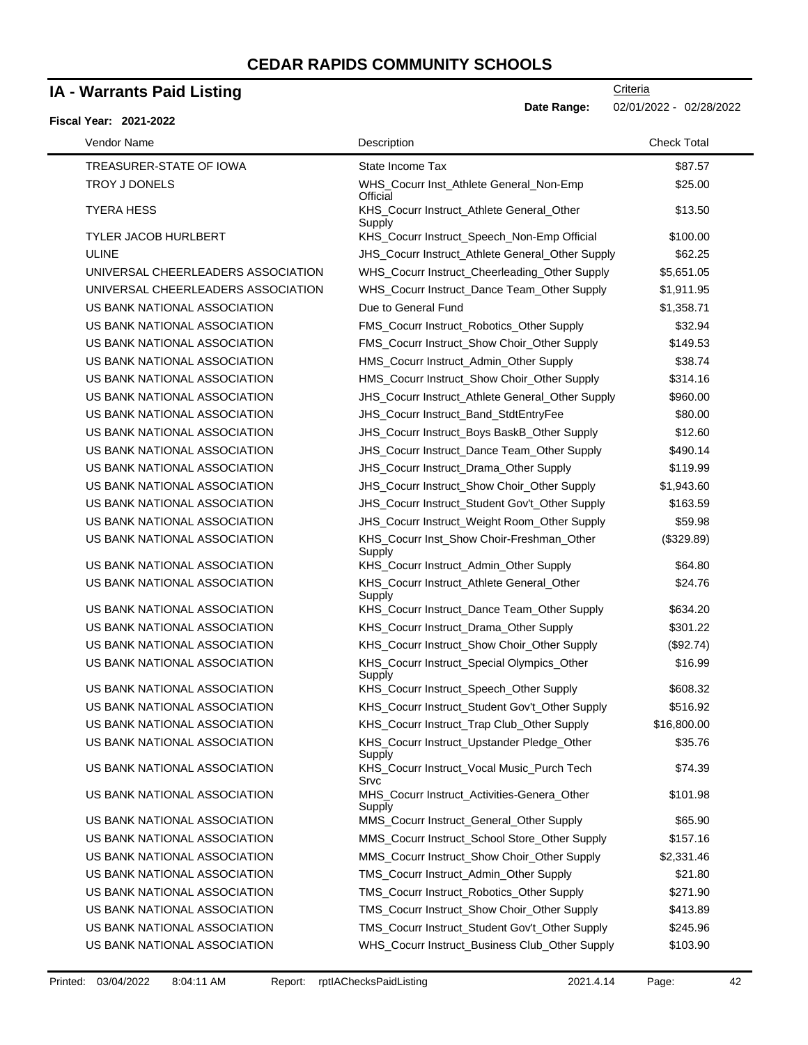### **IA - Warrants Paid Listing**

#### **Fiscal Year: 2021-2022**

 $\blacksquare$ 

**Date Range:** 02/01/2022 - 02/28/2022

| Vendor Name                        | Description                                           | <b>Check Total</b> |
|------------------------------------|-------------------------------------------------------|--------------------|
| TREASURER-STATE OF IOWA            | State Income Tax                                      | \$87.57            |
| TROY J DONELS                      | WHS_Cocurr Inst_Athlete General_Non-Emp<br>Official   | \$25.00            |
| <b>TYERA HESS</b>                  | KHS_Cocurr Instruct_Athlete General_Other<br>Supply   | \$13.50            |
| TYLER JACOB HURLBERT               | KHS_Cocurr Instruct_Speech_Non-Emp Official           | \$100.00           |
| <b>ULINE</b>                       | JHS_Cocurr Instruct_Athlete General_Other Supply      | \$62.25            |
| UNIVERSAL CHEERLEADERS ASSOCIATION | WHS_Cocurr Instruct_Cheerleading_Other Supply         | \$5,651.05         |
| UNIVERSAL CHEERLEADERS ASSOCIATION | WHS_Cocurr Instruct_Dance Team_Other Supply           | \$1,911.95         |
| US BANK NATIONAL ASSOCIATION       | Due to General Fund                                   | \$1,358.71         |
| US BANK NATIONAL ASSOCIATION       | FMS_Cocurr Instruct_Robotics_Other Supply             | \$32.94            |
| US BANK NATIONAL ASSOCIATION       | FMS_Cocurr Instruct_Show Choir_Other Supply           | \$149.53           |
| US BANK NATIONAL ASSOCIATION       | HMS_Cocurr Instruct_Admin_Other Supply                | \$38.74            |
| US BANK NATIONAL ASSOCIATION       | HMS_Cocurr Instruct_Show Choir_Other Supply           | \$314.16           |
| US BANK NATIONAL ASSOCIATION       | JHS_Cocurr Instruct_Athlete General_Other Supply      | \$960.00           |
| US BANK NATIONAL ASSOCIATION       | JHS_Cocurr Instruct_Band_StdtEntryFee                 | \$80.00            |
| US BANK NATIONAL ASSOCIATION       | JHS_Cocurr Instruct_Boys BaskB_Other Supply           | \$12.60            |
| US BANK NATIONAL ASSOCIATION       | JHS_Cocurr Instruct_Dance Team_Other Supply           | \$490.14           |
| US BANK NATIONAL ASSOCIATION       | JHS_Cocurr Instruct_Drama_Other Supply                | \$119.99           |
| US BANK NATIONAL ASSOCIATION       | JHS_Cocurr Instruct_Show Choir_Other Supply           | \$1,943.60         |
| US BANK NATIONAL ASSOCIATION       | JHS_Cocurr Instruct_Student Gov't_Other Supply        | \$163.59           |
| US BANK NATIONAL ASSOCIATION       | JHS_Cocurr Instruct_Weight Room_Other Supply          | \$59.98            |
| US BANK NATIONAL ASSOCIATION       | KHS_Cocurr Inst_Show Choir-Freshman_Other<br>Supply   | (\$329.89)         |
| US BANK NATIONAL ASSOCIATION       | KHS_Cocurr Instruct_Admin_Other Supply                | \$64.80            |
| US BANK NATIONAL ASSOCIATION       | KHS_Cocurr Instruct_Athlete General_Other<br>Supply   | \$24.76            |
| US BANK NATIONAL ASSOCIATION       | KHS_Cocurr Instruct_Dance Team_Other Supply           | \$634.20           |
| US BANK NATIONAL ASSOCIATION       | KHS_Cocurr Instruct_Drama_Other Supply                | \$301.22           |
| US BANK NATIONAL ASSOCIATION       | KHS_Cocurr Instruct_Show Choir_Other Supply           | (\$92.74)          |
| US BANK NATIONAL ASSOCIATION       | KHS_Cocurr Instruct_Special Olympics_Other<br>Supply  | \$16.99            |
| US BANK NATIONAL ASSOCIATION       | KHS_Cocurr Instruct_Speech_Other Supply               | \$608.32           |
| US BANK NATIONAL ASSOCIATION       | KHS_Cocurr Instruct_Student Gov't_Other Supply        | \$516.92           |
| US BANK NATIONAL ASSOCIATION       | KHS_Cocurr Instruct_Trap Club_Other Supply            | \$16,800.00        |
| US BANK NATIONAL ASSOCIATION       | KHS_Cocurr Instruct_Upstander Pledge_Other<br>Supply  | \$35.76            |
| US BANK NATIONAL ASSOCIATION       | KHS_Cocurr Instruct_Vocal Music_Purch Tech<br>Srvc    | \$74.39            |
| US BANK NATIONAL ASSOCIATION       | MHS_Cocurr Instruct_Activities-Genera_Other<br>Supply | \$101.98           |
| US BANK NATIONAL ASSOCIATION       | MMS_Cocurr Instruct_General_Other Supply              | \$65.90            |
| US BANK NATIONAL ASSOCIATION       | MMS_Cocurr Instruct_School Store_Other Supply         | \$157.16           |
| US BANK NATIONAL ASSOCIATION       | MMS_Cocurr Instruct_Show Choir_Other Supply           | \$2,331.46         |
| US BANK NATIONAL ASSOCIATION       | TMS_Cocurr Instruct_Admin_Other Supply                | \$21.80            |
| US BANK NATIONAL ASSOCIATION       | TMS_Cocurr Instruct_Robotics_Other Supply             | \$271.90           |
| US BANK NATIONAL ASSOCIATION       | TMS_Cocurr Instruct_Show Choir_Other Supply           | \$413.89           |
| US BANK NATIONAL ASSOCIATION       | TMS_Cocurr Instruct_Student Gov't_Other Supply        | \$245.96           |
| US BANK NATIONAL ASSOCIATION       | WHS_Cocurr Instruct_Business Club_Other Supply        | \$103.90           |